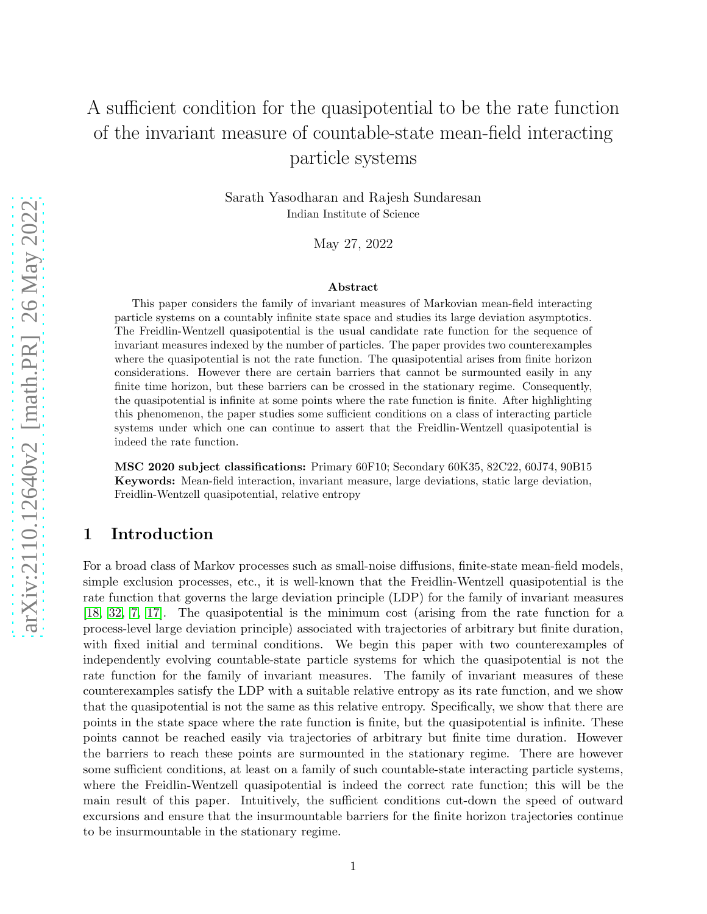# A sufficient condition for the quasipotential to be the rate function of the invariant measure of countable-state mean-field interacting particle systems

Sarath Yasodharan and Rajesh Sundaresan Indian Institute of Science

May 27, 2022

### Abstract

This paper considers the family of invariant measures of Markovian mean-field interacting particle systems on a countably infinite state space and studies its large deviation asymptotics. The Freidlin-Wentzell quasipotential is the usual candidate rate function for the sequence of invariant measures indexed by the number of particles. The paper provides two counterexamples where the quasipotential is not the rate function. The quasipotential arises from finite horizon considerations. However there are certain barriers that cannot be surmounted easily in any finite time horizon, but these barriers can be crossed in the stationary regime. Consequently, the quasipotential is infinite at some points where the rate function is finite. After highlighting this phenomenon, the paper studies some sufficient conditions on a class of interacting particle systems under which one can continue to assert that the Freidlin-Wentzell quasipotential is indeed the rate function.

MSC 2020 subject classifications: Primary 60F10; Secondary 60K35, 82C22, 60J74, 90B15 Keywords: Mean-field interaction, invariant measure, large deviations, static large deviation, Freidlin-Wentzell quasipotential, relative entropy

## 1 Introduction

For a broad class of Markov processes such as small-noise diffusions, finite-state mean-field models, simple exclusion processes, etc., it is well-known that the Freidlin-Wentzell quasipotential is the rate function that governs the large deviation principle (LDP) for the family of invariant measures [\[18,](#page-31-0) [32,](#page-32-0) [7,](#page-30-0) [17\]](#page-31-1). The quasipotential is the minimum cost (arising from the rate function for a process-level large deviation principle) associated with trajectories of arbitrary but finite duration, with fixed initial and terminal conditions. We begin this paper with two counterexamples of independently evolving countable-state particle systems for which the quasipotential is not the rate function for the family of invariant measures. The family of invariant measures of these counterexamples satisfy the LDP with a suitable relative entropy as its rate function, and we show that the quasipotential is not the same as this relative entropy. Specifically, we show that there are points in the state space where the rate function is finite, but the quasipotential is infinite. These points cannot be reached easily via trajectories of arbitrary but finite time duration. However the barriers to reach these points are surmounted in the stationary regime. There are however some sufficient conditions, at least on a family of such countable-state interacting particle systems, where the Freidlin-Wentzell quasipotential is indeed the correct rate function; this will be the main result of this paper. Intuitively, the sufficient conditions cut-down the speed of outward excursions and ensure that the insurmountable barriers for the finite horizon trajectories continue to be insurmountable in the stationary regime.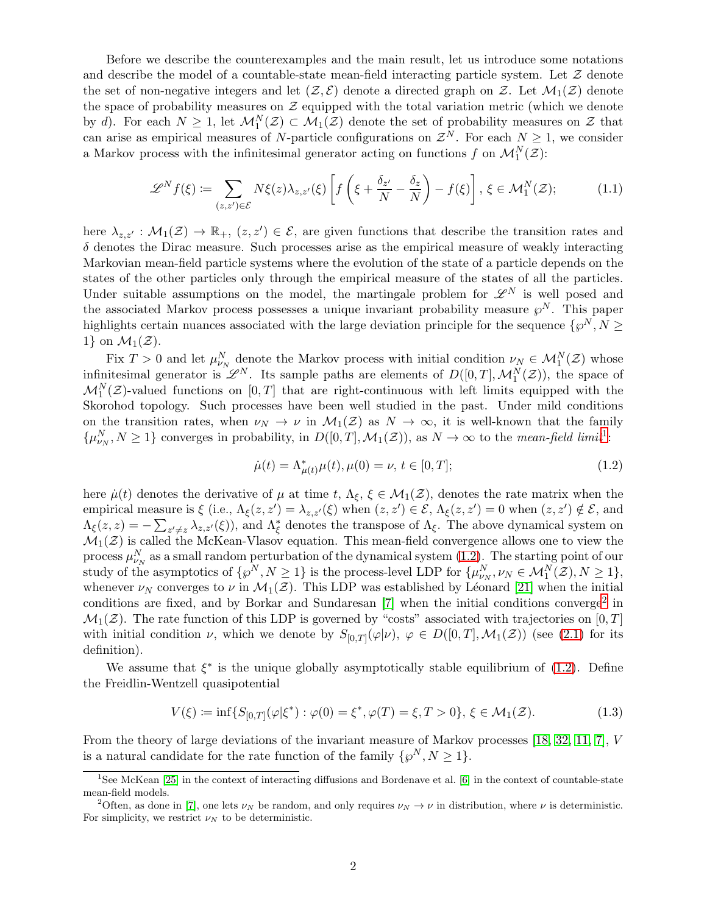Before we describe the counterexamples and the main result, let us introduce some notations and describe the model of a countable-state mean-field interacting particle system. Let  $Z$  denote the set of non-negative integers and let  $(\mathcal{Z}, \mathcal{E})$  denote a directed graph on  $\mathcal{Z}$ . Let  $\mathcal{M}_1(\mathcal{Z})$  denote the space of probability measures on  $\mathcal Z$  equipped with the total variation metric (which we denote by d). For each  $N \geq 1$ , let  $\mathcal{M}_1^N(\mathcal{Z}) \subset \mathcal{M}_1(\mathcal{Z})$  denote the set of probability measures on  $\mathcal{Z}$  that can arise as empirical measures of N-particle configurations on  $\mathcal{Z}^N$ . For each  $N \geq 1$ , we consider a Markov process with the infinitesimal generator acting on functions f on  $\mathcal{M}_1^N(\mathcal{Z})$ :

$$
\mathscr{L}^N f(\xi) \coloneqq \sum_{(z,z') \in \mathcal{E}} N\xi(z) \lambda_{z,z'}(\xi) \left[ f\left(\xi + \frac{\delta_{z'}}{N} - \frac{\delta_z}{N}\right) - f(\xi) \right], \xi \in \mathcal{M}_1^N(\mathcal{Z});\tag{1.1}
$$

here  $\lambda_{z,z'} : \mathcal{M}_1(\mathcal{Z}) \to \mathbb{R}_+$ ,  $(z, z') \in \mathcal{E}$ , are given functions that describe the transition rates and  $\delta$  denotes the Dirac measure. Such processes arise as the empirical measure of weakly interacting Markovian mean-field particle systems where the evolution of the state of a particle depends on the states of the other particles only through the empirical measure of the states of all the particles. Under suitable assumptions on the model, the martingale problem for  $\mathscr{L}^N$  is well posed and the associated Markov process possesses a unique invariant probability measure  $\wp^N$ . This paper highlights certain nuances associated with the large deviation principle for the sequence  $\{\wp^N, N \geq 0\}$ 1} on  $\mathcal{M}_1(\mathcal{Z})$ .

Fix  $T > 0$  and let  $\mu_{\nu_N}^N$  denote the Markov process with initial condition  $\nu_N \in \mathcal{M}_1^N(\mathcal{Z})$  whose infinitesimal generator is  $\mathscr{L}^N$ . Its sample paths are elements of  $D([0,T],\mathcal{M}_1^N(\mathcal{Z}))$ , the space of  $\mathcal{M}_1^N(\mathcal{Z})$ -valued functions on  $[0,T]$  that are right-continuous with left limits equipped with the Skorohod topology. Such processes have been well studied in the past. Under mild conditions on the transition rates, when  $\nu_N \to \nu$  in  $\mathcal{M}_1(\mathcal{Z})$  as  $N \to \infty$ , it is well-known that the family  $\{\mu_{\nu_N}^N, N \geq 1\}$  $\{\mu_{\nu_N}^N, N \geq 1\}$  $\{\mu_{\nu_N}^N, N \geq 1\}$  converges in probability, in  $D([0,T], \mathcal{M}_1(\mathcal{Z}))$ , as  $N \to \infty$  to the *mean-field limit*<sup>1</sup>:

<span id="page-1-4"></span><span id="page-1-3"></span><span id="page-1-1"></span>
$$
\dot{\mu}(t) = \Lambda_{\mu(t)}^* \mu(t), \mu(0) = \nu, \, t \in [0, T]; \tag{1.2}
$$

here  $\dot{\mu}(t)$  denotes the derivative of  $\mu$  at time  $t, \Lambda_{\xi}, \xi \in \mathcal{M}_1(\mathcal{Z})$ , denotes the rate matrix when the empirical measure is  $\xi$  (i.e.,  $\Lambda_{\xi}(z, z') = \lambda_{z, z'}(\xi)$  when  $(z, z') \in \mathcal{E}$ ,  $\Lambda_{\xi}(z, z') = 0$  when  $(z, z') \notin \mathcal{E}$ , and  $\Lambda_{\xi}(z,z) = -\sum_{z'\neq z} \lambda_{z,z'}(\xi)$ , and  $\Lambda_{\xi}^{*}$  denotes the transpose of  $\Lambda_{\xi}$ . The above dynamical system on  $\mathcal{M}_1(\mathcal{Z})$  is called the McKean-Vlasov equation. This mean-field convergence allows one to view the process  $\mu_{\nu_N}^N$  as a small random perturbation of the dynamical system [\(1.2\)](#page-1-1). The starting point of our study of the asymptotics of  $\{\wp^N, N \ge 1\}$  is the process-level LDP for  $\{\mu_{\nu_N}^N, \nu_N \in \mathcal{M}_1^N(\mathcal{Z}), N \ge 1\},\$ whenever  $\nu_N$  converges to  $\nu$  in  $\mathcal{M}_1(\mathcal{Z})$ . This LDP was established by Léonard [\[21\]](#page-31-2) when the initial conditions are fixed, and by Borkar and Sundaresan  $[7]$  when the initial conditions converge<sup>[2](#page-1-2)</sup> in  $\mathcal{M}_1(\mathcal{Z})$ . The rate function of this LDP is governed by "costs" associated with trajectories on [0, T] with initial condition  $\nu$ , which we denote by  $S_{[0,T]}(\varphi|\nu)$ ,  $\varphi \in D([0,T],\mathcal{M}_1(\mathcal{Z}))$  (see [\(2.1\)](#page-11-0) for its definition).

We assume that  $\xi^*$  is the unique globally asymptotically stable equilibrium of [\(1.2\)](#page-1-1). Define the Freidlin-Wentzell quasipotential

$$
V(\xi) := \inf \{ S_{[0,T]}(\varphi | \xi^*) : \varphi(0) = \xi^*, \varphi(T) = \xi, T > 0 \}, \xi \in \mathcal{M}_1(\mathcal{Z}).
$$
 (1.3)

From the theory of large deviations of the invariant measure of Markov processes [\[18,](#page-31-0) [32,](#page-32-0) [11,](#page-30-1) [7\]](#page-30-0), V is a natural candidate for the rate function of the family  $\{\wp^N, N \geq 1\}.$ 

<span id="page-1-0"></span><sup>&</sup>lt;sup>1</sup>See McKean [\[25\]](#page-31-3) in the context of interacting diffusions and Bordenave et al. [\[6\]](#page-30-2) in the context of countable-state mean-field models.

<span id="page-1-2"></span><sup>&</sup>lt;sup>2</sup>Often, as done in [\[7\]](#page-30-0), one lets  $\nu_N$  be random, and only requires  $\nu_N \to \nu$  in distribution, where  $\nu$  is deterministic. For simplicity, we restrict  $\nu_N$  to be deterministic.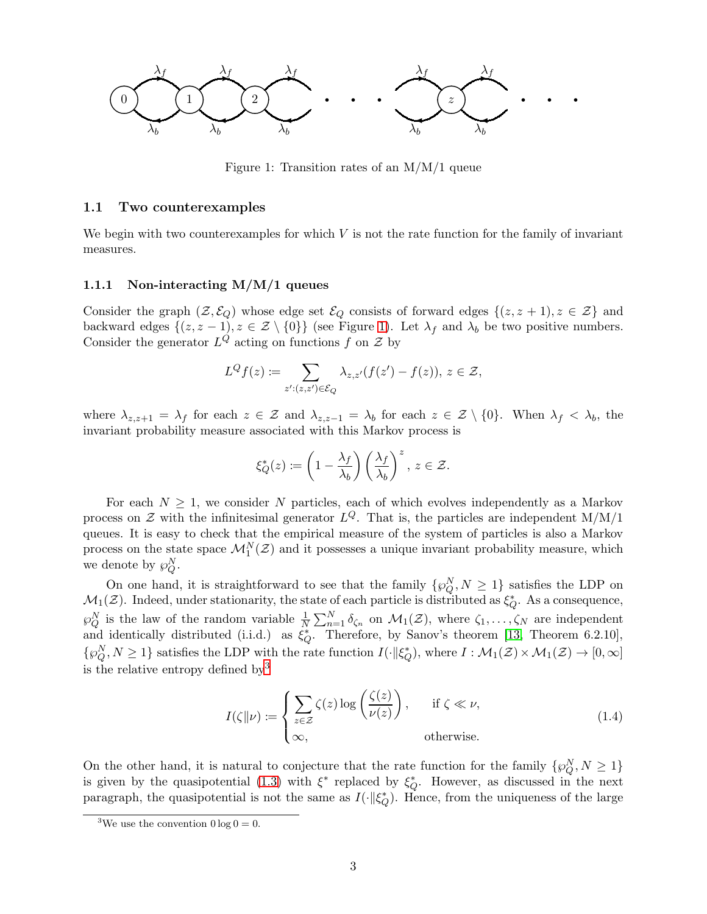<span id="page-2-0"></span>

Figure 1: Transition rates of an M/M/1 queue

### <span id="page-2-2"></span>1.1 Two counterexamples

We begin with two counterexamples for which  $V$  is not the rate function for the family of invariant measures.

### <span id="page-2-3"></span>1.1.1 Non-interacting M/M/1 queues

Consider the graph  $(\mathcal{Z}, \mathcal{E}_Q)$  whose edge set  $\mathcal{E}_Q$  consists of forward edges  $\{(z, z + 1), z \in \mathcal{Z}\}\$ and backward edges  $\{(z, z - 1), z \in \mathcal{Z} \setminus \{0\}\}\$  $\{(z, z - 1), z \in \mathcal{Z} \setminus \{0\}\}\$  $\{(z, z - 1), z \in \mathcal{Z} \setminus \{0\}\}\$  (see Figure 1). Let  $\lambda_f$  and  $\lambda_b$  be two positive numbers. Consider the generator  $L^Q$  acting on functions f on  $\mathcal Z$  by

$$
L^{Q}f(z):=\sum_{z':(z,z')\in\mathcal{E}_{Q}}\lambda_{z,z'}(f(z')-f(z)),\,z\in\mathcal{Z},
$$

where  $\lambda_{z,z+1} = \lambda_f$  for each  $z \in \mathcal{Z}$  and  $\lambda_{z,z-1} = \lambda_b$  for each  $z \in \mathcal{Z} \setminus \{0\}$ . When  $\lambda_f < \lambda_b$ , the invariant probability measure associated with this Markov process is

$$
\xi_Q^*(z) \coloneqq \left(1 - \frac{\lambda_f}{\lambda_b}\right) \left(\frac{\lambda_f}{\lambda_b}\right)^z, \ z \in \mathcal{Z}.
$$

For each  $N > 1$ , we consider N particles, each of which evolves independently as a Markov process on  $\mathcal Z$  with the infinitesimal generator  $L^Q$ . That is, the particles are independent M/M/1 queues. It is easy to check that the empirical measure of the system of particles is also a Markov process on the state space  $\mathcal{M}_1^N(\mathcal{Z})$  and it possesses a unique invariant probability measure, which we denote by  $\wp_{Q}^N$ .

On one hand, it is straightforward to see that the family  $\{\wp_Q^N, N \geq 1\}$  satisfies the LDP on  $\mathcal{M}_1(\mathcal{Z})$ . Indeed, under stationarity, the state of each particle is distributed as  $\xi_Q^*$ . As a consequence,  $\wp_Q^N$  is the law of the random variable  $\frac{1}{N} \sum_{n=1}^N \delta_{\zeta_n}$  on  $\mathcal{M}_1(\mathcal{Z})$ , where  $\zeta_1, \ldots, \zeta_N$  are independent and identically distributed (i.i.d.) as  $\xi_Q^*$ . Therefore, by Sanov's theorem [\[13,](#page-30-3) Theorem 6.2.10],  $\{\wp_Q^N, N \geq 1\}$  satisfies the LDP with the rate function  $I(\cdot || \xi_Q^*),$  where  $I: \mathcal{M}_1(\mathcal{Z}) \times \mathcal{M}_1(\mathcal{Z}) \to [0, \infty]$ is the relative entropy defined  $by<sup>3</sup>$  $by<sup>3</sup>$  $by<sup>3</sup>$ 

<span id="page-2-4"></span>
$$
I(\zeta||\nu) := \begin{cases} \sum_{z \in \mathcal{Z}} \zeta(z) \log \left( \frac{\zeta(z)}{\nu(z)} \right), & \text{if } \zeta \ll \nu, \\ \infty, & \text{otherwise.} \end{cases}
$$
(1.4)

On the other hand, it is natural to conjecture that the rate function for the family  $\{\wp_Q^N, N \geq 1\}$ is given by the quasipotential [\(1.3\)](#page-1-3) with  $\xi^*$  replaced by  $\xi_Q^*$ . However, as discussed in the next paragraph, the quasipotential is not the same as  $I(\cdot || \xi_Q^*)$ . Hence, from the uniqueness of the large

<span id="page-2-1"></span><sup>&</sup>lt;sup>3</sup>We use the convention  $0 \log 0 = 0$ .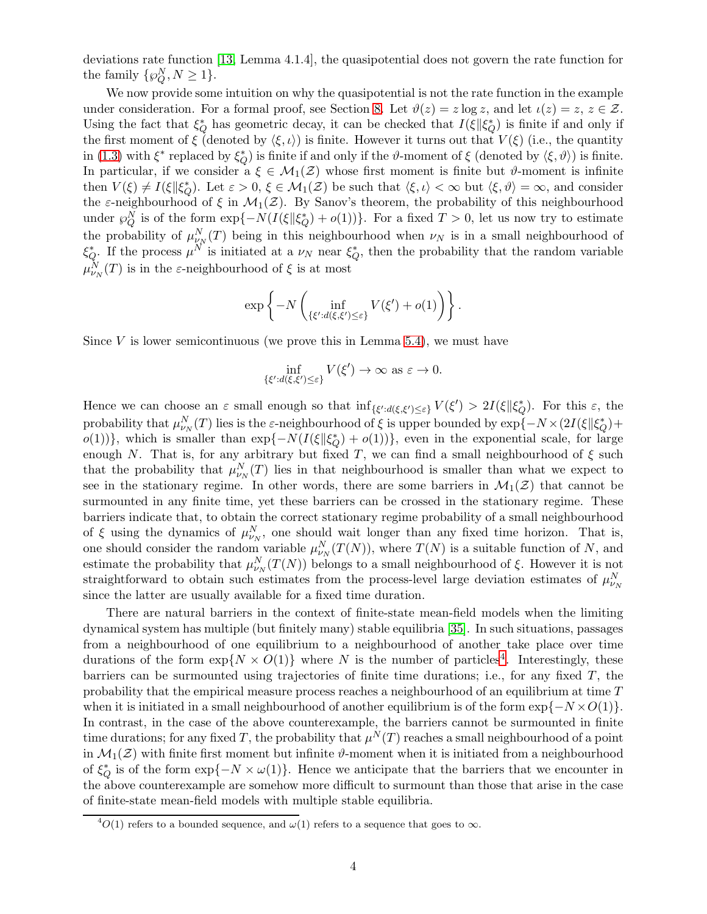deviations rate function [\[13,](#page-30-3) Lemma 4.1.4], the quasipotential does not govern the rate function for the family  $\{\wp_{Q}^{N}, N \geq 1\}.$ 

We now provide some intuition on why the quasipotential is not the rate function in the example under consideration. For a formal proof, see Section [8.](#page-26-0) Let  $\vartheta(z) = z \log z$ , and let  $\iota(z) = z$ ,  $z \in \mathcal{Z}$ . Using the fact that  $\xi_Q^*$  has geometric decay, it can be checked that  $I(\xi||\xi_Q^*)$  is finite if and only if the first moment of  $\xi$  (denoted by  $\langle \xi, \iota \rangle$ ) is finite. However it turns out that  $V(\xi)$  (i.e., the quantity in [\(1.3\)](#page-1-3) with  $\xi^*$  replaced by  $\xi_Q^*$ ) is finite if and only if the  $\vartheta$ -moment of  $\xi$  (denoted by  $\langle \xi, \vartheta \rangle$ ) is finite. In particular, if we consider a  $\xi \in M_1(\mathcal{Z})$  whose first moment is finite but  $\vartheta$ -moment is infinite then  $V(\xi) \neq I(\xi || \xi_Q^*)$ . Let  $\varepsilon > 0$ ,  $\xi \in \mathcal{M}_1(\mathcal{Z})$  be such that  $\langle \xi, \iota \rangle < \infty$  but  $\langle \xi, \vartheta \rangle = \infty$ , and consider the  $\varepsilon$ -neighbourhood of  $\xi$  in  $\mathcal{M}_1(\mathcal{Z})$ . By Sanov's theorem, the probability of this neighbourhood under  $\wp_{Q}^{N}$  is of the form  $\exp\{-N(I(\xi||\xi_{Q}^{*})+o(1))\}$ . For a fixed  $T>0$ , let us now try to estimate the probability of  $\mu_{V_N}^N(T)$  being in this neighbourhood when  $\nu_N$  is in a small neighbourhood of  $\xi_Q^*$ . If the process  $\mu^N$  is initiated at a  $\nu_N$  near  $\xi_Q^*$ , then the probability that the random variable  $\mu_{\nu_N}^N(T)$  is in the  $\varepsilon$ -neighbourhood of  $\xi$  is at most

$$
\exp\left\{-N\left(\inf_{\{\xi':d(\xi,\xi')\leq\varepsilon\}}V(\xi')+o(1)\right)\right\}.
$$

Since  $V$  is lower semicontinuous (we prove this in Lemma [5.4\)](#page-22-0), we must have

$$
\inf_{\{\xi':d(\xi,\xi')\leq\varepsilon\}}V(\xi')\to\infty\,\,\text{as}\,\,\varepsilon\to0.
$$

Hence we can choose an  $\varepsilon$  small enough so that  $\inf_{\{\xi':d(\xi,\xi')\leq\varepsilon\}}V(\xi') > 2I(\xi||\xi'_{Q})$ . For this  $\varepsilon$ , the probability that  $\mu_{\nu_N}^N(T)$  lies is the  $\varepsilon$ -neighbourhood of  $\xi$  is upper bounded by  $\exp\{-N \times (2I(\xi \| \xi_Q^*) +$  $o(1)$ }, which is smaller than  $\exp{-N(I(\xi||\xi_Q^*) + o(1))}$ , even in the exponential scale, for large enough N. That is, for any arbitrary but fixed T, we can find a small neighbourhood of  $\xi$  such that the probability that  $\mu_{\nu}^N(T)$  lies in that neighbourhood is smaller than what we expect to see in the stationary regime. In other words, there are some barriers in  $\mathcal{M}_1(\mathcal{Z})$  that cannot be surmounted in any finite time, yet these barriers can be crossed in the stationary regime. These barriers indicate that, to obtain the correct stationary regime probability of a small neighbourhood of  $\xi$  using the dynamics of  $\mu_{\nu}^N$ , one should wait longer than any fixed time horizon. That is, one should consider the random variable  $\mu_{\nu_N}^N(T(N))$ , where  $T(N)$  is a suitable function of N, and estimate the probability that  $\mu_{\nu_N}^N(T(N))$  belongs to a small neighbourhood of  $\xi$ . However it is not straightforward to obtain such estimates from the process-level large deviation estimates of  $\mu_{\nu_N}^N$ since the latter are usually available for a fixed time duration.

There are natural barriers in the context of finite-state mean-field models when the limiting dynamical system has multiple (but finitely many) stable equilibria [\[35\]](#page-32-1). In such situations, passages from a neighbourhood of one equilibrium to a neighbourhood of another take place over time durations of the form  $\exp\{N \times O(1)\}\$  where N is the number of particles<sup>[4](#page-3-0)</sup>. Interestingly, these barriers can be surmounted using trajectories of finite time durations; i.e., for any fixed  $T$ , the probability that the empirical measure process reaches a neighbourhood of an equilibrium at time  $T$ when it is initiated in a small neighbourhood of another equilibrium is of the form  $\exp\{-N \times O(1)\}\$ . In contrast, in the case of the above counterexample, the barriers cannot be surmounted in finite time durations; for any fixed T, the probability that  $\mu^{N}(T)$  reaches a small neighbourhood of a point in  $\mathcal{M}_1(\mathcal{Z})$  with finite first moment but infinite  $\vartheta$ -moment when it is initiated from a neighbourhood of  $\xi_Q^*$  is of the form exp{ $-N \times \omega(1)$ }. Hence we anticipate that the barriers that we encounter in the above counterexample are somehow more difficult to surmount than those that arise in the case of finite-state mean-field models with multiple stable equilibria.

<span id="page-3-0"></span> $^{4}O(1)$  refers to a bounded sequence, and  $\omega(1)$  refers to a sequence that goes to  $\infty$ .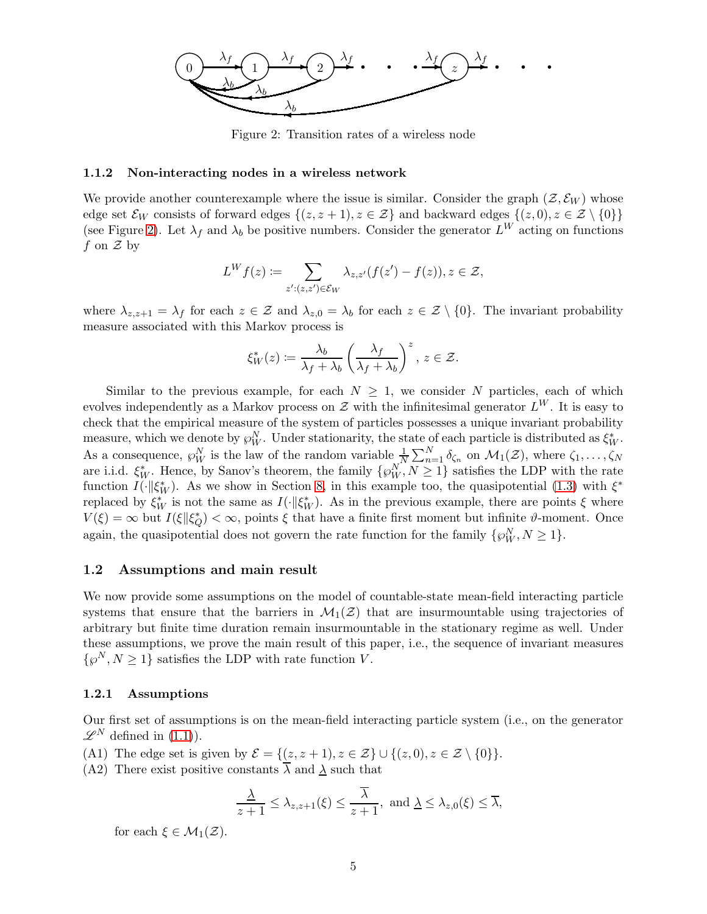<span id="page-4-0"></span>

Figure 2: Transition rates of a wireless node

#### <span id="page-4-3"></span>1.1.2 Non-interacting nodes in a wireless network

We provide another counterexample where the issue is similar. Consider the graph  $(\mathcal{Z}, \mathcal{E}_W)$  whose edge set  $\mathcal{E}_W$  consists of forward edges  $\{(z, z+1), z \in \mathcal{Z}\}\$ and backward edges  $\{(z, 0), z \in \mathcal{Z} \setminus \{0\}\}\$ (see Figure [2\)](#page-4-0). Let  $\lambda_f$  and  $\lambda_b$  be positive numbers. Consider the generator  $L^W$  acting on functions f on  $\mathcal Z$  by

$$
L^Wf(z):=\sum_{z':(z,z')\in\mathcal{E}_W}\lambda_{z,z'}(f(z')-f(z)), z\in\mathcal{Z},
$$

where  $\lambda_{z,z+1} = \lambda_f$  for each  $z \in \mathcal{Z}$  and  $\lambda_{z,0} = \lambda_b$  for each  $z \in \mathcal{Z} \setminus \{0\}$ . The invariant probability measure associated with this Markov process is

$$
\xi^*_W(z) \coloneqq \frac{\lambda_b}{\lambda_f + \lambda_b} \left(\frac{\lambda_f}{\lambda_f + \lambda_b}\right)^z, \, z \in \mathcal{Z}.
$$

Similar to the previous example, for each  $N \geq 1$ , we consider N particles, each of which evolves independently as a Markov process on  $\mathcal Z$  with the infinitesimal generator  $L^W$ . It is easy to check that the empirical measure of the system of particles possesses a unique invariant probability measure, which we denote by  $\wp_W^N$ . Under stationarity, the state of each particle is distributed as  $\xi_W^*$ . As a consequence,  $\wp_W^N$  is the law of the random variable  $\frac{1}{N} \sum_{n=1}^N \delta_{\zeta_n}$  on  $\mathcal{M}_1(\mathcal{Z})$ , where  $\zeta_1, \ldots, \zeta_N$ are i.i.d.  $\xi_W^*$ . Hence, by Sanov's theorem, the family  $\{\wp_W^N, N \geq 1\}$  satisfies the LDP with the rate function  $I(\cdot || \xi^*_{W})$ . As we show in Section [8,](#page-26-0) in this example too, the quasipotential [\(1.3\)](#page-1-3) with  $\xi^*$ replaced by  $\xi_W^*$  is not the same as  $I(\cdot | \xi_W^*)$ . As in the previous example, there are points  $\xi$  where  $V(\xi) = \infty$  but  $I(\xi||\xi_Q^*) < \infty$ , points  $\xi$  that have a finite first moment but infinite  $\vartheta$ -moment. Once again, the quasipotential does not govern the rate function for the family  $\{\wp_W^N, N \ge 1\}$ .

### 1.2 Assumptions and main result

We now provide some assumptions on the model of countable-state mean-field interacting particle systems that ensure that the barriers in  $\mathcal{M}_1(\mathcal{Z})$  that are insurmountable using trajectories of arbitrary but finite time duration remain insurmountable in the stationary regime as well. Under these assumptions, we prove the main result of this paper, i.e., the sequence of invariant measures  $\{\wp^N, N \geq 1\}$  satisfies the LDP with rate function V.

#### 1.2.1 Assumptions

Our first set of assumptions is on the mean-field interacting particle system (i.e., on the generator  $\mathscr{L}^N$  defined in [\(1.1\)](#page-1-4)).

<span id="page-4-2"></span><span id="page-4-1"></span>(A1) The edge set is given by  $\mathcal{E} = \{(z, z+1), z \in \mathcal{Z}\} \cup \{(z, 0), z \in \mathcal{Z} \setminus \{0\}\}.$ 

(A2) There exist positive constants  $\lambda$  and  $\underline{\lambda}$  such that

$$
\frac{\underline{\lambda}}{z+1} \leq \lambda_{z,z+1}(\xi) \leq \frac{\overline{\lambda}}{z+1}, \text{ and } \underline{\lambda} \leq \lambda_{z,0}(\xi) \leq \overline{\lambda},
$$

for each  $\xi \in \mathcal{M}_1(\mathcal{Z})$ .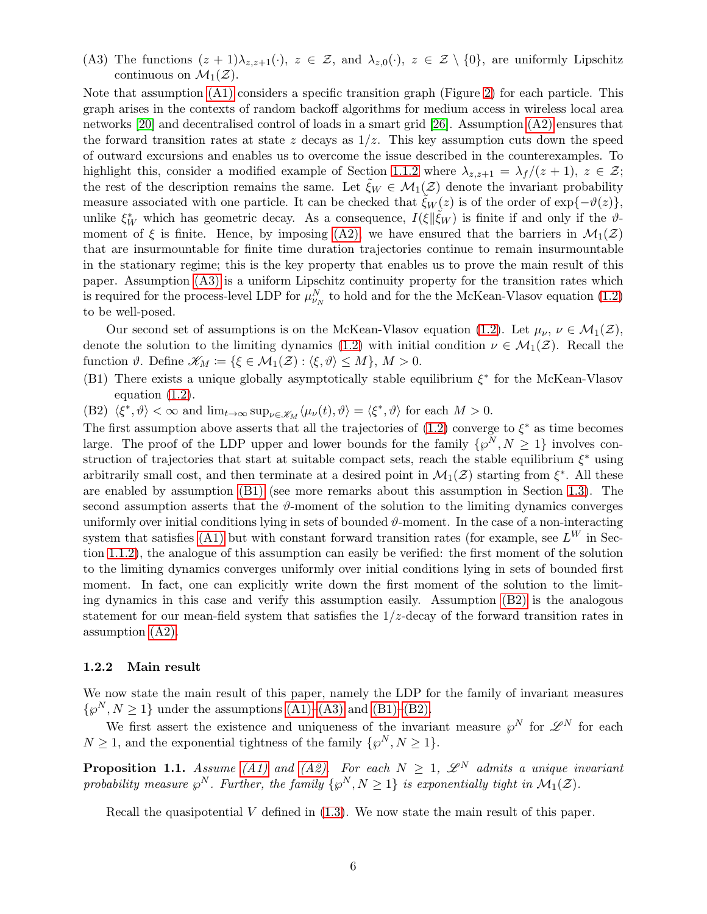<span id="page-5-0"></span>(A3) The functions  $(z + 1)\lambda_{z,z+1}(\cdot)$ ,  $z \in \mathcal{Z}$ , and  $\lambda_{z,0}(\cdot)$ ,  $z \in \mathcal{Z} \setminus \{0\}$ , are uniformly Lipschitz continuous on  $\mathcal{M}_1(\mathcal{Z})$ .

Note that assumption [\(A1\)](#page-4-1) considers a specific transition graph (Figure [2\)](#page-4-0) for each particle. This graph arises in the contexts of random backoff algorithms for medium access in wireless local area networks [\[20\]](#page-31-4) and decentralised control of loads in a smart grid [\[26\]](#page-31-5). Assumption [\(A2\)](#page-4-2) ensures that the forward transition rates at state z decays as  $1/z$ . This key assumption cuts down the speed of outward excursions and enables us to overcome the issue described in the counterexamples. To highlight this, consider a modified example of Section [1.1.2](#page-4-3) where  $\lambda_{z,z+1} = \lambda_f/(z+1)$ ,  $z \in \mathcal{Z}$ ; the rest of the description remains the same. Let  $\xi_W \in \mathcal{M}_1(\mathcal{Z})$  denote the invariant probability measure associated with one particle. It can be checked that  $\zeta_W(z)$  is of the order of  $\exp{\{-\vartheta(z)\}}$ , unlike  $\xi_W^*$  which has geometric decay. As a consequence,  $I(\xi|\tilde{\xi}_W)$  is finite if and only if the  $\vartheta$ moment of  $\xi$  is finite. Hence, by imposing [\(A2\),](#page-4-2) we have ensured that the barriers in  $\mathcal{M}_1(\mathcal{Z})$ that are insurmountable for finite time duration trajectories continue to remain insurmountable in the stationary regime; this is the key property that enables us to prove the main result of this paper. Assumption [\(A3\)](#page-5-0) is a uniform Lipschitz continuity property for the transition rates which is required for the process-level LDP for  $\mu_{\nu_N}^N$  to hold and for the the McKean-Vlasov equation [\(1.2\)](#page-1-1) to be well-posed.

Our second set of assumptions is on the McKean-Vlasov equation [\(1.2\)](#page-1-1). Let  $\mu_{\nu}$ ,  $\nu \in \mathcal{M}_1(\mathcal{Z})$ , denote the solution to the limiting dynamics [\(1.2\)](#page-1-1) with initial condition  $\nu \in M_1(\mathcal{Z})$ . Recall the function  $\vartheta$ . Define  $\mathscr{K}_M := {\{\xi \in \mathcal{M}_1(\mathcal{Z}) : \langle \xi, \vartheta \rangle \leq M\}}$ ,  $M > 0$ .

<span id="page-5-1"></span>(B1) There exists a unique globally asymptotically stable equilibrium  $\xi^*$  for the McKean-Vlasov equation [\(1.2\)](#page-1-1).

<span id="page-5-2"></span>(B2)  $\langle \xi^*, \vartheta \rangle < \infty$  and  $\lim_{t \to \infty} \sup_{\nu \in \mathcal{K}_M} \langle \mu_\nu(t), \vartheta \rangle = \langle \xi^*, \vartheta \rangle$  for each  $M > 0$ .

The first assumption above asserts that all the trajectories of  $(1.2)$  converge to  $\xi^*$  as time becomes large. The proof of the LDP upper and lower bounds for the family  $\{\wp^N, N \geq 1\}$  involves construction of trajectories that start at suitable compact sets, reach the stable equilibrium  $\xi^*$  using arbitrarily small cost, and then terminate at a desired point in  $\mathcal{M}_1(\mathcal{Z})$  starting from  $\xi^*$ . All these are enabled by assumption [\(B1\)](#page-5-1) (see more remarks about this assumption in Section [1.3\)](#page-6-0). The second assumption asserts that the  $\vartheta$ -moment of the solution to the limiting dynamics converges uniformly over initial conditions lying in sets of bounded  $\vartheta$ -moment. In the case of a non-interacting system that satisfies [\(A1\)](#page-4-1) but with constant forward transition rates (for example, see  $L^W$  in Section [1.1.2\)](#page-4-3), the analogue of this assumption can easily be verified: the first moment of the solution to the limiting dynamics converges uniformly over initial conditions lying in sets of bounded first moment. In fact, one can explicitly write down the first moment of the solution to the limiting dynamics in this case and verify this assumption easily. Assumption [\(B2\)](#page-5-2) is the analogous statement for our mean-field system that satisfies the  $1/z$ -decay of the forward transition rates in assumption [\(A2\).](#page-4-2)

### 1.2.2 Main result

We now state the main result of this paper, namely the LDP for the family of invariant measures  $\{\wp^N, N \geq 1\}$  under the assumptions  $(A1)$ – $(A3)$  and  $(B1)$ – $(B2)$ .

We first assert the existence and uniqueness of the invariant measure  $\varphi^N$  for  $\mathscr{L}^N$  for each  $N \geq 1$ , and the exponential tightness of the family  $\{\wp^N, N \geq 1\}.$ 

<span id="page-5-3"></span>**Proposition 1.1.** Assume [\(A1\)](#page-4-1) and [\(A2\).](#page-4-2) For each  $N \geq 1$ ,  $\mathscr{L}^N$  admits a unique invariant probability measure  $\wp^N$ . Further, the family  $\{\wp^N, N \geq 1\}$  is exponentially tight in  $\mathcal{M}_1(\mathcal{Z})$ .

Recall the quasipotential  $V$  defined in  $(1.3)$ . We now state the main result of this paper.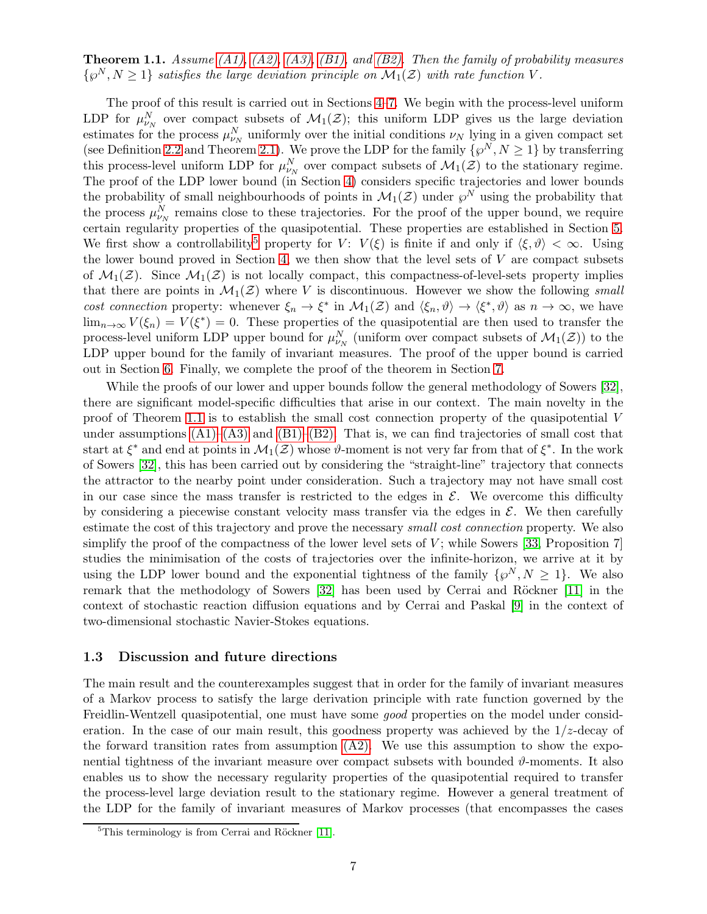<span id="page-6-2"></span>**Theorem 1.1.** Assume [\(A1\),](#page-4-1) [\(A2\),](#page-4-2) [\(A3\),](#page-5-0) [\(B1\),](#page-5-1) and [\(B2\).](#page-5-2) Then the family of probability measures  $\{\wp^N, N \geq 1\}$  satisfies the large deviation principle on  $\mathcal{M}_1(\mathcal{Z})$  with rate function V.

The proof of this result is carried out in Sections [4](#page-14-0)[–7.](#page-26-1) We begin with the process-level uniform LDP for  $\mu_{\nu_N}^N$  over compact subsets of  $\mathcal{M}_1(\mathcal{Z})$ ; this uniform LDP gives us the large deviation estimates for the process  $\mu_{\nu_N}^N$  uniformly over the initial conditions  $\nu_N$  lying in a given compact set (see Definition [2.2](#page-11-1) and Theorem [2.1\)](#page-12-0). We prove the LDP for the family  $\{\wp^N, N \geq 1\}$  by transferring this process-level uniform LDP for  $\mu_{\nu_N}^N$  over compact subsets of  $\mathcal{M}_1(\mathcal{Z})$  to the stationary regime. The proof of the LDP lower bound (in Section [4\)](#page-14-0) considers specific trajectories and lower bounds the probability of small neighbourhoods of points in  $\mathcal{M}_1(\mathcal{Z})$  under  $\wp^N$  using the probability that the process  $\mu_{\nu_N}^N$  remains close to these trajectories. For the proof of the upper bound, we require certain regularity properties of the quasipotential. These properties are established in Section [5.](#page-15-0) We first show a controllability<sup>[5](#page-6-1)</sup> property for V:  $V(\xi)$  is finite if and only if  $\langle \xi, \vartheta \rangle < \infty$ . Using the lower bound proved in Section [4,](#page-14-0) we then show that the level sets of  $V$  are compact subsets of  $\mathcal{M}_1(\mathcal{Z})$ . Since  $\mathcal{M}_1(\mathcal{Z})$  is not locally compact, this compactness-of-level-sets property implies that there are points in  $\mathcal{M}_1(\mathcal{Z})$  where V is discontinuous. However we show the following small cost connection property: whenever  $\xi_n \to \xi^*$  in  $\mathcal{M}_1(\mathcal{Z})$  and  $\langle \xi_n, \vartheta \rangle \to \langle \xi^*, \vartheta \rangle$  as  $n \to \infty$ , we have  $\lim_{n\to\infty} V(\xi_n) = V(\xi^*) = 0$ . These properties of the quasipotential are then used to transfer the process-level uniform LDP upper bound for  $\mu_{\nu_N}^N$  (uniform over compact subsets of  $\mathcal{M}_1(\mathcal{Z})$ ) to the LDP upper bound for the family of invariant measures. The proof of the upper bound is carried out in Section [6.](#page-22-1) Finally, we complete the proof of the theorem in Section [7.](#page-26-1)

While the proofs of our lower and upper bounds follow the general methodology of Sowers [\[32\]](#page-32-0), there are significant model-specific difficulties that arise in our context. The main novelty in the proof of Theorem [1.1](#page-6-2) is to establish the small cost connection property of the quasipotential V under assumptions  $(A1)$ – $(A3)$  and  $(B1)$ – $(B2)$ . That is, we can find trajectories of small cost that start at  $\xi^*$  and end at points in  $\mathcal{M}_1(\mathcal{Z})$  whose  $\vartheta$ -moment is not very far from that of  $\xi^*$ . In the work of Sowers [\[32\]](#page-32-0), this has been carried out by considering the "straight-line" trajectory that connects the attractor to the nearby point under consideration. Such a trajectory may not have small cost in our case since the mass transfer is restricted to the edges in  $\mathcal{E}$ . We overcome this difficulty by considering a piecewise constant velocity mass transfer via the edges in  $\mathcal{E}$ . We then carefully estimate the cost of this trajectory and prove the necessary *small cost connection* property. We also simplify the proof of the compactness of the lower level sets of  $V$ ; while Sowers [\[33,](#page-32-2) Proposition 7] studies the minimisation of the costs of trajectories over the infinite-horizon, we arrive at it by using the LDP lower bound and the exponential tightness of the family  $\{\wp^N, N \geq 1\}$ . We also remark that the methodology of Sowers  $[32]$  has been used by Cerrai and Röckner  $[11]$  in the context of stochastic reaction diffusion equations and by Cerrai and Paskal [\[9\]](#page-30-4) in the context of two-dimensional stochastic Navier-Stokes equations.

### <span id="page-6-0"></span>1.3 Discussion and future directions

The main result and the counterexamples suggest that in order for the family of invariant measures of a Markov process to satisfy the large derivation principle with rate function governed by the Freidlin-Wentzell quasipotential, one must have some *good* properties on the model under consideration. In the case of our main result, this goodness property was achieved by the  $1/z$ -decay of the forward transition rates from assumption  $(A2)$ . We use this assumption to show the exponential tightness of the invariant measure over compact subsets with bounded  $\vartheta$ -moments. It also enables us to show the necessary regularity properties of the quasipotential required to transfer the process-level large deviation result to the stationary regime. However a general treatment of the LDP for the family of invariant measures of Markov processes (that encompasses the cases

<span id="page-6-1"></span> $5$ This terminology is from Cerrai and Röckner [\[11\]](#page-30-1).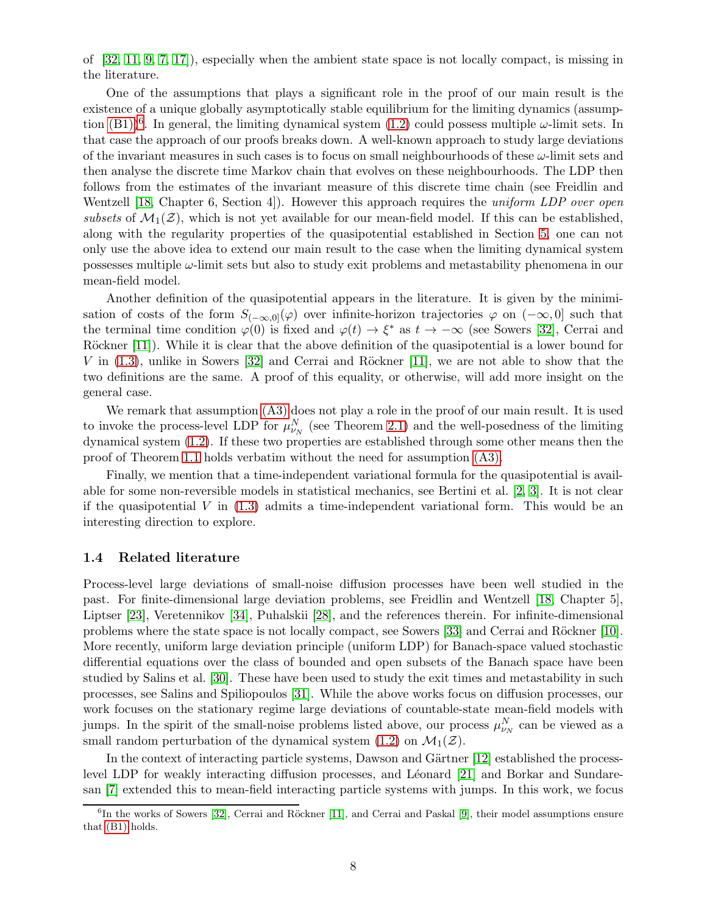of [\[32,](#page-32-0) [11,](#page-30-1) [9,](#page-30-4) [7,](#page-30-0) [17\]](#page-31-1)), especially when the ambient state space is not locally compact, is missing in the literature.

One of the assumptions that plays a significant role in the proof of our main result is the existence of a unique globally asymptotically stable equilibrium for the limiting dynamics (assumption  $(B1)$ <sup>[6](#page-7-0)</sup>. In general, the limiting dynamical system  $(1.2)$  could possess multiple  $\omega$ -limit sets. In that case the approach of our proofs breaks down. A well-known approach to study large deviations of the invariant measures in such cases is to focus on small neighbourhoods of these  $\omega$ -limit sets and then analyse the discrete time Markov chain that evolves on these neighbourhoods. The LDP then follows from the estimates of the invariant measure of this discrete time chain (see Freidlin and Wentzell [\[18,](#page-31-0) Chapter 6, Section 4]). However this approach requires the uniform LDP over open subsets of  $\mathcal{M}_1(\mathcal{Z})$ , which is not yet available for our mean-field model. If this can be established, along with the regularity properties of the quasipotential established in Section [5,](#page-15-0) one can not only use the above idea to extend our main result to the case when the limiting dynamical system possesses multiple ω-limit sets but also to study exit problems and metastability phenomena in our mean-field model.

Another definition of the quasipotential appears in the literature. It is given by the minimisation of costs of the form  $S_{(-\infty,0]}(\varphi)$  over infinite-horizon trajectories  $\varphi$  on  $(-\infty,0]$  such that the terminal time condition  $\varphi(0)$  is fixed and  $\varphi(t) \to \xi^*$  as  $t \to -\infty$  (see Sowers [\[32\]](#page-32-0), Cerrai and Röckner [\[11\]](#page-30-1)). While it is clear that the above definition of the quasipotential is a lower bound for V in  $(1.3)$ , unlike in Sowers  $[32]$  and Cerrai and Röckner  $[11]$ , we are not able to show that the two definitions are the same. A proof of this equality, or otherwise, will add more insight on the general case.

We remark that assumption [\(A3\)](#page-5-0) does not play a role in the proof of our main result. It is used to invoke the process-level LDP for  $\mu_{\nu_N}^N$  (see Theorem [2.1\)](#page-12-0) and the well-posedness of the limiting dynamical system [\(1.2\)](#page-1-1). If these two properties are established through some other means then the proof of Theorem [1.1](#page-6-2) holds verbatim without the need for assumption [\(A3\).](#page-5-0)

Finally, we mention that a time-independent variational formula for the quasipotential is available for some non-reversible models in statistical mechanics, see Bertini et al. [\[2,](#page-30-5) [3\]](#page-30-6). It is not clear if the quasipotential  $V$  in  $(1.3)$  admits a time-independent variational form. This would be an interesting direction to explore.

### 1.4 Related literature

Process-level large deviations of small-noise diffusion processes have been well studied in the past. For finite-dimensional large deviation problems, see Freidlin and Wentzell [\[18,](#page-31-0) Chapter 5], Liptser [\[23\]](#page-31-6), Veretennikov [\[34\]](#page-32-3), Puhalskii [\[28\]](#page-31-7), and the references therein. For infinite-dimensional problems where the state space is not locally compact, see Sowers [\[33\]](#page-32-2) and Cerrai and Röckner [\[10\]](#page-30-7). More recently, uniform large deviation principle (uniform LDP) for Banach-space valued stochastic differential equations over the class of bounded and open subsets of the Banach space have been studied by Salins et al. [\[30\]](#page-31-8). These have been used to study the exit times and metastability in such processes, see Salins and Spiliopoulos [\[31\]](#page-31-9). While the above works focus on diffusion processes, our work focuses on the stationary regime large deviations of countable-state mean-field models with jumps. In the spirit of the small-noise problems listed above, our process  $\mu_{\nu_N}^N$  can be viewed as a small random perturbation of the dynamical system [\(1.2\)](#page-1-1) on  $\mathcal{M}_1(\mathcal{Z})$ .

In the context of interacting particle systems, Dawson and Gärtner  $[12]$  established the process-level LDP for weakly interacting diffusion processes, and Léonard [\[21\]](#page-31-2) and Borkar and Sundaresan [\[7\]](#page-30-0) extended this to mean-field interacting particle systems with jumps. In this work, we focus

<span id="page-7-0"></span> ${}^{6}$ In the works of Sowers [\[32\]](#page-32-0), Cerrai and Röckner [\[11\]](#page-30-1), and Cerrai and Paskal [\[9\]](#page-30-4), their model assumptions ensure that [\(B1\)](#page-5-1) holds.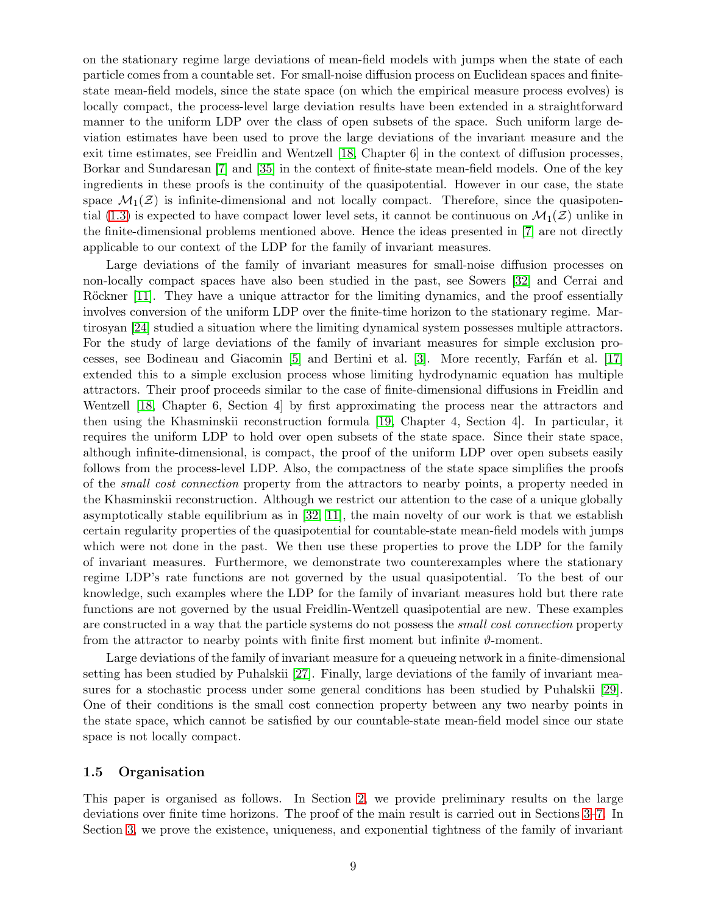on the stationary regime large deviations of mean-field models with jumps when the state of each particle comes from a countable set. For small-noise diffusion process on Euclidean spaces and finitestate mean-field models, since the state space (on which the empirical measure process evolves) is locally compact, the process-level large deviation results have been extended in a straightforward manner to the uniform LDP over the class of open subsets of the space. Such uniform large deviation estimates have been used to prove the large deviations of the invariant measure and the exit time estimates, see Freidlin and Wentzell [\[18,](#page-31-0) Chapter 6] in the context of diffusion processes, Borkar and Sundaresan [\[7\]](#page-30-0) and [\[35\]](#page-32-1) in the context of finite-state mean-field models. One of the key ingredients in these proofs is the continuity of the quasipotential. However in our case, the state space  $\mathcal{M}_1(\mathcal{Z})$  is infinite-dimensional and not locally compact. Therefore, since the quasipoten-tial [\(1.3\)](#page-1-3) is expected to have compact lower level sets, it cannot be continuous on  $\mathcal{M}_1(\mathcal{Z})$  unlike in the finite-dimensional problems mentioned above. Hence the ideas presented in [\[7\]](#page-30-0) are not directly applicable to our context of the LDP for the family of invariant measures.

Large deviations of the family of invariant measures for small-noise diffusion processes on non-locally compact spaces have also been studied in the past, see Sowers [\[32\]](#page-32-0) and Cerrai and Röckner [\[11\]](#page-30-1). They have a unique attractor for the limiting dynamics, and the proof essentially involves conversion of the uniform LDP over the finite-time horizon to the stationary regime. Martirosyan [\[24\]](#page-31-10) studied a situation where the limiting dynamical system possesses multiple attractors. For the study of large deviations of the family of invariant measures for simple exclusion processes, see Bodineau and Giacomin  $[5]$  and Bertini et al.  $[3]$ . More recently, Farfán et al.  $[17]$ extended this to a simple exclusion process whose limiting hydrodynamic equation has multiple attractors. Their proof proceeds similar to the case of finite-dimensional diffusions in Freidlin and Wentzell [\[18,](#page-31-0) Chapter 6, Section 4] by first approximating the process near the attractors and then using the Khasminskii reconstruction formula [\[19,](#page-31-11) Chapter 4, Section 4]. In particular, it requires the uniform LDP to hold over open subsets of the state space. Since their state space, although infinite-dimensional, is compact, the proof of the uniform LDP over open subsets easily follows from the process-level LDP. Also, the compactness of the state space simplifies the proofs of the small cost connection property from the attractors to nearby points, a property needed in the Khasminskii reconstruction. Although we restrict our attention to the case of a unique globally asymptotically stable equilibrium as in [\[32,](#page-32-0) [11\]](#page-30-1), the main novelty of our work is that we establish certain regularity properties of the quasipotential for countable-state mean-field models with jumps which were not done in the past. We then use these properties to prove the LDP for the family of invariant measures. Furthermore, we demonstrate two counterexamples where the stationary regime LDP's rate functions are not governed by the usual quasipotential. To the best of our knowledge, such examples where the LDP for the family of invariant measures hold but there rate functions are not governed by the usual Freidlin-Wentzell quasipotential are new. These examples are constructed in a way that the particle systems do not possess the *small cost connection* property from the attractor to nearby points with finite first moment but infinite  $\vartheta$ -moment.

Large deviations of the family of invariant measure for a queueing network in a finite-dimensional setting has been studied by Puhalskii [\[27\]](#page-31-12). Finally, large deviations of the family of invariant measures for a stochastic process under some general conditions has been studied by Puhalskii [\[29\]](#page-31-13). One of their conditions is the small cost connection property between any two nearby points in the state space, which cannot be satisfied by our countable-state mean-field model since our state space is not locally compact.

### 1.5 Organisation

This paper is organised as follows. In Section [2,](#page-9-0) we provide preliminary results on the large deviations over finite time horizons. The proof of the main result is carried out in Sections [3](#page-12-1)[–7.](#page-26-1) In Section [3,](#page-12-1) we prove the existence, uniqueness, and exponential tightness of the family of invariant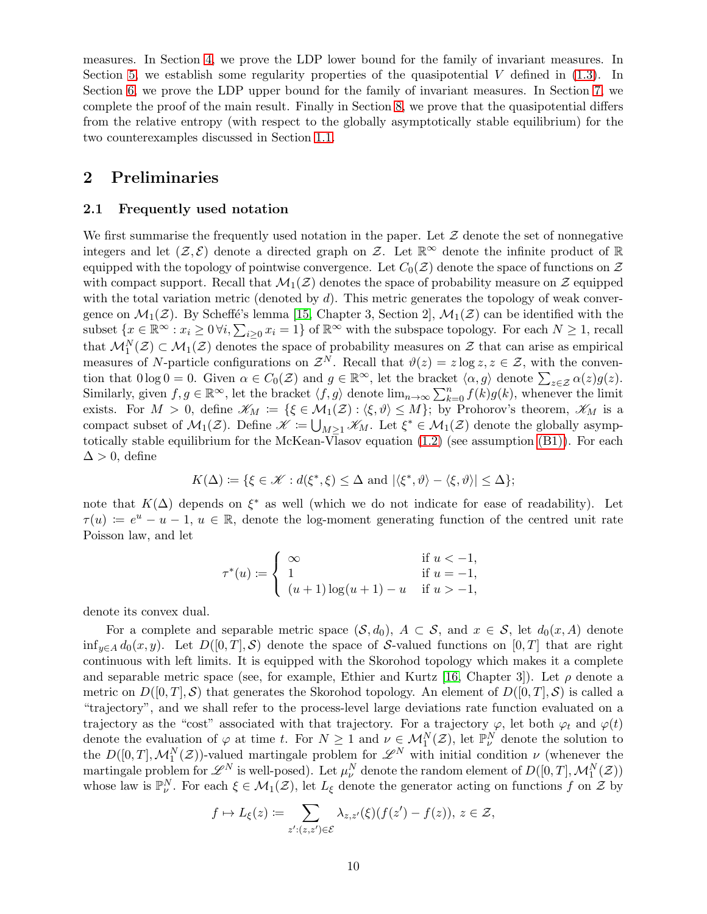measures. In Section [4,](#page-14-0) we prove the LDP lower bound for the family of invariant measures. In Section [5,](#page-15-0) we establish some regularity properties of the quasipotential  $V$  defined in [\(1.3\)](#page-1-3). In Section [6,](#page-22-1) we prove the LDP upper bound for the family of invariant measures. In Section [7,](#page-26-1) we complete the proof of the main result. Finally in Section [8,](#page-26-0) we prove that the quasipotential differs from the relative entropy (with respect to the globally asymptotically stable equilibrium) for the two counterexamples discussed in Section [1.1.](#page-2-2)

## <span id="page-9-0"></span>2 Preliminaries

### 2.1 Frequently used notation

We first summarise the frequently used notation in the paper. Let  $\mathcal Z$  denote the set of nonnegative integers and let  $(\mathcal{Z}, \mathcal{E})$  denote a directed graph on  $\mathcal{Z}$ . Let  $\mathbb{R}^{\infty}$  denote the infinite product of  $\mathbb{R}$ equipped with the topology of pointwise convergence. Let  $C_0(\mathcal{Z})$  denote the space of functions on  $\mathcal Z$ with compact support. Recall that  $\mathcal{M}_1(\mathcal{Z})$  denotes the space of probability measure on  $\mathcal{Z}$  equipped with the total variation metric (denoted by  $d$ ). This metric generates the topology of weak convergence on  $\mathcal{M}_1(\mathcal{Z})$ . By Scheffé's lemma [\[15,](#page-31-14) Chapter 3, Section 2],  $\mathcal{M}_1(\mathcal{Z})$  can be identified with the subset  $\{x \in \mathbb{R}^{\infty} : x_i \geq 0 \forall i, \sum_{i \geq 0} x_i = 1\}$  of  $\mathbb{R}^{\infty}$  with the subspace topology. For each  $N \geq 1$ , recall that  $\mathcal{M}_1^N(\mathcal{Z}) \subset \mathcal{M}_1(\mathcal{Z})$  denotes the space of probability measures on  $\mathcal{Z}$  that can arise as empirical measures of N-particle configurations on  $\mathcal{Z}^N$ . Recall that  $\vartheta(z) = z \log z, z \in \mathcal{Z}$ , with the convention that  $0 \log 0 = 0$ . Given  $\alpha \in C_0(\mathcal{Z})$  and  $g \in \mathbb{R}^\infty$ , let the bracket  $\langle \alpha, g \rangle$  denote  $\sum_{z \in \mathcal{Z}} \alpha(z) g(z)$ . Similarly, given  $f, g \in \mathbb{R}^{\infty}$ , let the bracket  $\langle f, g \rangle$  denote  $\lim_{n\to\infty} \sum_{k=0}^{n} f(k)g(k)$ , whenever the limit exists. For  $M > 0$ , define  $\mathscr{K}_M := \{ \xi \in \mathcal{M}_1(\mathcal{Z}) : \langle \xi, \vartheta \rangle \leq M \}$ ; by Prohorov's theorem,  $\mathscr{K}_M$  is a compact subset of  $\mathcal{M}_1(\mathcal{Z})$ . Define  $\mathscr{K} := \bigcup_{M \geq 1} \mathscr{K}_M$ . Let  $\xi^* \in \mathcal{M}_1(\mathcal{Z})$  denote the globally asymptotically stable equilibrium for the McKean-Vlasov equation [\(1.2\)](#page-1-1) (see assumption [\(B1\)\)](#page-5-1). For each  $\Delta > 0$ , define

$$
K(\Delta) \coloneqq \{ \xi \in \mathcal{K} : d(\xi^*, \xi) \leq \Delta \text{ and } |\langle \xi^*, \vartheta \rangle - \langle \xi, \vartheta \rangle| \leq \Delta \};
$$

note that  $K(\Delta)$  depends on  $\xi^*$  as well (which we do not indicate for ease of readability). Let  $\tau(u) := e^u - u - 1, u \in \mathbb{R}$ , denote the log-moment generating function of the centred unit rate Poisson law, and let

$$
\tau^*(u) := \begin{cases}\n\infty & \text{if } u < -1, \\
1 & \text{if } u = -1, \\
(u+1)\log(u+1) - u & \text{if } u > -1,\n\end{cases}
$$

denote its convex dual.

For a complete and separable metric space  $(S, d_0)$ ,  $A \subset S$ , and  $x \in S$ , let  $d_0(x, A)$  denote inf<sub>y∈A</sub>  $d_0(x, y)$ . Let  $D([0, T], S)$  denote the space of S-valued functions on [0, T] that are right continuous with left limits. It is equipped with the Skorohod topology which makes it a complete and separable metric space (see, for example, Ethier and Kurtz [\[16,](#page-31-15) Chapter 3]). Let  $\rho$  denote a metric on  $D([0,T],\mathcal{S})$  that generates the Skorohod topology. An element of  $D([0,T],\mathcal{S})$  is called a "trajectory", and we shall refer to the process-level large deviations rate function evaluated on a trajectory as the "cost" associated with that trajectory. For a trajectory  $\varphi$ , let both  $\varphi_t$  and  $\varphi(t)$ denote the evaluation of  $\varphi$  at time t. For  $N \geq 1$  and  $\nu \in M_1^N(\mathcal{Z})$ , let  $\mathbb{P}^N_\nu$  denote the solution to the  $D([0,T], \mathcal{M}_1^N(\mathcal{Z}))$ -valued martingale problem for  $\mathcal{L}^N$  with initial condition  $\nu$  (whenever the martingale problem for  $\mathscr{L}^N$  is well-posed). Let  $\mu_\nu^N$  denote the random element of  $D([0,T], \mathcal{M}_1^N(\mathcal{Z}))$ whose law is  $\mathbb{P}_{\nu}^N$ . For each  $\xi \in \mathcal{M}_1(\mathcal{Z})$ , let  $L_{\xi}$  denote the generator acting on functions f on  $\mathcal{Z}$  by

$$
f \mapsto L_{\xi}(z) \coloneqq \sum_{z': (z, z') \in \mathcal{E}} \lambda_{z, z'}(\xi)(f(z') - f(z)), \ z \in \mathcal{Z},
$$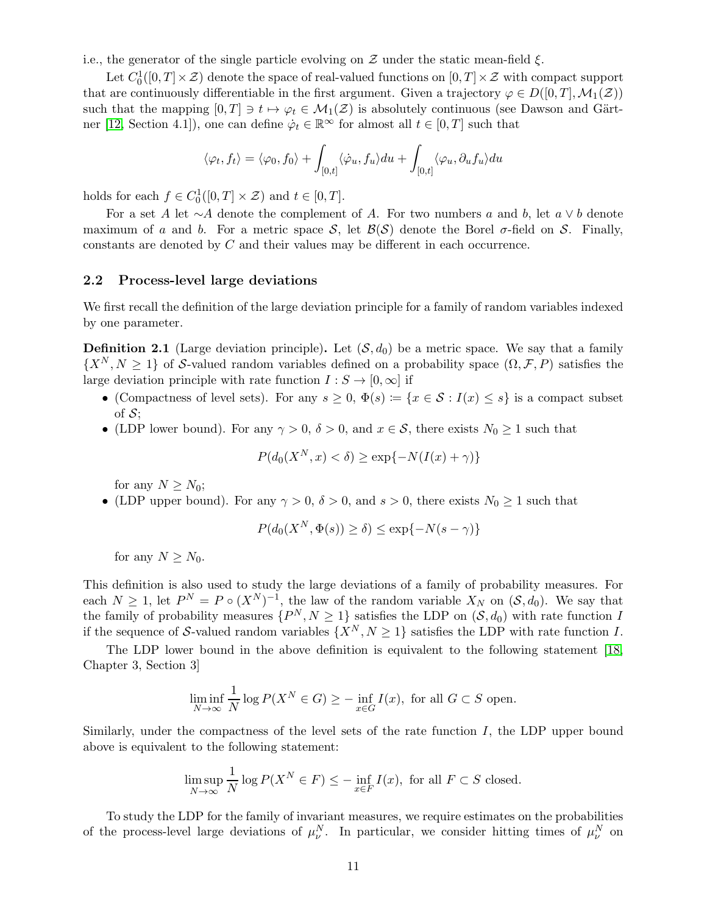i.e., the generator of the single particle evolving on  $\mathcal Z$  under the static mean-field  $\xi$ .

Let  $C_0^1([0,T]\times\mathcal{Z})$  denote the space of real-valued functions on  $[0,T]\times\mathcal{Z}$  with compact support that are continuously differentiable in the first argument. Given a trajectory  $\varphi \in D([0,T], \mathcal{M}_1(\mathcal{Z}))$ such that the mapping  $[0, T] \ni t \mapsto \varphi_t \in \mathcal{M}_1(\mathcal{Z})$  is absolutely continuous (see Dawson and Gärt-ner [\[12,](#page-30-8) Section 4.1]), one can define  $\dot{\varphi}_t \in \mathbb{R}^\infty$  for almost all  $t \in [0, T]$  such that

$$
\langle \varphi_t, f_t \rangle = \langle \varphi_0, f_0 \rangle + \int_{[0,t]} \langle \dot{\varphi}_u, f_u \rangle du + \int_{[0,t]} \langle \varphi_u, \partial_u f_u \rangle du
$$

holds for each  $f \in C_0^1([0, T] \times \mathcal{Z})$  and  $t \in [0, T]$ .

For a set A let ∼A denote the complement of A. For two numbers a and b, let  $a \vee b$  denote maximum of a and b. For a metric space S, let  $\mathcal{B}(S)$  denote the Borel  $\sigma$ -field on S. Finally, constants are denoted by C and their values may be different in each occurrence.

### 2.2 Process-level large deviations

We first recall the definition of the large deviation principle for a family of random variables indexed by one parameter.

**Definition 2.1** (Large deviation principle). Let  $(S, d_0)$  be a metric space. We say that a family  $\{X^N, N \geq 1\}$  of S-valued random variables defined on a probability space  $(\Omega, \mathcal{F}, P)$  satisfies the large deviation principle with rate function  $I: S \to [0, \infty]$  if

- (Compactness of level sets). For any  $s \geq 0$ ,  $\Phi(s) := \{x \in \mathcal{S} : I(x) \leq s\}$  is a compact subset of  $\mathcal{S}$ :
- (LDP lower bound). For any  $\gamma > 0$ ,  $\delta > 0$ , and  $x \in \mathcal{S}$ , there exists  $N_0 \ge 1$  such that

$$
P(d_0(X^N, x) < \delta) \ge \exp\{-N(I(x) + \gamma)\}
$$

for any  $N \geq N_0$ ;

• (LDP upper bound). For any  $\gamma > 0$ ,  $\delta > 0$ , and  $s > 0$ , there exists  $N_0 \ge 1$  such that

$$
P(d_0(X^N, \Phi(s)) \ge \delta) \le \exp\{-N(s - \gamma)\}\
$$

for any  $N \geq N_0$ .

This definition is also used to study the large deviations of a family of probability measures. For each  $N \geq 1$ , let  $P^N = P \circ (X^N)^{-1}$ , the law of the random variable  $X_N$  on  $(S, d_0)$ . We say that the family of probability measures  $\{P^N, N \geq 1\}$  satisfies the LDP on  $(\mathcal{S}, d_0)$  with rate function I if the sequence of S-valued random variables  $\{X^N, N \geq 1\}$  satisfies the LDP with rate function I.

The LDP lower bound in the above definition is equivalent to the following statement [\[18,](#page-31-0) Chapter 3, Section 3]

$$
\liminf_{N \to \infty} \frac{1}{N} \log P(X^N \in G) \ge - \inf_{x \in G} I(x), \text{ for all } G \subset S \text{ open.}
$$

Similarly, under the compactness of the level sets of the rate function  $I$ , the LDP upper bound above is equivalent to the following statement:

$$
\limsup_{N \to \infty} \frac{1}{N} \log P(X^N \in F) \le - \inf_{x \in F} I(x)
$$
, for all  $F \subset S$  closed.

To study the LDP for the family of invariant measures, we require estimates on the probabilities of the process-level large deviations of  $\mu_{\nu}^{N}$ . In particular, we consider hitting times of  $\mu_{\nu}^{N}$  on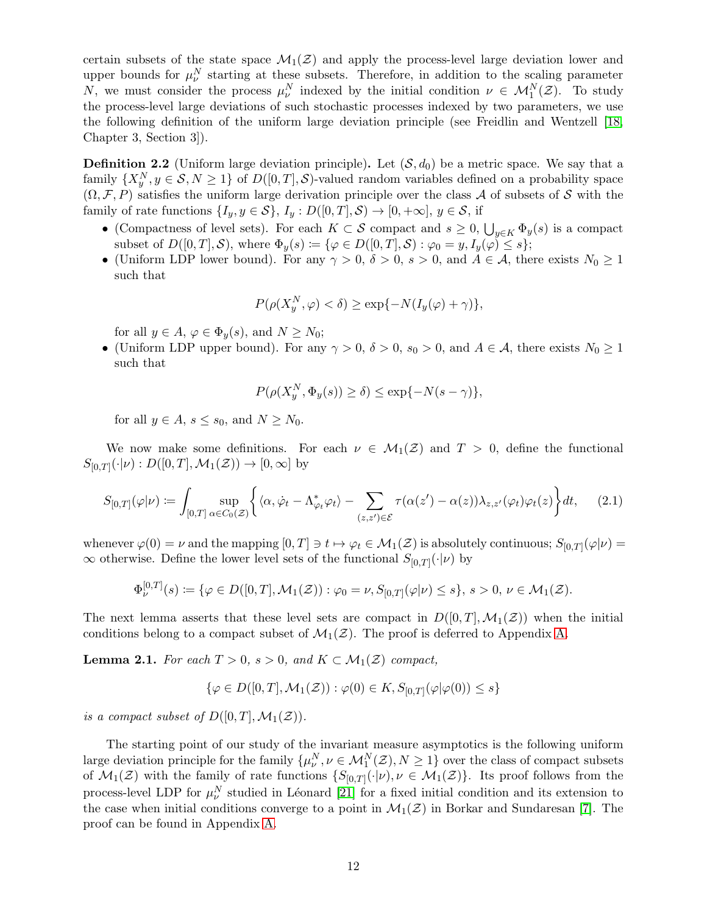certain subsets of the state space  $\mathcal{M}_1(\mathcal{Z})$  and apply the process-level large deviation lower and upper bounds for  $\mu_{\nu}^{N}$  starting at these subsets. Therefore, in addition to the scaling parameter N, we must consider the process  $\mu_{\nu}^{N}$  indexed by the initial condition  $\nu \in \mathcal{M}_{1}^{N}(\mathcal{Z})$ . To study the process-level large deviations of such stochastic processes indexed by two parameters, we use the following definition of the uniform large deviation principle (see Freidlin and Wentzell [\[18,](#page-31-0) Chapter 3, Section 3]).

<span id="page-11-1"></span>**Definition 2.2** (Uniform large deviation principle). Let  $(S, d_0)$  be a metric space. We say that a family  $\{X_y^N, y \in \mathcal{S}, N \geq 1\}$  of  $D([0, T], \mathcal{S})$ -valued random variables defined on a probability space  $(\Omega, \mathcal{F}, P)$  satisfies the uniform large derivation principle over the class A of subsets of S with the family of rate functions  $\{I_y, y \in \mathcal{S}\}, I_y : D([0,T], \mathcal{S}) \to [0, +\infty], y \in \mathcal{S}$ , if

- (Compactness of level sets). For each  $K \subset S$  compact and  $s \geq 0$ ,  $\bigcup_{y \in K} \Phi_y(s)$  is a compact subset of  $D([0,T],\mathcal{S})$ , where  $\Phi_y(s) := {\varphi \in D([0,T],\mathcal{S}) : \varphi_0 = y, I_y(\varphi) \leq s};$
- (Uniform LDP lower bound). For any  $\gamma > 0$ ,  $\delta > 0$ ,  $s > 0$ , and  $A \in \mathcal{A}$ , there exists  $N_0 \geq 1$ such that

$$
P(\rho(X_y^N, \varphi) < \delta) \ge \exp\{-N(I_y(\varphi) + \gamma)\},
$$

for all  $y \in A$ ,  $\varphi \in \Phi_u(s)$ , and  $N \geq N_0$ ;

• (Uniform LDP upper bound). For any  $\gamma > 0$ ,  $\delta > 0$ ,  $s_0 > 0$ , and  $A \in \mathcal{A}$ , there exists  $N_0 \geq 1$ such that

<span id="page-11-0"></span>
$$
P(\rho(X_y^N, \Phi_y(s)) \ge \delta) \le \exp\{-N(s-\gamma)\},\
$$

for all  $y \in A$ ,  $s \leq s_0$ , and  $N \geq N_0$ .

We now make some definitions. For each  $\nu \in M_1(\mathcal{Z})$  and  $T > 0$ , define the functional  $S_{[0,T]}(\cdot | \nu) : D([0,T], \mathcal{M}_1(\mathcal{Z})) \to [0,\infty]$  by

$$
S_{[0,T]}(\varphi|\nu) \coloneqq \int_{[0,T]} \sup_{\alpha \in C_0(\mathcal{Z})} \left\{ \langle \alpha, \dot{\varphi}_t - \Lambda_{\varphi_t}^* \varphi_t \rangle - \sum_{(z,z') \in \mathcal{E}} \tau(\alpha(z') - \alpha(z)) \lambda_{z,z'}(\varphi_t) \varphi_t(z) \right\} dt,\qquad(2.1)
$$

whenever  $\varphi(0) = \nu$  and the mapping  $[0,T] \ni t \mapsto \varphi_t \in \mathcal{M}_1(\mathcal{Z})$  is absolutely continuous;  $S_{[0,T]}(\varphi|\nu) =$  $\infty$  otherwise. Define the lower level sets of the functional  $S_{[0,T]}(\cdot | \nu)$  by

$$
\Phi_{\nu}^{[0,T]}(s) := \{ \varphi \in D([0,T], \mathcal{M}_1(\mathcal{Z})) : \varphi_0 = \nu, S_{[0,T]}(\varphi|\nu) \leq s \}, \ s > 0, \ \nu \in \mathcal{M}_1(\mathcal{Z}).
$$

The next lemma asserts that these level sets are compact in  $D([0,T],\mathcal{M}_1(\mathcal{Z}))$  when the initial conditions belong to a compact subset of  $\mathcal{M}_1(\mathcal{Z})$ . The proof is deferred to Appendix [A.](#page-28-0)

<span id="page-11-2"></span>**Lemma 2.1.** For each  $T > 0$ ,  $s > 0$ , and  $K \subset \mathcal{M}_1(\mathcal{Z})$  compact,

$$
\{\varphi \in D([0,T],\mathcal{M}_1(\mathcal{Z})) : \varphi(0) \in K, S_{[0,T]}(\varphi|\varphi(0)) \leq s\}
$$

is a compact subset of  $D([0, T], \mathcal{M}_1(\mathcal{Z}))$ .

The starting point of our study of the invariant measure asymptotics is the following uniform large deviation principle for the family  $\{\mu^N_\nu, \nu \in \mathcal{M}^N_1(\mathcal{Z}), N \geq 1\}$  over the class of compact subsets of  $\mathcal{M}_1(\mathcal{Z})$  with the family of rate functions  $\{S_{[0,T]}(\cdot|\nu), \nu \in \mathcal{M}_1(\mathcal{Z})\}$ . Its proof follows from the process-level LDP for  $\mu_{\nu}^{N}$  studied in Léonard [\[21\]](#page-31-2) for a fixed initial condition and its extension to the case when initial conditions converge to a point in  $\mathcal{M}_1(\mathcal{Z})$  in Borkar and Sundaresan [\[7\]](#page-30-0). The proof can be found in Appendix [A.](#page-28-0)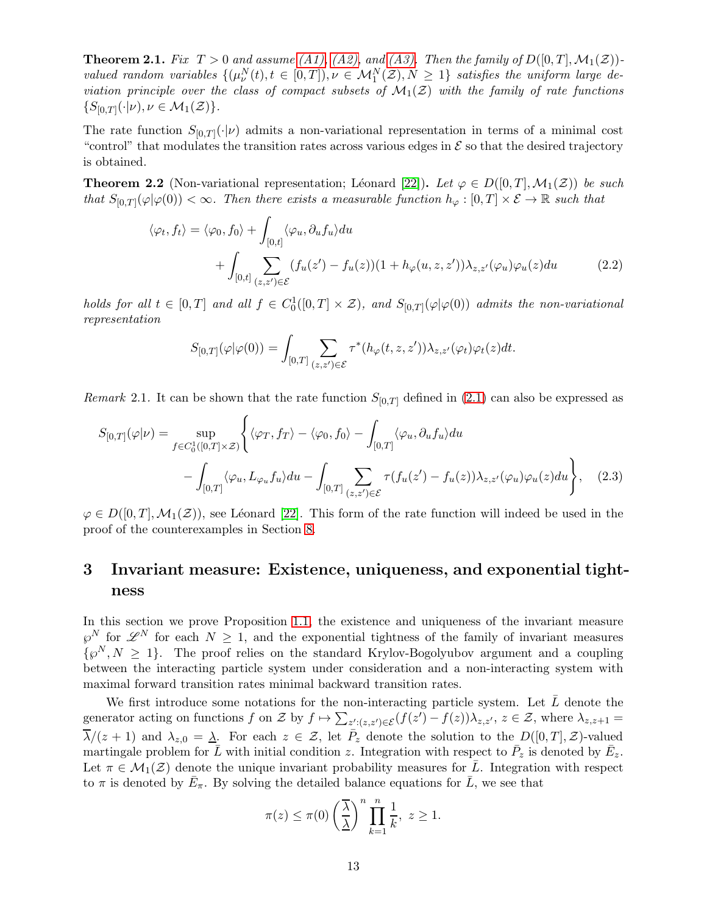<span id="page-12-0"></span>**Theorem 2.1.** Fix  $T > 0$  and assume [\(A1\),](#page-4-1) [\(A2\),](#page-4-2) and [\(A3\).](#page-5-0) Then the family of  $D([0, T], \mathcal{M}_1(\mathcal{Z}))$ valued random variables  $\{(\mu^N_\nu(t), t \in [0,T]), \nu \in \mathcal{M}_1^N(\mathcal{Z}), N \geq 1\}$  satisfies the uniform large deviation principle over the class of compact subsets of  $\mathcal{M}_1(\mathcal{Z})$  with the family of rate functions  $\{S_{[0,T]}(\cdot | \nu), \nu \in \mathcal{M}_1(\mathcal{Z})\}.$ 

The rate function  $S_{[0,T]}(\cdot|\nu)$  admits a non-variational representation in terms of a minimal cost "control" that modulates the transition rates across various edges in  $\mathcal E$  so that the desired trajectory is obtained.

**Theorem 2.2** (Non-variational representation; Léonard [\[22\]](#page-31-16)). Let  $\varphi \in D([0, T], \mathcal{M}_1(\mathcal{Z}))$  be such that  $S_{[0,T]}(\varphi|\varphi(0)) < \infty$ . Then there exists a measurable function  $h_{\varphi} : [0,T] \times \mathcal{E} \to \mathbb{R}$  such that

$$
\langle \varphi_t, f_t \rangle = \langle \varphi_0, f_0 \rangle + \int_{[0,t]} \langle \varphi_u, \partial_u f_u \rangle du + \int_{[0,t]} \sum_{(z,z') \in \mathcal{E}} (f_u(z') - f_u(z))(1 + h_{\varphi}(u, z, z')) \lambda_{z,z'}(\varphi_u) \varphi_u(z) du
$$
 (2.2)

holds for all  $t \in [0,T]$  and all  $f \in C_0^1([0,T] \times \mathcal{Z})$ , and  $S_{[0,T]}(\varphi | \varphi(0))$  admits the non-variational representation

<span id="page-12-3"></span><span id="page-12-2"></span>
$$
S_{[0,T]}(\varphi|\varphi(0)) = \int_{[0,T]} \sum_{(z,z')\in\mathcal{E}} \tau^*(h_{\varphi}(t,z,z'))\lambda_{z,z'}(\varphi_t)\varphi_t(z)dt.
$$

*Remark* 2.1. It can be shown that the rate function  $S_{[0,T]}$  defined in [\(2.1\)](#page-11-0) can also be expressed as

$$
S_{[0,T]}(\varphi|\nu) = \sup_{f \in C_0^1([0,T] \times \mathcal{Z})} \left\{ \langle \varphi_T, f_T \rangle - \langle \varphi_0, f_0 \rangle - \int_{[0,T]} \langle \varphi_u, \partial_u f_u \rangle du - \int_{[0,T]} \langle \varphi_u, L_{\varphi_u} f_u \rangle du - \int_{[0,T]} \sum_{(z,z') \in \mathcal{E}} \tau(f_u(z') - f_u(z)) \lambda_{z,z'}(\varphi_u) \varphi_u(z) du \right\}, \quad (2.3)
$$

 $\varphi \in D([0,T], \mathcal{M}_1(\mathcal{Z}))$ , see Léonard [\[22\]](#page-31-16). This form of the rate function will indeed be used in the proof of the counterexamples in Section [8.](#page-26-0)

## <span id="page-12-1"></span>3 Invariant measure: Existence, uniqueness, and exponential tightness

In this section we prove Proposition [1.1,](#page-5-3) the existence and uniqueness of the invariant measure  $\varphi^N$  for  $\mathscr{L}^N$  for each  $N \geq 1$ , and the exponential tightness of the family of invariant measures  $\{\varphi^N, N \geq 1\}$ . The proof relies on the standard Krylov-Bogolyubov argument and a coupling between the interacting particle system under consideration and a non-interacting system with maximal forward transition rates minimal backward transition rates.

We first introduce some notations for the non-interacting particle system. Let  $\overline{L}$  denote the generator acting on functions f on Z by  $f \mapsto \sum_{z':(z,z')\in \mathcal{E}} (f(z') - f(z))\lambda_{z,z'}$ ,  $z \in \mathcal{Z}$ , where  $\lambda_{z,z+1} =$  $\overline{\lambda}/(z+1)$  and  $\lambda_{z,0} = \underline{\lambda}$ . For each  $z \in \mathcal{Z}$ , let  $\overline{P}_z$  denote the solution to the  $D([0,T],\mathcal{Z})$ -valued martingale problem for  $\bar{L}$  with initial condition z. Integration with respect to  $\bar{P}_z$  is denoted by  $\bar{E}_z$ . Let  $\pi \in \mathcal{M}_1(\mathcal{Z})$  denote the unique invariant probability measures for  $\overline{L}$ . Integration with respect to  $\pi$  is denoted by  $\bar{E}_{\pi}$ . By solving the detailed balance equations for  $\bar{L}$ , we see that

$$
\pi(z) \le \pi(0) \left(\frac{\overline{\lambda}}{\underline{\lambda}}\right)^n \prod_{k=1}^n \frac{1}{k}, \ z \ge 1.
$$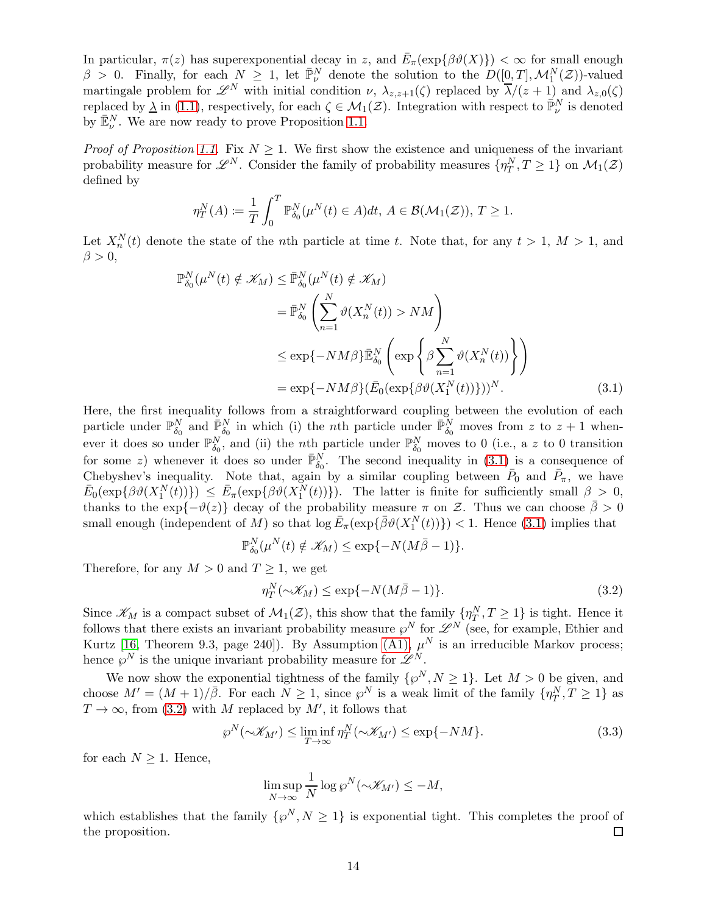In particular,  $\pi(z)$  has superexponential decay in z, and  $\bar{E}_{\pi}(\exp\{\beta \vartheta(X)\}) < \infty$  for small enough  $\beta > 0$ . Finally, for each  $N \geq 1$ , let  $\overline{\mathbb{P}}_{\nu}^{N}$  denote the solution to the  $D([0, T], \mathcal{M}_{1}^{N}(\mathcal{Z}))$ -valued martingale problem for  $\mathscr{L}^N$  with initial condition  $\nu$ ,  $\lambda_{z,z+1}(\zeta)$  replaced by  $\overline{\lambda}/(z+1)$  and  $\lambda_{z,0}(\zeta)$ replaced by  $\underline{\lambda}$  in [\(1.1\)](#page-1-4), respectively, for each  $\zeta \in \mathcal{M}_1(\mathcal{Z})$ . Integration with respect to  $\overline{\mathbb{P}}_V^N$  is denoted by  $\mathbb{E}^N_\nu$ . We are now ready to prove Proposition [1.1.](#page-5-3)

*Proof of Proposition [1.1.](#page-5-3)* Fix  $N > 1$ . We first show the existence and uniqueness of the invariant probability measure for  $\mathscr{L}^N$ . Consider the family of probability measures  $\{\eta^N_T, T \ge 1\}$  on  $\mathcal{M}_1(\mathcal{Z})$ defined by

$$
\eta_T^N(A) \coloneqq \frac{1}{T} \int_0^T \mathbb{P}_{\delta_0}^N(\mu^N(t) \in A) dt, A \in \mathcal{B}(\mathcal{M}_1(\mathcal{Z})), T \ge 1.
$$

Let  $X_n^N(t)$  denote the state of the nth particle at time t. Note that, for any  $t > 1$ ,  $M > 1$ , and  $\beta > 0$ ,

$$
\mathbb{P}_{\delta_0}^N(\mu^N(t) \notin \mathcal{K}_M) \leq \bar{\mathbb{P}}_{\delta_0}^N(\mu^N(t) \notin \mathcal{K}_M)
$$
\n
$$
= \bar{\mathbb{P}}_{\delta_0}^N\left(\sum_{n=1}^N \vartheta(X_n^N(t)) > NM\right)
$$
\n
$$
\leq \exp\{-NM\beta\}\bar{\mathbb{E}}_{\delta_0}^N\left(\exp\left\{\beta \sum_{n=1}^N \vartheta(X_n^N(t))\right\}\right)
$$
\n
$$
= \exp\{-NM\beta\}(\bar{E}_0(\exp\{\beta\vartheta(X_1^N(t))\}))^N. \tag{3.1}
$$

Here, the first inequality follows from a straightforward coupling between the evolution of each particle under  $\mathbb{P}_{\delta_0}^N$  and  $\overline{\mathbb{P}}_{\delta_0}^N$  in which (i) the *n*th particle under  $\overline{\mathbb{P}}_{\delta_0}^N$  moves from z to  $z + 1$  whenever it does so under  $\mathbb{P}_{\delta_0}^N$ , and (ii) the *n*th particle under  $\mathbb{P}_{\delta_0}^N$  moves to 0 (i.e., a z to 0 transition for some z) whenever it does so under  $\overline{\mathbb{P}}_{\delta_0}^N$ . The second inequality in  $(3.1)$  is a consequence of Chebyshev's inequality. Note that, again by a similar coupling between  $\bar{P}_0$  and  $\bar{P}_{\pi}$ , we have  $\bar{E}_0(\exp{\{\beta \vartheta(X_1^N(t))\}}) \leq \bar{E}_{\pi}(\exp{\{\beta \vartheta(X_1^N(t))\}}).$  The latter is finite for sufficiently small  $\beta > 0$ , thanks to the exp{ $-\vartheta(z)$ } decay of the probability measure  $\pi$  on  $\mathcal{Z}$ . Thus we can choose  $\bar{\beta} > 0$ small enough (independent of M) so that  $\log \bar{E}_{\pi}(\exp{\{\bar{\beta}\theta(X_1^N(t))\}}) < 1$ . Hence [\(3.1\)](#page-13-0) implies that

<span id="page-13-0"></span>
$$
\mathbb{P}^N_{\delta_0}(\mu^N(t) \notin \mathcal{K}_M) \le \exp\{-N(M\bar{\beta}-1)\}.
$$

Therefore, for any  $M > 0$  and  $T \geq 1$ , we get

<span id="page-13-1"></span>
$$
\eta_T^N(\sim \mathcal{K}_M) \le \exp\{-N(M\bar{\beta} - 1)\}.
$$
\n(3.2)

Since  $\mathscr{K}_M$  is a compact subset of  $\mathcal{M}_1(\mathcal{Z})$ , this show that the family  $\{\eta_T^N, T \geq 1\}$  is tight. Hence it follows that there exists an invariant probability measure  $\wp^N$  for  $\mathscr{L}^N$  (see, for example, Ethier and Kurtz [\[16,](#page-31-15) Theorem 9.3, page 240]). By Assumption [\(A1\),](#page-4-1)  $\mu^N$  is an irreducible Markov process; hence  $\wp^N$  is the unique invariant probability measure for  $\mathscr{L}^N$ .

We now show the exponential tightness of the family  $\{\wp^N, N \geq 1\}$ . Let  $M > 0$  be given, and choose  $M' = (M + 1)/\overline{\beta}$ . For each  $N \geq 1$ , since  $\wp^N$  is a weak limit of the family  $\{\eta^N_T, T \geq 1\}$  as  $T \to \infty$ , from [\(3.2\)](#page-13-1) with M replaced by M', it follows that

$$
\wp^N(\sim \mathcal{K}_{M'}) \le \liminf_{T \to \infty} \eta^N_T(\sim \mathcal{K}_{M'}) \le \exp\{-NM\}. \tag{3.3}
$$

for each  $N \geq 1$ . Hence,

<span id="page-13-2"></span>
$$
\limsup_{N \to \infty} \frac{1}{N} \log \wp^N(\sim \mathscr{K}_{M'}) \le -M,
$$

which establishes that the family  $\{\wp^N, N \geq 1\}$  is exponential tight. This completes the proof of the proposition.  $\Box$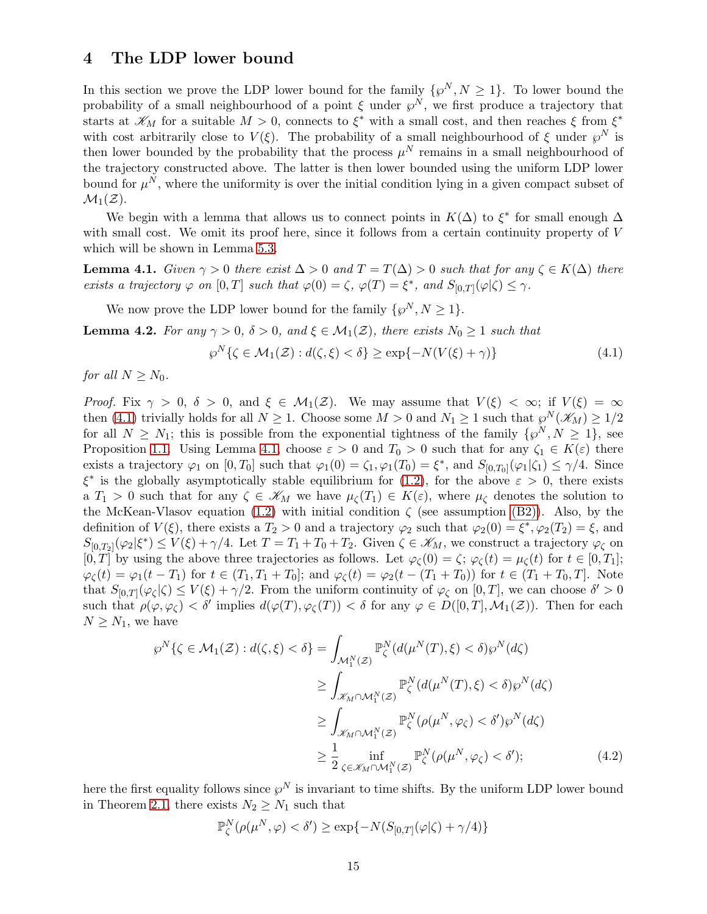## <span id="page-14-0"></span>4 The LDP lower bound

In this section we prove the LDP lower bound for the family  $\{\wp^N, N \geq 1\}$ . To lower bound the probability of a small neighbourhood of a point  $\xi$  under  $\varphi^N$ , we first produce a trajectory that starts at  $\mathscr{K}_M$  for a suitable  $M > 0$ , connects to  $\xi^*$  with a small cost, and then reaches  $\xi$  from  $\xi^*$ with cost arbitrarily close to  $V(\xi)$ . The probability of a small neighbourhood of  $\xi$  under  $\wp^N$  is then lower bounded by the probability that the process  $\mu^N$  remains in a small neighbourhood of the trajectory constructed above. The latter is then lower bounded using the uniform LDP lower bound for  $\mu^N$ , where the uniformity is over the initial condition lying in a given compact subset of  $\mathcal{M}_1(\mathcal{Z})$ .

We begin with a lemma that allows us to connect points in  $K(\Delta)$  to  $\xi^*$  for small enough  $\Delta$ with small cost. We omit its proof here, since it follows from a certain continuity property of V which will be shown in Lemma [5.3.](#page-20-0)

<span id="page-14-2"></span>**Lemma 4.1.** Given  $\gamma > 0$  there exist  $\Delta > 0$  and  $T = T(\Delta) > 0$  such that for any  $\zeta \in K(\Delta)$  there exists a trajectory  $\varphi$  on  $[0, T]$  such that  $\varphi(0) = \zeta$ ,  $\varphi(T) = \xi^*$ , and  $S_{[0, T]}(\varphi | \zeta) \leq \gamma$ .

We now prove the LDP lower bound for the family  $\{\wp^N, N \geq 1\}.$ 

<span id="page-14-4"></span>**Lemma 4.2.** For any  $\gamma > 0$ ,  $\delta > 0$ , and  $\xi \in M_1(\mathcal{Z})$ , there exists  $N_0 \geq 1$  such that

<span id="page-14-1"></span>
$$
\wp^N\{\zeta \in \mathcal{M}_1(\mathcal{Z}) : d(\zeta, \xi) < \delta\} \ge \exp\{-N(V(\xi) + \gamma)\}\tag{4.1}
$$

for all  $N \geq N_0$ .

*Proof.* Fix  $\gamma > 0$ ,  $\delta > 0$ , and  $\xi \in M_1(\mathcal{Z})$ . We may assume that  $V(\xi) < \infty$ ; if  $V(\xi) = \infty$ then [\(4.1\)](#page-14-1) trivially holds for all  $N \ge 1$ . Choose some  $M > 0$  and  $N_1 \ge 1$  such that  $\wp^N(\mathscr{K}_M) \ge 1/2$ for all  $N \geq N_1$ ; this is possible from the exponential tightness of the family  $\{\wp^N, N \geq 1\}$ , see Proposition [1.1.](#page-5-3) Using Lemma [4.1,](#page-14-2) choose  $\varepsilon > 0$  and  $T_0 > 0$  such that for any  $\zeta_1 \in K(\varepsilon)$  there exists a trajectory  $\varphi_1$  on  $[0, T_0]$  such that  $\varphi_1(0) = \zeta_1, \varphi_1(T_0) = \xi^*$ , and  $S_{[0, T_0]}(\varphi_1 | \zeta_1) \leq \gamma/4$ . Since  $\xi^*$  is the globally asymptotically stable equilibrium for [\(1.2\)](#page-1-1), for the above  $\varepsilon > 0$ , there exists a  $T_1 > 0$  such that for any  $\zeta \in \mathscr{K}_M$  we have  $\mu_{\zeta}(T_1) \in K(\varepsilon)$ , where  $\mu_{\zeta}$  denotes the solution to the McKean-Vlasov equation [\(1.2\)](#page-1-1) with initial condition  $\zeta$  (see assumption [\(B2\)\)](#page-5-2). Also, by the definition of  $V(\xi)$ , there exists a  $T_2 > 0$  and a trajectory  $\varphi_2$  such that  $\varphi_2(0) = \xi^*, \varphi_2(T_2) = \xi$ , and  $S_{[0,T_2]}(\varphi_2|\xi^*) \le V(\xi) + \gamma/4$ . Let  $T = T_1 + T_0 + T_2$ . Given  $\zeta \in \mathscr{K}_M$ , we construct a trajectory  $\varphi_{\zeta}$  on  $[0, T]$  by using the above three trajectories as follows. Let  $\varphi_{\zeta}(0) = \zeta$ ;  $\varphi_{\zeta}(t) = \mu_{\zeta}(t)$  for  $t \in [0, T_1]$ ;  $\varphi_{\zeta}(t) = \varphi_1(t - T_1)$  for  $t \in (T_1, T_1 + T_0);$  and  $\varphi_{\zeta}(t) = \varphi_2(t - (T_1 + T_0))$  for  $t \in (T_1 + T_0, T].$  Note that  $S_{[0,T]}(\varphi_{\zeta}|\zeta) \leq V(\xi) + \gamma/2$ . From the uniform continuity of  $\varphi_{\zeta}$  on  $[0,T]$ , we can choose  $\delta' > 0$ such that  $\rho(\varphi, \varphi_{\zeta}) < \delta'$  implies  $d(\varphi(T), \varphi_{\zeta}(T)) < \delta$  for any  $\varphi \in D([0, T], \mathcal{M}_1(\mathcal{Z}))$ . Then for each  $N \geq N_1$ , we have

$$
\wp^N\{\zeta \in \mathcal{M}_1(\mathcal{Z}) : d(\zeta, \xi) < \delta\} = \int_{\mathcal{M}_1^N(\mathcal{Z})} \mathbb{P}_{\zeta}^N(d(\mu^N(T), \xi) < \delta) \wp^N(d\zeta)
$$
\n
$$
\geq \int_{\mathcal{K}_M \cap \mathcal{M}_1^N(\mathcal{Z})} \mathbb{P}_{\zeta}^N(d(\mu^N(T), \xi) < \delta) \wp^N(d\zeta)
$$
\n
$$
\geq \int_{\mathcal{K}_M \cap \mathcal{M}_1^N(\mathcal{Z})} \mathbb{P}_{\zeta}^N(\rho(\mu^N, \varphi_{\zeta}) < \delta') \wp^N(d\zeta)
$$
\n
$$
\geq \frac{1}{2} \inf_{\zeta \in \mathcal{K}_M \cap \mathcal{M}_1^N(\mathcal{Z})} \mathbb{P}_{\zeta}^N(\rho(\mu^N, \varphi_{\zeta}) < \delta'; \tag{4.2}
$$

here the first equality follows since  $\wp^N$  is invariant to time shifts. By the uniform LDP lower bound in Theorem [2.1,](#page-12-0) there exists  $N_2 \geq N_1$  such that

<span id="page-14-3"></span>
$$
\mathbb{P}^N_{\zeta}(\rho(\mu^N, \varphi) < \delta') \ge \exp\{-N(S_{[0,T]}(\varphi|\zeta) + \gamma/4)\}
$$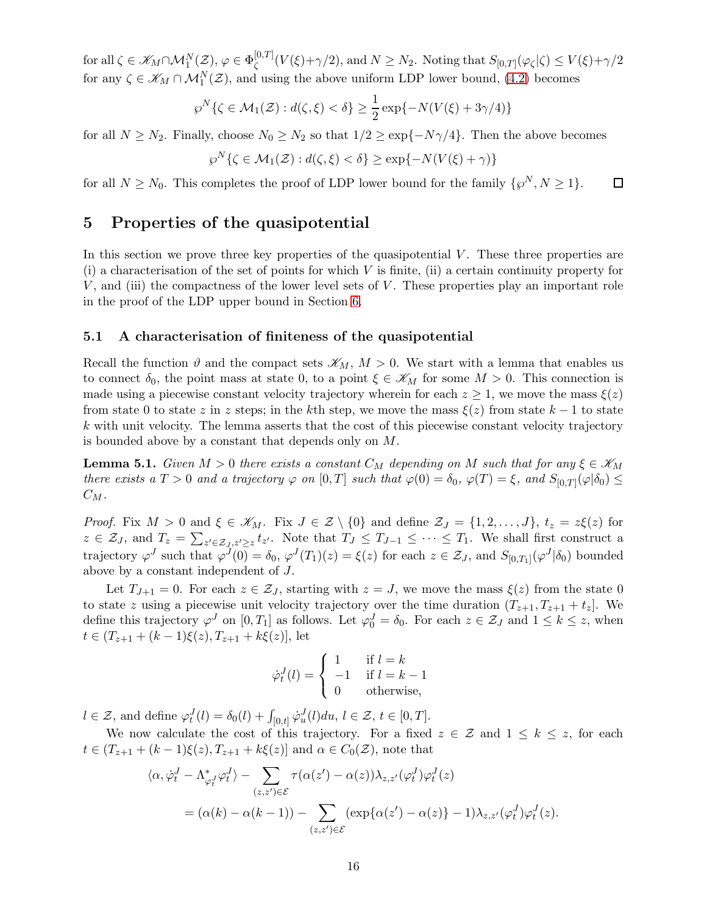for all  $\zeta \in \mathscr{K}_M \cap \mathcal{M}_1^N(\mathcal{Z}), \, \varphi \in \Phi_{\zeta}^{[0,T]}$  $\mathcal{L}_{\zeta}^{[0,1]}(V(\xi)+\gamma/2)$ , and  $N \geq N_2$ . Noting that  $S_{[0,T]}(\varphi_{\zeta}|\zeta) \leq V(\xi)+\gamma/2$ for any  $\zeta \in \mathscr{K}_M \cap \mathcal{M}_1^N(\mathcal{Z})$ , and using the above uniform LDP lower bound, [\(4.2\)](#page-14-3) becomes

$$
\wp^N\{\zeta \in \mathcal{M}_1(\mathcal{Z}) : d(\zeta, \xi) < \delta\} \ge \frac{1}{2} \exp\{-N(V(\xi) + 3\gamma/4)\}
$$

for all  $N \ge N_2$ . Finally, choose  $N_0 \ge N_2$  so that  $1/2 \ge \exp\{-N\gamma/4\}$ . Then the above becomes

$$
\wp^N\{\zeta \in \mathcal{M}_1(\mathcal{Z}) : d(\zeta, \xi) < \delta\} \ge \exp\{-N(V(\xi) + \gamma)\}
$$

<span id="page-15-0"></span>for all  $N \ge N_0$ . This completes the proof of LDP lower bound for the family  $\{\wp^N, N \ge 1\}$ .  $\Box$ 

## 5 Properties of the quasipotential

In this section we prove three key properties of the quasipotential  $V$ . These three properties are  $(i)$  a characterisation of the set of points for which V is finite,  $(ii)$  a certain continuity property for  $V$ , and (iii) the compactness of the lower level sets of  $V$ . These properties play an important role in the proof of the LDP upper bound in Section [6.](#page-22-1)

### 5.1 A characterisation of finiteness of the quasipotential

Recall the function  $\vartheta$  and the compact sets  $\mathscr{K}_M$ ,  $M > 0$ . We start with a lemma that enables us to connect  $\delta_0$ , the point mass at state 0, to a point  $\xi \in \mathscr{K}_M$  for some  $M > 0$ . This connection is made using a piecewise constant velocity trajectory wherein for each  $z \geq 1$ , we move the mass  $\xi(z)$ from state 0 to state z in z steps; in the kth step, we move the mass  $\xi(z)$  from state  $k-1$  to state k with unit velocity. The lemma asserts that the cost of this piecewise constant velocity trajectory is bounded above by a constant that depends only on M.

<span id="page-15-1"></span>**Lemma 5.1.** Given  $M > 0$  there exists a constant  $C_M$  depending on M such that for any  $\xi \in \mathscr{K}_M$ there exists a  $T > 0$  and a trajectory  $\varphi$  on  $[0,T]$  such that  $\varphi(0) = \delta_0$ ,  $\varphi(T) = \xi$ , and  $S_{[0,T]}(\varphi|\delta_0) \leq \pi$  $C_M$ .

*Proof.* Fix  $M > 0$  and  $\xi \in \mathscr{K}_M$ . Fix  $J \in \mathcal{Z} \setminus \{0\}$  and define  $\mathcal{Z}_J = \{1, 2, ..., J\}$ ,  $t_z = z\xi(z)$  for  $z \in \mathcal{Z}_J$ , and  $T_z = \sum_{z' \in \mathcal{Z}_J, z' \geq z} t_{z'}$ . Note that  $T_J \leq T_{J-1} \leq \cdots \leq T_1$ . We shall first construct a trajectory  $\varphi^J$  such that  $\varphi^J(0) = \delta_0$ ,  $\varphi^J(T_1)(z) = \xi(z)$  for each  $z \in \mathcal{Z}_J$ , and  $S_{[0,T_1]}(\varphi^J|\delta_0)$  bounded above by a constant independent of J.

Let  $T_{J+1} = 0$ . For each  $z \in \mathcal{Z}_J$ , starting with  $z = J$ , we move the mass  $\xi(z)$  from the state 0 to state z using a piecewise unit velocity trajectory over the time duration  $(T_{z+1}, T_{z+1} + t_z)$ . We define this trajectory  $\varphi^J$  on  $[0, T_1]$  as follows. Let  $\varphi_0^J = \delta_0$ . For each  $z \in \mathcal{Z}_J$  and  $1 \leq k \leq z$ , when  $t \in (T_{z+1} + (k-1)\xi(z), T_{z+1} + k\xi(z)]$ , let

$$
\dot{\varphi}_t^J(l) = \begin{cases} 1 & \text{if } l = k \\ -1 & \text{if } l = k - 1 \\ 0 & \text{otherwise,} \end{cases}
$$

 $l \in \mathcal{Z}$ , and define  $\varphi_t^J(l) = \delta_0(l) + \int_{[0,t]} \dot{\varphi}_u^J(l) du, l \in \mathcal{Z}, t \in [0,T].$ 

We now calculate the cost of this trajectory. For a fixed  $z \in \mathcal{Z}$  and  $1 \leq k \leq z$ , for each  $t \in (T_{z+1} + (k-1)\xi(z), T_{z+1} + k\xi(z)]$  and  $\alpha \in C_0(\mathcal{Z})$ , note that

$$
\langle \alpha, \dot{\varphi}_t^J - \Lambda_{\varphi_t^J}^* \varphi_t^J \rangle - \sum_{(z, z') \in \mathcal{E}} \tau(\alpha(z') - \alpha(z)) \lambda_{z, z'}(\varphi_t^J) \varphi_t^J(z)
$$
  
= 
$$
(\alpha(k) - \alpha(k-1)) - \sum_{(z, z') \in \mathcal{E}} (\exp{\alpha(z') - \alpha(z)} - 1) \lambda_{z, z'}(\varphi_t^J) \varphi_t^J(z).
$$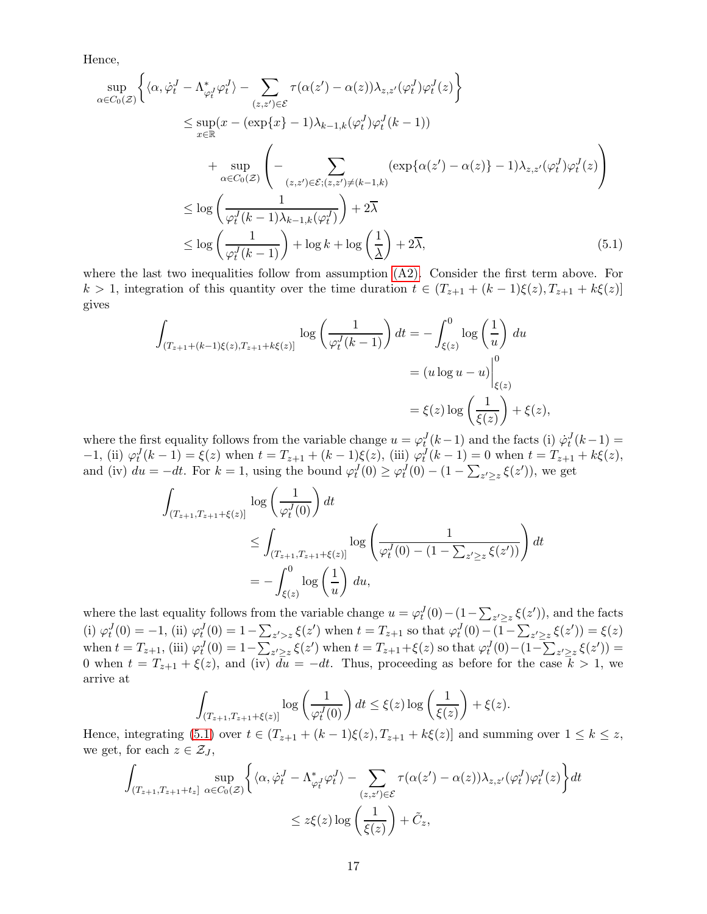Hence,

$$
\sup_{\alpha \in C_0(\mathcal{Z})} \left\{ \langle \alpha, \dot{\varphi}_t^J - \Lambda_{\varphi_t^J}^* \varphi_t^J \rangle - \sum_{(z, z') \in \mathcal{E}} \tau(\alpha(z') - \alpha(z)) \lambda_{z, z'}(\varphi_t^J) \varphi_t^J(z) \right\}
$$
\n
$$
\leq \sup_{x \in \mathbb{R}} (x - (\exp\{x\} - 1) \lambda_{k-1, k}(\varphi_t^J) \varphi_t^J(k-1))
$$
\n
$$
+ \sup_{\alpha \in C_0(\mathcal{Z})} \left( - \sum_{(z, z') \in \mathcal{E}; (z, z') \neq (k-1, k)} (\exp\{\alpha(z') - \alpha(z)\} - 1) \lambda_{z, z'}(\varphi_t^J) \varphi_t^J(z) \right)
$$
\n
$$
\leq \log \left( \frac{1}{\varphi_t^J(k-1)\lambda_{k-1, k}(\varphi_t^J)} \right) + 2\overline{\lambda}
$$
\n
$$
\leq \log \left( \frac{1}{\varphi_t^J(k-1)} \right) + \log k + \log \left( \frac{1}{\underline{\lambda}} \right) + 2\overline{\lambda}, \tag{5.1}
$$

where the last two inequalities follow from assumption  $(A2)$ . Consider the first term above. For k > 1, integration of this quantity over the time duration  $t \in (T_{z+1} + (k-1)\xi(z), T_{z+1} + k\xi(z))$ gives

<span id="page-16-0"></span>
$$
\int_{(T_{z+1}+(k-1)\xi(z),T_{z+1}+k\xi(z)]} \log\left(\frac{1}{\varphi_t^J(k-1)}\right) dt = -\int_{\xi(z)}^0 \log\left(\frac{1}{u}\right) du
$$
\n
$$
= (u\log u - u)\Big|_{\xi(z)}^0
$$
\n
$$
= \xi(z)\log\left(\frac{1}{\xi(z)}\right) + \xi(z),
$$

where the first equality follows from the variable change  $u = \varphi_t^J(k-1)$  and the facts (i)  $\dot{\varphi}_t^J(k-1) =$  $-1$ , (ii)  $\varphi_t^J(k-1) = \xi(z)$  when  $t = T_{z+1} + (k-1)\xi(z)$ , (iii)  $\varphi_t^J(k-1) = 0$  when  $t = T_{z+1} + k\xi(z)$ , and (iv)  $du = -dt$ . For  $k = 1$ , using the bound  $\varphi_t^J(0) \geq \varphi_t^J(0) - (1 - \sum_{z' \geq z} \xi(z'))$ , we get

$$
\int_{(T_{z+1},T_{z+1}+\xi(z))} \log\left(\frac{1}{\varphi_t^J(0)}\right) dt
$$
\n
$$
\leq \int_{(T_{z+1},T_{z+1}+\xi(z))} \log\left(\frac{1}{\varphi_t^J(0)-(1-\sum_{z'\geq z}\xi(z'))}\right) dt
$$
\n
$$
= -\int_{\xi(z)}^0 \log\left(\frac{1}{u}\right) du,
$$

where the last equality follows from the variable change  $u = \varphi_t^J(0) - (1 - \sum_{z' \geq z} \xi(z'))$ , and the facts (i)  $\varphi_t^J(0) = -1$ , (ii)  $\varphi_t^J(0) = 1 - \sum_{z' > z} \xi(z')$  when  $t = T_{z+1}$  so that  $\varphi_t^J(0) - (1 - \sum_{z' \ge z} \xi(z')) = \xi(z)$ when  $t = T_{z+1}$ , (iii)  $\varphi_t^J(0) = 1 - \sum_{z' \geq z} \xi(z')$  when  $t = T_{z+1} + \xi(z)$  so that  $\varphi_t^J(0) - (1 - \sum_{z' \geq z} \xi(z')) =$ 0 when  $t = T_{z+1} + \xi(z)$ , and (iv)  $\overline{du} = -dt$ . Thus, proceeding as before for the case  $\overline{k} > 1$ , we arrive at

$$
\int_{(T_{z+1},T_{z+1}+\xi(z))} \log\left(\frac{1}{\varphi_t^J(0)}\right) dt \le \xi(z) \log\left(\frac{1}{\xi(z)}\right) + \xi(z).
$$

Hence, integrating [\(5.1\)](#page-16-0) over  $t \in (T_{z+1} + (k-1)\xi(z), T_{z+1} + k\xi(z)]$  and summing over  $1 \leq k \leq z$ , we get, for each  $z \in \mathcal{Z}_J$ ,

$$
\int_{(T_{z+1},T_{z+1}+t_z]} \sup_{\alpha \in C_0(\mathcal{Z})} \left\{ \langle \alpha, \dot{\varphi}_t^J - \Lambda_{\varphi_t^J}^* \varphi_t^J \rangle - \sum_{(z,z') \in \mathcal{E}} \tau(\alpha(z') - \alpha(z)) \lambda_{z,z'}(\varphi_t^J) \varphi_t^J(z) \right\} dt
$$
  

$$
\leq z \xi(z) \log \left( \frac{1}{\xi(z)} \right) + \tilde{C}_z,
$$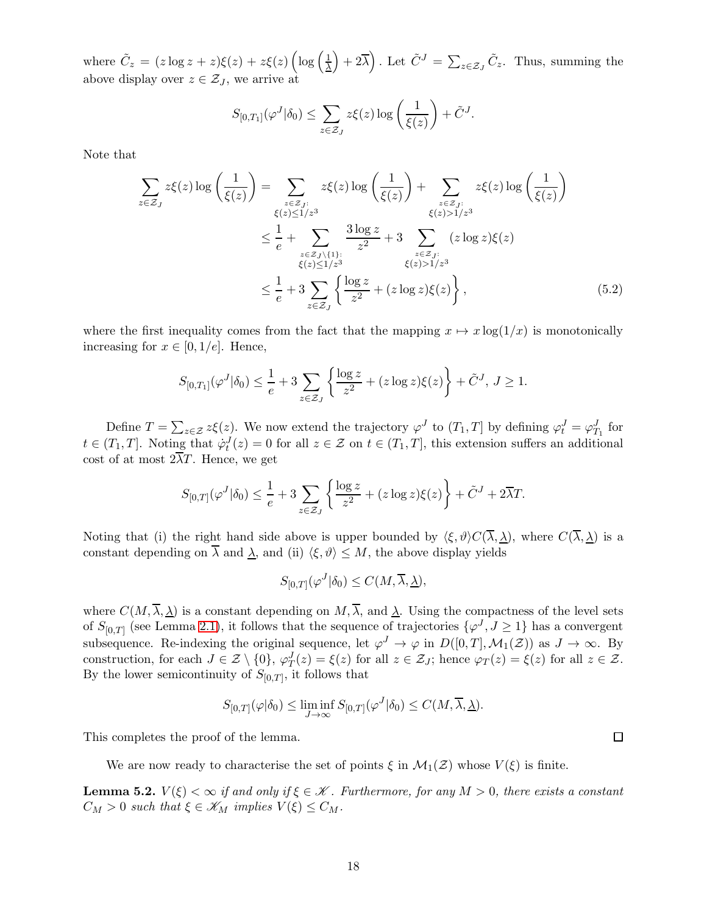where  $\tilde{C}_z = (z \log z + z)\xi(z) + z\xi(z) \left( \log \left( \frac{1}{\lambda} \right) \right)$  $\left(\frac{1}{\Delta}\right) + 2\overline{\lambda}$ . Let  $\tilde{C}^{J} = \sum_{z \in \mathcal{Z}_{J}} \tilde{C}_{z}$ . Thus, summing the above display over  $z \in \mathcal{Z}_J$ , we arrive at

<span id="page-17-0"></span>
$$
S_{[0,T_1]}(\varphi^J|\delta_0) \leq \sum_{z \in \mathcal{Z}_J} z\xi(z) \log \left(\frac{1}{\xi(z)}\right) + \tilde{C}^J.
$$

Note that

$$
\sum_{z \in \mathcal{Z}_J} z\xi(z) \log \left( \frac{1}{\xi(z)} \right) = \sum_{\substack{z \in \mathcal{Z}_J:\\ \xi(z) \le 1/z^3}} z\xi(z) \log \left( \frac{1}{\xi(z)} \right) + \sum_{\substack{z \in \mathcal{Z}_J:\\ \xi(z) > 1/z^3}} z\xi(z) \log \left( \frac{1}{\xi(z)} \right)
$$
\n
$$
\leq \frac{1}{e} + \sum_{\substack{z \in \mathcal{Z}_J\\ \xi(z) \le 1/z^3}} \frac{3 \log z}{z^2} + 3 \sum_{\substack{z \in \mathcal{Z}_J:\\ \xi(z) > 1/z^3}} (z \log z) \xi(z)
$$
\n
$$
\leq \frac{1}{e} + 3 \sum_{z \in \mathcal{Z}_J} \left\{ \frac{\log z}{z^2} + (z \log z) \xi(z) \right\}, \tag{5.2}
$$

where the first inequality comes from the fact that the mapping  $x \mapsto x \log(1/x)$  is monotonically increasing for  $x \in [0, 1/e]$ . Hence,

$$
S_{[0,T_1]}(\varphi^J|\delta_0) \le \frac{1}{e} + 3 \sum_{z \in \mathcal{Z}_J} \left\{ \frac{\log z}{z^2} + (z \log z) \xi(z) \right\} + \tilde{C}^J, \ J \ge 1.
$$

Define  $T = \sum_{z \in \mathcal{Z}} z\xi(z)$ . We now extend the trajectory  $\varphi^J$  to  $(T_1, T]$  by defining  $\varphi_t^J = \varphi_{T_1}^J$  for  $t \in (T_1, T]$ . Noting that  $\dot{\varphi}_t^J(z) = 0$  for all  $z \in \mathcal{Z}$  on  $t \in (T_1, T]$ , this extension suffers an additional cost of at most  $2\overline{\lambda}T$ . Hence, we get

$$
S_{[0,T]}(\varphi^J|\delta_0) \le \frac{1}{e} + 3\sum_{z \in \mathcal{Z}_J} \left\{ \frac{\log z}{z^2} + (z \log z)\xi(z) \right\} + \tilde{C}^J + 2\overline{\lambda}T.
$$

Noting that (i) the right hand side above is upper bounded by  $\langle \xi, \vartheta \rangle C(\overline{\lambda}, \underline{\lambda})$ , where  $C(\overline{\lambda}, \underline{\lambda})$  is a constant depending on  $\overline{\lambda}$  and  $\underline{\lambda}$ , and (ii)  $\langle \xi, \vartheta \rangle \leq M$ , the above display yields

$$
S_{[0,T]}(\varphi^J|\delta_0) \le C(M, \overline{\lambda}, \underline{\lambda}),
$$

where  $C(M, \overline{\lambda}, \lambda)$  is a constant depending on  $M, \overline{\lambda}$ , and  $\lambda$ . Using the compactness of the level sets of  $S_{[0,T]}$  (see Lemma [2.1\)](#page-11-2), it follows that the sequence of trajectories  $\{\varphi^J, J \ge 1\}$  has a convergent subsequence. Re-indexing the original sequence, let  $\varphi^J \to \varphi$  in  $D([0,T], \mathcal{M}_1(\mathcal{Z}))$  as  $J \to \infty$ . By construction, for each  $J \in \mathcal{Z} \setminus \{0\}$ ,  $\varphi_T^J(z) = \xi(z)$  for all  $z \in \mathcal{Z}_J$ ; hence  $\varphi_T(z) = \xi(z)$  for all  $z \in \mathcal{Z}$ . By the lower semicontinuity of  $S_{[0,T]}$ , it follows that

$$
S_{[0,T]}(\varphi|\delta_0) \le \liminf_{J \to \infty} S_{[0,T]}(\varphi^J|\delta_0) \le C(M, \overline{\lambda}, \underline{\lambda}).
$$

This completes the proof of the lemma.

We are now ready to characterise the set of points  $\xi$  in  $\mathcal{M}_1(\mathcal{Z})$  whose  $V(\xi)$  is finite.

<span id="page-17-1"></span>**Lemma 5.2.**  $V(\xi) < \infty$  if and only if  $\xi \in \mathcal{K}$ . Furthermore, for any  $M > 0$ , there exists a constant  $C_M > 0$  such that  $\xi \in \mathscr{K}_M$  implies  $V(\xi) \leq C_M$ .

 $\Box$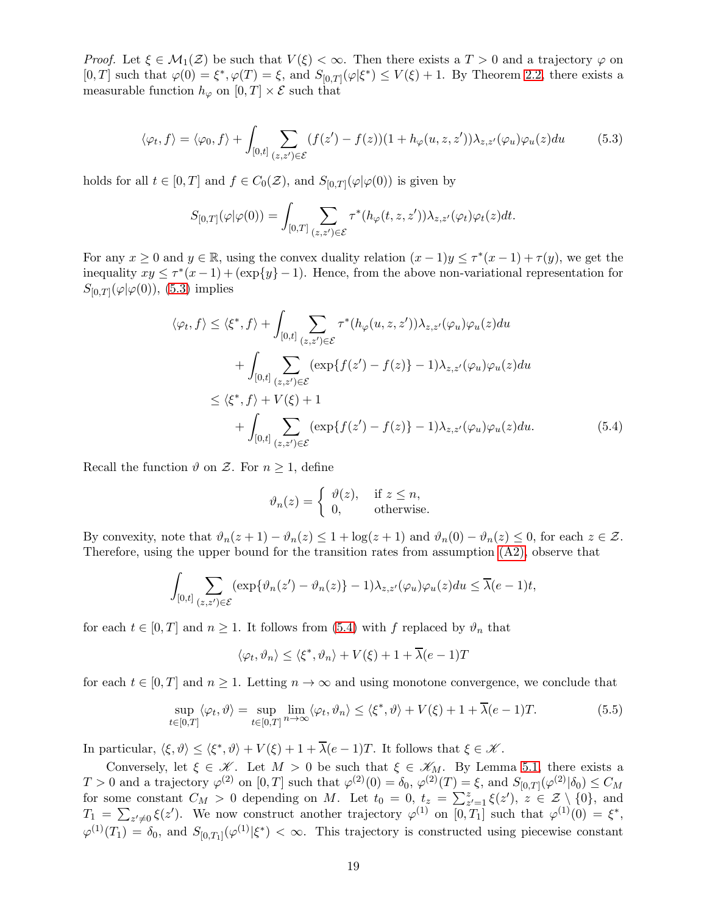*Proof.* Let  $\xi \in M_1(\mathcal{Z})$  be such that  $V(\xi) < \infty$ . Then there exists a  $T > 0$  and a trajectory  $\varphi$  on  $[0,T]$  such that  $\varphi(0) = \xi^*, \varphi(T) = \xi$ , and  $S_{[0,T]}(\varphi|\xi^*) \le V(\xi) + 1$ . By Theorem [2.2,](#page-12-2) there exists a measurable function  $h_{\varphi}$  on  $[0, T] \times \mathcal{E}$  such that

$$
\langle \varphi_t, f \rangle = \langle \varphi_0, f \rangle + \int_{[0,t]} \sum_{(z,z') \in \mathcal{E}} (f(z') - f(z))(1 + h_{\varphi}(u, z, z')) \lambda_{z,z'}(\varphi_u) \varphi_u(z) du \tag{5.3}
$$

holds for all  $t \in [0, T]$  and  $f \in C_0(\mathcal{Z})$ , and  $S_{[0,T]}(\varphi | \varphi(0))$  is given by

<span id="page-18-0"></span>
$$
S_{[0,T]}(\varphi|\varphi(0)) = \int_{[0,T]} \sum_{(z,z')\in\mathcal{E}} \tau^*(h_{\varphi}(t,z,z'))\lambda_{z,z'}(\varphi_t)\varphi_t(z)dt.
$$

For any  $x \geq 0$  and  $y \in \mathbb{R}$ , using the convex duality relation  $(x - 1)y \leq \tau^*(x - 1) + \tau(y)$ , we get the inequality  $xy \leq \tau^*(x-1) + (\exp\{y\} - 1)$ . Hence, from the above non-variational representation for  $S_{[0,T]}(\varphi|\varphi(0))$ , [\(5.3\)](#page-18-0) implies

$$
\langle \varphi_t, f \rangle \leq \langle \xi^*, f \rangle + \int_{[0,t]} \sum_{(z,z') \in \mathcal{E}} \tau^*(h_{\varphi}(u,z,z')) \lambda_{z,z'}(\varphi_u) \varphi_u(z) du
$$
  
+ 
$$
\int_{[0,t]} \sum_{(z,z') \in \mathcal{E}} (\exp\{f(z') - f(z)\} - 1) \lambda_{z,z'}(\varphi_u) \varphi_u(z) du
$$
  

$$
\leq \langle \xi^*, f \rangle + V(\xi) + 1
$$
  
+ 
$$
\int_{[0,t]} \sum_{(z,z') \in \mathcal{E}} (\exp\{f(z') - f(z)\} - 1) \lambda_{z,z'}(\varphi_u) \varphi_u(z) du.
$$
 (5.4)

Recall the function  $\vartheta$  on  $\mathcal{Z}$ . For  $n \geq 1$ , define

<span id="page-18-1"></span>
$$
\vartheta_n(z) = \begin{cases} \vartheta(z), & \text{if } z \le n, \\ 0, & \text{otherwise.} \end{cases}
$$

By convexity, note that  $\vartheta_n(z+1) - \vartheta_n(z) \leq 1 + \log(z+1)$  and  $\vartheta_n(0) - \vartheta_n(z) \leq 0$ , for each  $z \in \mathcal{Z}$ . Therefore, using the upper bound for the transition rates from assumption  $(A2)$ , observe that

$$
\int_{[0,t]} \sum_{(z,z')\in\mathcal{E}} (\exp\{\vartheta_n(z') - \vartheta_n(z)\} - 1) \lambda_{z,z'}(\varphi_u)\varphi_u(z) du \le \overline{\lambda}(e-1)t,
$$

for each  $t \in [0, T]$  and  $n \geq 1$ . It follows from [\(5.4\)](#page-18-1) with f replaced by  $\vartheta_n$  that

$$
\langle \varphi_t, \vartheta_n \rangle \le \langle \xi^*, \vartheta_n \rangle + V(\xi) + 1 + \overline{\lambda}(e - 1)T
$$

for each  $t \in [0, T]$  and  $n \geq 1$ . Letting  $n \to \infty$  and using monotone convergence, we conclude that

$$
\sup_{t \in [0,T]} \langle \varphi_t, \vartheta \rangle = \sup_{t \in [0,T]} \lim_{n \to \infty} \langle \varphi_t, \vartheta_n \rangle \le \langle \xi^*, \vartheta \rangle + V(\xi) + 1 + \overline{\lambda}(e-1)T. \tag{5.5}
$$

In particular,  $\langle \xi, \vartheta \rangle \leq \langle \xi^*, \vartheta \rangle + V(\xi) + 1 + \overline{\lambda}(e-1)T$ . It follows that  $\xi \in \mathscr{K}$ .

Conversely, let  $\xi \in \mathcal{K}$ . Let  $M > 0$  be such that  $\xi \in \mathcal{K}_M$ . By Lemma [5.1,](#page-15-1) there exists a  $T > 0$  and a trajectory  $\varphi^{(2)}$  on  $[0, T]$  such that  $\varphi^{(2)}(0) = \delta_0$ ,  $\varphi^{(2)}(T) = \xi$ , and  $S_{[0,T]}(\varphi^{(2)}|\delta_0) \le C_M$ for some constant  $C_M > 0$  depending on M. Let  $t_0 = 0$ ,  $t_z = \sum_{z'=1}^{z} \xi(z')$ ,  $z \in \mathcal{Z} \setminus \{0\}$ , and  $T_1 = \sum_{z' \neq 0} \xi(z')$ . We now construct another trajectory  $\varphi^{(1)}$  on  $[0,T_1]$  such that  $\varphi^{(1)}(0) = \xi^*$ ,  $\varphi^{(1)}(T_1) = \delta_0$ , and  $S_{[0,T_1]}(\varphi^{(1)}|\xi^*) < \infty$ . This trajectory is constructed using piecewise constant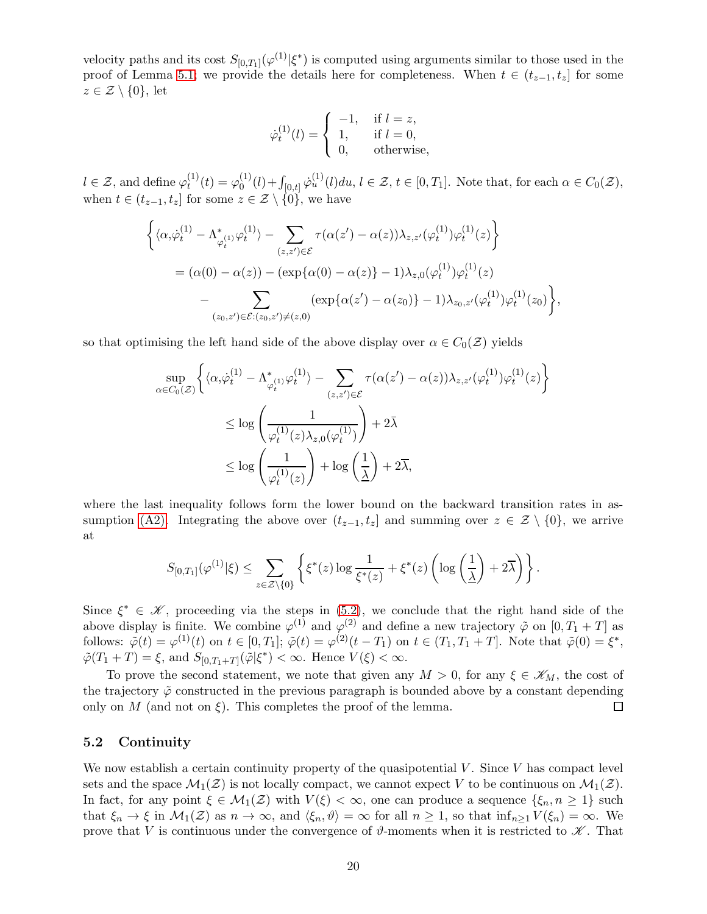velocity paths and its cost  $S_{[0,T_1]}(\varphi^{(1)}|\xi^*)$  is computed using arguments similar to those used in the proof of Lemma [5.1;](#page-15-1) we provide the details here for completeness. When  $t \in (t_{z-1}, t_z]$  for some  $z \in \mathcal{Z} \setminus \{0\}$ , let

$$
\dot{\varphi}_t^{(1)}(l) = \begin{cases}\n-1, & \text{if } l = z, \\
1, & \text{if } l = 0, \\
0, & \text{otherwise,} \n\end{cases}
$$

 $l \in \mathcal{Z}$ , and define  $\varphi_t^{(1)}$  $t^{(1)}(t) = \varphi_0^{(1)}$  $\mathcal{O}_0^{(1)}(l) + \int_{[0,t]} \dot{\varphi}_u^{(1)}(l) du, l \in \mathcal{Z}, t \in [0,T_1].$  Note that, for each  $\alpha \in C_0(\mathcal{Z}),$ when  $t \in (t_{z-1}, t_z]$  for some  $z \in \mathcal{Z} \setminus \{0\}$ , we have

$$
\begin{split} \bigg\{ & \langle \alpha, \dot{\varphi}_t^{(1)} - \Lambda_{\varphi_t^{(1)}}^* \varphi_t^{(1)} \rangle - \sum_{(z, z') \in \mathcal{E}} \tau(\alpha(z') - \alpha(z)) \lambda_{z, z'}(\varphi_t^{(1)}) \varphi_t^{(1)}(z) \bigg\} \\ & = (\alpha(0) - \alpha(z)) - (\exp\{\alpha(0) - \alpha(z)\} - 1) \lambda_{z, 0}(\varphi_t^{(1)}) \varphi_t^{(1)}(z) \\ & - \sum_{(z_0, z') \in \mathcal{E}: (z_0, z') \neq (z, 0)} (\exp\{\alpha(z') - \alpha(z_0)\} - 1) \lambda_{z_0, z'}(\varphi_t^{(1)}) \varphi_t^{(1)}(z_0) \bigg\}, \end{split}
$$

so that optimising the left hand side of the above display over  $\alpha \in C_0(\mathcal{Z})$  yields

$$
\begin{split} \sup_{\alpha \in C_0(\mathcal{Z})} \bigg\{ & \langle \alpha, & \dot{\varphi}_t^{(1)} - \Lambda_{\varphi_t^{(1)}}^* \varphi_t^{(1)} \rangle - \sum_{(z,z') \in \mathcal{E}} \tau(\alpha(z') - \alpha(z)) \lambda_{z,z'}(\varphi_t^{(1)}) \varphi_t^{(1)}(z) \bigg\} \\ & \leq \log \left( \frac{1}{\varphi_t^{(1)}(z) \lambda_{z,0}(\varphi_t^{(1)})} \right) + 2\bar{\lambda} \\ & \leq \log \left( \frac{1}{\varphi_t^{(1)}(z)} \right) + \log \left( \frac{1}{\underline{\lambda}} \right) + 2\overline{\lambda}, \end{split}
$$

where the last inequality follows form the lower bound on the backward transition rates in as-sumption [\(A2\).](#page-4-2) Integrating the above over  $(t_{z-1}, t_z]$  and summing over  $z \in \mathcal{Z} \setminus \{0\}$ , we arrive at

$$
S_{[0,T_1]}(\varphi^{(1)}|\xi) \leq \sum_{z \in \mathcal{Z} \setminus \{0\}} \left\{ \xi^*(z) \log \frac{1}{\xi^*(z)} + \xi^*(z) \left( \log \left( \frac{1}{\underline{\lambda}} \right) + 2\overline{\lambda} \right) \right\}.
$$

Since  $\xi^* \in \mathcal{K}$ , proceeding via the steps in [\(5.2\)](#page-17-0), we conclude that the right hand side of the above display is finite. We combine  $\varphi^{(1)}$  and  $\varphi^{(2)}$  and define a new trajectory  $\tilde{\varphi}$  on  $[0, T_1 + T]$  as follows:  $\tilde{\varphi}(t) = \varphi^{(1)}(t)$  on  $t \in [0, T_1]$ ;  $\tilde{\varphi}(t) = \varphi^{(2)}(t - T_1)$  on  $t \in (T_1, T_1 + T]$ . Note that  $\tilde{\varphi}(0) = \xi^*$ ,  $\tilde{\varphi}(T_1+T) = \xi$ , and  $S_{[0,T_1+T]}(\tilde{\varphi}|\xi^*) < \infty$ . Hence  $V(\xi) < \infty$ .

To prove the second statement, we note that given any  $M > 0$ , for any  $\xi \in \mathscr{K}_M$ , the cost of the trajectory  $\tilde{\varphi}$  constructed in the previous paragraph is bounded above by a constant depending only on M (and not on  $\xi$ ). This completes the proof of the lemma.  $\Box$ 

### 5.2 Continuity

We now establish a certain continuity property of the quasipotential  $V$ . Since  $V$  has compact level sets and the space  $\mathcal{M}_1(\mathcal{Z})$  is not locally compact, we cannot expect V to be continuous on  $\mathcal{M}_1(\mathcal{Z})$ . In fact, for any point  $\xi \in M_1(\mathcal{Z})$  with  $V(\xi) < \infty$ , one can produce a sequence  $\{\xi_n, n \geq 1\}$  such that  $\xi_n \to \xi$  in  $\mathcal{M}_1(\mathcal{Z})$  as  $n \to \infty$ , and  $\langle \xi_n, \vartheta \rangle = \infty$  for all  $n \geq 1$ , so that  $\inf_{n \geq 1} V(\xi_n) = \infty$ . We prove that V is continuous under the convergence of  $\vartheta$ -moments when it is restricted to  $\mathscr K$ . That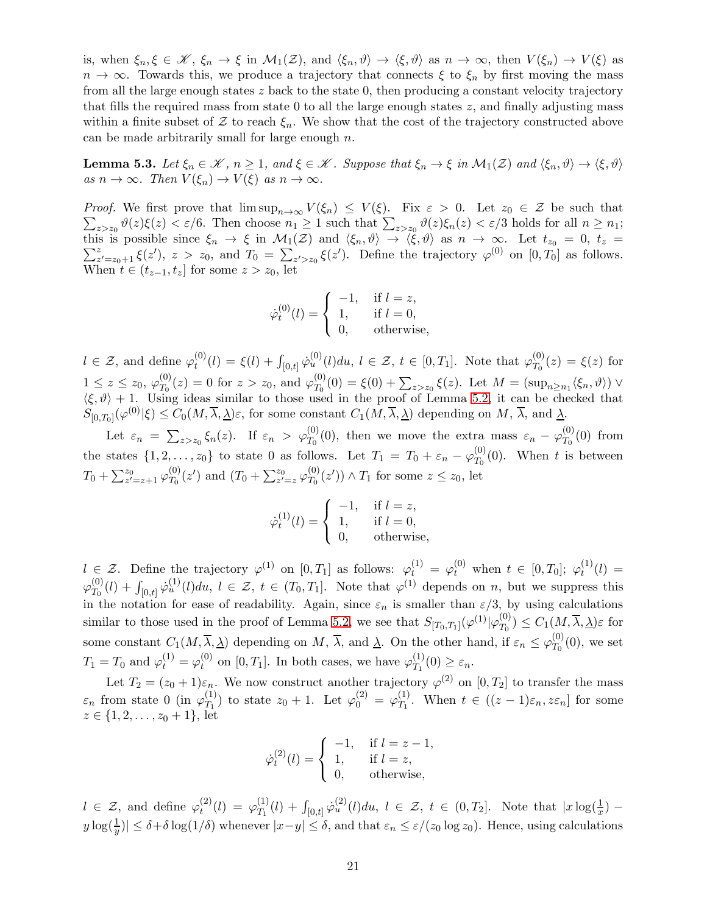is, when  $\xi_n, \xi \in \mathcal{K}, \xi_n \to \xi$  in  $\mathcal{M}_1(\mathcal{Z})$ , and  $\langle \xi_n, \vartheta \rangle \to \langle \xi, \vartheta \rangle$  as  $n \to \infty$ , then  $V(\xi_n) \to V(\xi)$  as  $n \to \infty$ . Towards this, we produce a trajectory that connects  $\xi$  to  $\xi_n$  by first moving the mass from all the large enough states z back to the state 0, then producing a constant velocity trajectory that fills the required mass from state 0 to all the large enough states  $z$ , and finally adjusting mass within a finite subset of  $\mathcal Z$  to reach  $\xi_n$ . We show that the cost of the trajectory constructed above can be made arbitrarily small for large enough  $n$ .

<span id="page-20-0"></span>**Lemma 5.3.** Let  $\xi_n \in \mathcal{K}$ ,  $n \geq 1$ , and  $\xi \in \mathcal{K}$ . Suppose that  $\xi_n \to \xi$  in  $\mathcal{M}_1(\mathcal{Z})$  and  $\langle \xi_n, \vartheta \rangle \to \langle \xi, \vartheta \rangle$ as  $n \to \infty$ . Then  $V(\xi_n) \to V(\xi)$  as  $n \to \infty$ .

*Proof.* We first prove that  $\limsup_{n\to\infty} V(\xi_n) \leq V(\xi)$ . Fix  $\varepsilon > 0$ . Let  $z_0 \in \mathcal{Z}$  be such that  $\sum_{z>z_0}\vartheta(z)\xi(z)<\varepsilon/6$ . Then choose  $n_1\geq 1$  such that  $\sum_{z>z_0}\vartheta(z)\xi_n(z)<\varepsilon/3$  holds for all  $n\geq n_1$ ; this is possible since  $\xi_n \to \xi$  in  $\mathcal{M}_1(\mathcal{Z})$  and  $\langle \xi_n, \vartheta \rangle \to \langle \xi, \vartheta \rangle$  as  $n \to \infty$ . Let  $t_{z_0} = 0, t_z =$  $\sum_{z}^{z}$  $z_{z=z_0+1}^z \xi(z')$ ,  $z > z_0$ , and  $T_0 = \sum_{z'>z_0} \xi(z')$ . Define the trajectory  $\varphi^{(0)}$  on  $[0, T_0]$  as follows. When  $t \in (t_{z-1}, t_z]$  for some  $z > z_0$ , let

$$
\dot{\varphi}_t^{(0)}(l) = \begin{cases}\n-1, & \text{if } l = z, \\
1, & \text{if } l = 0, \\
0, & \text{otherwise,} \n\end{cases}
$$

 $l \in \mathcal{Z}$ , and define  $\varphi_t^{(0)}$  $t_0^{(0)}(l) = \xi(l) + \int_{[0,t]} \dot{\varphi}_u^{(0)}(l) du, l \in \mathcal{Z}, t \in [0,T_1].$  Note that  $\varphi_{T_0}^{(0)}$  $T_0^{(0)}(z) = \xi(z)$  for  $1 \leq z \leq z_0, \varphi_{T_0}^{(0)}$  $T_0^{(0)}(z) = 0$  for  $z > z_0$ , and  $\varphi_{T_0}^{(0)}$  $T_0^{(0)}(0) = \xi(0) + \sum_{z>z_0} \xi(z)$ . Let  $M = (\sup_{n\geq n_1} \langle \xi_n, \vartheta \rangle) \vee$  $\langle \xi, \vartheta \rangle + 1$ . Using ideas similar to those used in the proof of Lemma [5.2,](#page-17-1) it can be checked that  $S_{[0,T_0]}(\varphi^{(0)}|\xi) \leq C_0(M,\overline{\lambda},\underline{\lambda})\varepsilon$ , for some constant  $C_1(M,\overline{\lambda},\underline{\lambda})$  depending on  $M, \overline{\lambda}$ , and  $\underline{\lambda}$ .

Let  $\varepsilon_n = \sum_{z>z_0} \xi_n(z)$ . If  $\varepsilon_n > \varphi_{T_0}^{(0)}(0)$ , then we move the extra mass  $\varepsilon_n - \varphi_{T_0}^{(0)}$  $T_0^{(0)}(0)$  from the states  $\{1, 2, \ldots, z_0\}$  to state 0 as follows. Let  $T_1 = T_0 + \varepsilon_n - \varphi_{T_0}^{(0)}$  $T_0^{(0)}(0)$ . When t is between  $T_0+\sum_{z'=z+1}^{z_0}\varphi^{(0)}_{T_0}$  $\frac{(0)}{T_0}(z')$  and  $(T_0 + \sum_{z'=z}^{z_0} \varphi_{T_0}^{(0)})$  $(T_0^{(0)}(z')) \wedge T_1$  for some  $z \le z_0$ , let

$$
\dot{\varphi}_t^{(1)}(l) = \begin{cases}\n-1, & \text{if } l = z, \\
1, & \text{if } l = 0, \\
0, & \text{otherwise,} \n\end{cases}
$$

 $l \in \mathcal{Z}$ . Define the trajectory  $\varphi^{(1)}$  on  $[0,T_1]$  as follows:  $\varphi^{(1)}_t = \varphi^{(0)}_t$  when  $t \in [0,T_0]$ ;  $\varphi^{(1)}_t$  $t^{(1)}(l) =$  $\varphi_{T_\alpha}^{(0)}$  $T_0^{(0)}(l) + \int_{[0,t]} \dot{\varphi}_u^{(1)}(l) du, l \in \mathcal{Z}, t \in (T_0,T_1].$  Note that  $\varphi^{(1)}$  depends on n, but we suppress this in the notation for ease of readability. Again, since  $\varepsilon_n$  is smaller than  $\varepsilon/3$ , by using calculations similar to those used in the proof of Lemma [5.2,](#page-17-1) we see that  $S_{[T_0,T_1]}(\varphi^{(1)}|\varphi^{(0)}_{T_0})$  $T_0^{(0)}$ )  $\leq C_1(M, \lambda, \underline{\lambda})\varepsilon$  for some constant  $C_1(M, \overline{\lambda}, \underline{\lambda})$  depending on  $M$ ,  $\overline{\lambda}$ , and  $\underline{\lambda}$ . On the other hand, if  $\varepsilon_n \leq \varphi_{T_0}^{(0)}$  $T_0^{(0)}(0)$ , we set  $T_1 = T_0$  and  $\varphi_t^{(1)} = \varphi_t^{(0)}$  $t_t^{(0)}$  on [0, T<sub>1</sub>]. In both cases, we have  $\varphi_{T_1}^{(1)}$  $T_1^{(1)}(0) \geq \varepsilon_n$ .

Let  $T_2 = (z_0 + 1)\varepsilon_n$ . We now construct another trajectory  $\varphi^{(2)}$  on  $[0, T_2]$  to transfer the mass  $\varepsilon_n$  from state 0 (in  $\varphi_{T_1}^{(1)}$  $\mathcal{T}_1^{(1)}$  to state  $z_0 + 1$ . Let  $\varphi_0^{(2)} = \varphi_{T_1}^{(1)}$  $T_1^{(1)}$ . When  $t \in ((z-1)\varepsilon_n, z\varepsilon_n]$  for some  $z \in \{1, 2, \ldots, z_0 + 1\}, \text{ let }$ 

$$
\dot{\varphi}_t^{(2)}(l) = \begin{cases}\n-1, & \text{if } l = z - 1, \\
1, & \text{if } l = z, \\
0, & \text{otherwise,} \n\end{cases}
$$

 $l \in \mathcal{Z}$ , and define  $\varphi_t^{(2)}$  $t^{(2)}(l) \, = \, \varphi_{T_1}^{(1)}$  $T_1^{(1)}(l) + \int_{[0,t]} \dot{\varphi}_u^{(2)}(l) du, \ l \in \mathcal{Z}, \ t \in (0,T_2].$  Note that  $|x \log(\frac{1}{x}) |y| \log(\frac{1}{y})| \leq \delta + \delta \log(1/\delta)$  whenever  $|x-y| \leq \delta$ , and that  $\varepsilon_n \leq \varepsilon/(z_0 \log z_0)$ . Hence, using calculations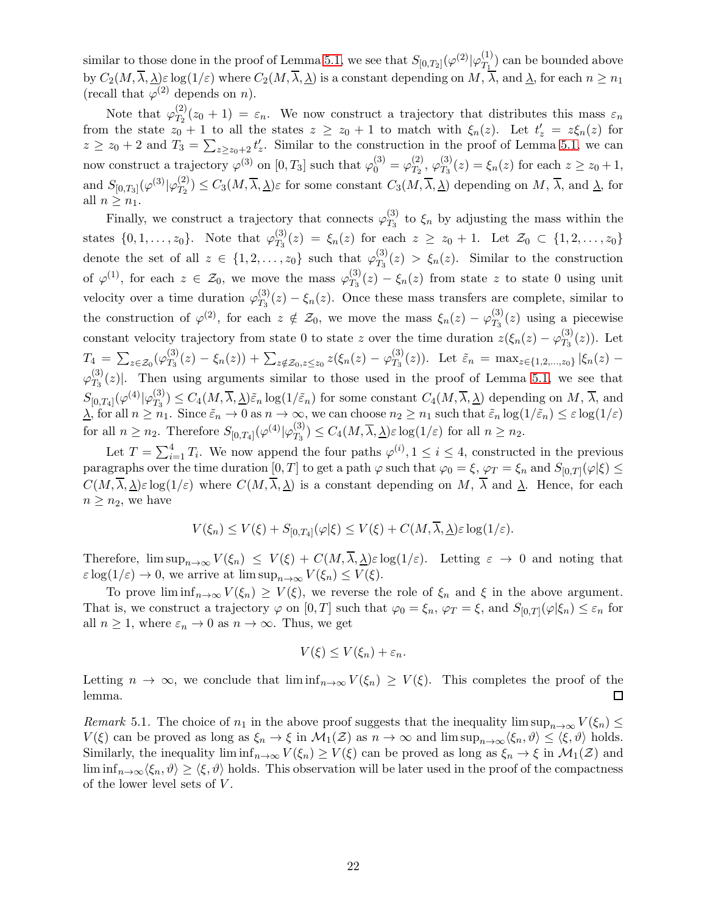similar to those done in the proof of Lemma [5.1,](#page-15-1) we see that  $S_{[0,T_2]}(\varphi^{(2)} | \varphi^{(1)}_{T_1})$  $T_1^{(1)}$  can be bounded above by  $C_2(M, \overline{\lambda}, \underline{\lambda})\varepsilon \log(1/\varepsilon)$  where  $C_2(M, \overline{\lambda}, \underline{\lambda})$  is a constant depending on  $M, \overline{\lambda}$ , and  $\underline{\lambda}$ , for each  $n \geq n_1$ (recall that  $\varphi^{(2)}$  depends on *n*).

Note that  $\varphi_{T_2}^{(2)}$  $T_2(z_0+1) = \varepsilon_n$ . We now construct a trajectory that distributes this mass  $\varepsilon_n$ from the state  $z_0 + 1$  to all the states  $z \ge z_0 + 1$  to match with  $\xi_n(z)$ . Let  $t'_z = z \xi_n(z)$  for  $z \ge z_0 + 2$  and  $T_3 = \sum_{z \ge z_0 + 2} t'_z$ . Similar to the construction in the proof of Lemma [5.1,](#page-15-1) we can now construct a trajectory  $\varphi^{(3)}$  on  $[0, T_3]$  such that  $\varphi_0^{(3)} = \varphi_{T_2}^{(2)}$  $\frac{(2)}{T_2}, \, \varphi_{T_3}^{(3)}$  $T_3^{(5)}(z) = \xi_n(z)$  for each  $z \ge z_0 + 1$ , and  $S_{[0,T_3]}(\varphi^{(3)}|\varphi^{(2)}_{T_2})$  $T_2^{(2)}$   $\leq C_3(M, \lambda, \underline{\lambda})\varepsilon$  for some constant  $C_3(M, \lambda, \underline{\lambda})$  depending on  $M$ ,  $\lambda$ , and  $\underline{\lambda}$ , for all  $n \geq n_1$ .

Finally, we construct a trajectory that connects  $\varphi_{T_2}^{(3)}$  $T_3^{(5)}$  to  $\xi_n$  by adjusting the mass within the states  $\{0, 1, \ldots, z_0\}$ . Note that  $\varphi_{T_3}^{(3)}$  $T_3^{(0)}(z) = \xi_n(z)$  for each  $z \ge z_0 + 1$ . Let  $\mathcal{Z}_0 \subset \{1, 2, ..., z_0\}$ denote the set of all  $z \in \{1, 2, \ldots, z_0\}$  such that  $\varphi_{T_3}^{(3)}$  $T_3^{(5)}(z) > \xi_n(z)$ . Similar to the construction of  $\varphi^{(1)}$ , for each  $z \in \mathcal{Z}_0$ , we move the mass  $\varphi_{T_3}^{(3)}$  $T_3^{(0)}(z) - \xi_n(z)$  from state z to state 0 using unit velocity over a time duration  $\varphi_{T_2}^{(3)}$  $T_3^{(0)}(z) - \xi_n(z)$ . Once these mass transfers are complete, similar to the construction of  $\varphi^{(2)}$ , for each  $z \notin \mathcal{Z}_0$ , we move the mass  $\xi_n(z) - \varphi_{T_3}^{(3)}$  $T_3^{(3)}(z)$  using a piecewise constant velocity trajectory from state 0 to state z over the time duration  $z(\xi_n(z) - \varphi_{T_3}^{(3)})$  $T_3^{(3)}(z)$ ). Let  $T_4\,=\,\sum_{z\in \mathcal{Z}_0} (\varphi_{T_3}^{(3)}$  $\mathcal{T}^{(3)}_{T_3}(z)-\xi_n(z)) + \sum_{z \notin \mathcal{Z}_0, z \leq z_0} z(\xi_n(z)-\varphi^{(3)}_{T_3})$  $T_3^{(5)}(z)$ ). Let  $\tilde{\varepsilon}_n = \max_{z \in \{1,2,\dots,z_0\}} |\xi_n(z) \varphi_{T_2}^{(3)}$  $T_3(z)$ . Then using arguments similar to those used in the proof of Lemma [5.1,](#page-15-1) we see that  $S_{[0,T_4]}(\varphi^{(4)}|\varphi^{(3)}_{T_3})$  $T_3^{(0)} \leq C_4(M, \lambda, \underline{\lambda}) \tilde{\varepsilon}_n \log(1/\tilde{\varepsilon}_n)$  for some constant  $C_4(M, \lambda, \underline{\lambda})$  depending on  $M$ ,  $\lambda$ , and  $\lambda$ , for all  $n \geq n_1$ . Since  $\tilde{\varepsilon}_n \to 0$  as  $n \to \infty$ , we can choose  $n_2 \geq n_1$  such that  $\tilde{\varepsilon}_n \log(1/\tilde{\varepsilon}_n) \leq \varepsilon \log(1/\varepsilon)$ for all  $n \geq n_2$ . Therefore  $S_{[0,T_4]}(\varphi^{(4)} | \varphi^{(3)}_{T_3})$  $(T_{T_3}^{(5)}) \leq C_4(M, \lambda, \underline{\lambda})\varepsilon \log(1/\varepsilon)$  for all  $n \geq n_2$ .

Let  $T = \sum_{i=1}^{4} T_i$ . We now append the four paths  $\varphi^{(i)}$ ,  $1 \leq i \leq 4$ , constructed in the previous paragraphs over the time duration  $[0,T]$  to get a path  $\varphi$  such that  $\varphi_0 = \xi$ ,  $\varphi_T = \xi_n$  and  $S_{[0,T]}(\varphi|\xi) \le$  $C(M, \overline{\lambda}, \underline{\lambda})\varepsilon \log(1/\varepsilon)$  where  $C(M, \overline{\lambda}, \underline{\lambda})$  is a constant depending on M,  $\overline{\lambda}$  and  $\underline{\lambda}$ . Hence, for each  $n \geq n_2$ , we have

$$
V(\xi_n) \le V(\xi) + S_{[0,T_4]}(\varphi|\xi) \le V(\xi) + C(M,\overline{\lambda},\underline{\lambda})\varepsilon \log(1/\varepsilon).
$$

Therefore,  $\limsup_{n\to\infty} V(\xi_n) \leq V(\xi) + C(M,\overline{\lambda},\underline{\lambda})\varepsilon \log(1/\varepsilon)$ . Letting  $\varepsilon \to 0$  and noting that  $\varepsilon \log(1/\varepsilon) \to 0$ , we arrive at  $\limsup_{n \to \infty} V(\xi_n) \leq V(\xi)$ .

To prove  $\liminf_{n\to\infty} V(\xi_n) \geq V(\xi)$ , we reverse the role of  $\xi_n$  and  $\xi$  in the above argument. That is, we construct a trajectory  $\varphi$  on  $[0,T]$  such that  $\varphi_0 = \xi_n$ ,  $\varphi_T = \xi$ , and  $S_{[0,T]}(\varphi|\xi_n) \leq \varepsilon_n$  for all  $n \geq 1$ , where  $\varepsilon_n \to 0$  as  $n \to \infty$ . Thus, we get

$$
V(\xi) \leq V(\xi_n) + \varepsilon_n.
$$

Letting  $n \to \infty$ , we conclude that  $\liminf_{n\to\infty} V(\xi_n) \geq V(\xi)$ . This completes the proof of the lemma.  $\Box$ 

<span id="page-21-0"></span>Remark 5.1. The choice of  $n_1$  in the above proof suggests that the inequality lim sup $_{n\to\infty}$   $V(\xi_n) \leq$  $V(\xi)$  can be proved as long as  $\xi_n \to \xi$  in  $\mathcal{M}_1(\mathcal{Z})$  as  $n \to \infty$  and lim sup $_{n \to \infty} \langle \xi_n, \vartheta \rangle \leq \langle \xi, \vartheta \rangle$  holds. Similarly, the inequality  $\liminf_{n\to\infty} V(\xi_n) \geq V(\xi)$  can be proved as long as  $\xi_n \to \xi$  in  $\mathcal{M}_1(\mathcal{Z})$  and  $\liminf_{n\to\infty}\langle \xi_n, \vartheta \rangle \geq \langle \xi, \vartheta \rangle$  holds. This observation will be later used in the proof of the compactness of the lower level sets of  $V$ .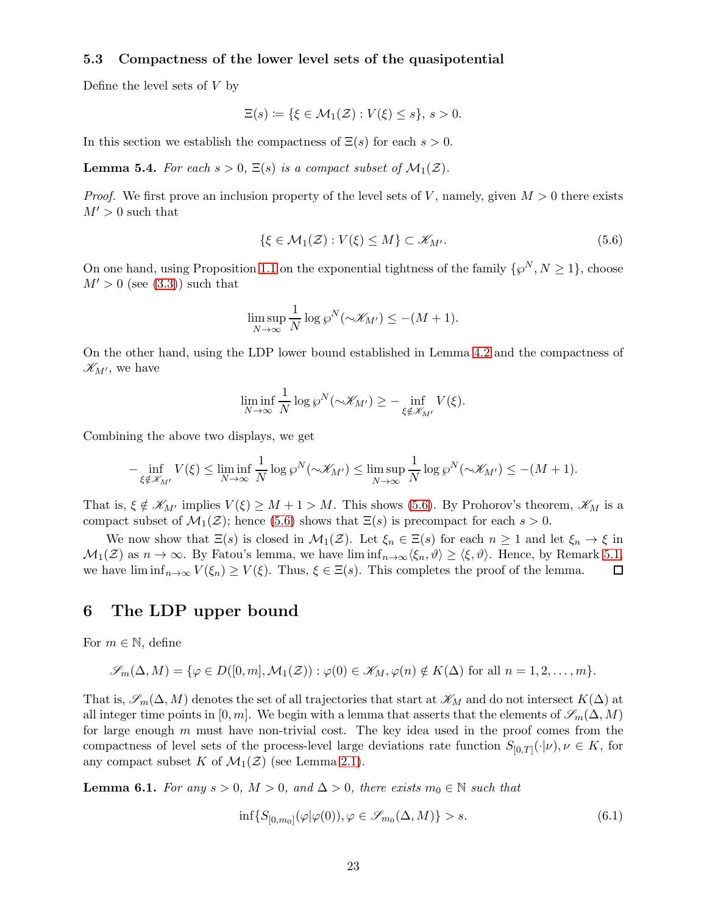### 5.3 Compactness of the lower level sets of the quasipotential

Define the level sets of  $V$  by

$$
\Xi(s) \coloneqq \{ \xi \in \mathcal{M}_1(\mathcal{Z}) : V(\xi) \le s \}, \, s > 0.
$$

In this section we establish the compactness of  $\Xi(s)$  for each  $s > 0$ .

<span id="page-22-0"></span>**Lemma 5.4.** For each  $s > 0$ ,  $\Xi(s)$  is a compact subset of  $\mathcal{M}_1(\mathcal{Z})$ .

*Proof.* We first prove an inclusion property of the level sets of V, namely, given  $M > 0$  there exists  $M' > 0$  such that

<span id="page-22-2"></span>
$$
\{\xi \in \mathcal{M}_1(\mathcal{Z}) : V(\xi) \le M\} \subset \mathcal{K}_{M'}.\tag{5.6}
$$

On one hand, using Proposition [1.1](#page-5-3) on the exponential tightness of the family  $\{\wp^N, N \geq 1\}$ , choose  $M' > 0$  (see [\(3.3\)](#page-13-2)) such that

$$
\limsup_{N \to \infty} \frac{1}{N} \log \wp^N(\sim \mathscr{K}_{M'}) \leq -(M+1).
$$

On the other hand, using the LDP lower bound established in Lemma [4.2](#page-14-4) and the compactness of  $\mathscr{K}_{M'}$ , we have

$$
\liminf_{N \to \infty} \frac{1}{N} \log \varrho^N(\sim \mathcal{K}_{M'}) \geq - \inf_{\xi \notin \mathcal{K}_{M'}} V(\xi).
$$

Combining the above two displays, we get

$$
-\inf_{\xi \notin \mathcal{K}_{M'}} V(\xi) \leq \liminf_{N \to \infty} \frac{1}{N} \log \varphi^N(\sim \mathcal{K}_{M'}) \leq \limsup_{N \to \infty} \frac{1}{N} \log \varphi^N(\sim \mathcal{K}_{M'}) \leq -(M+1).
$$

That is,  $\xi \notin \mathscr{K}_{M'}$  implies  $V(\xi) \geq M + 1 > M$ . This shows [\(5.6\)](#page-22-2). By Prohorov's theorem,  $\mathscr{K}_M$  is a compact subset of  $\mathcal{M}_1(\mathcal{Z})$ ; hence [\(5.6\)](#page-22-2) shows that  $\Xi(s)$  is precompact for each  $s > 0$ .

We now show that  $\Xi(s)$  is closed in  $\mathcal{M}_1(\mathcal{Z})$ . Let  $\xi_n \in \Xi(s)$  for each  $n \geq 1$  and let  $\xi_n \to \xi$  in  $\mathcal{M}_1(\mathcal{Z})$  as  $n \to \infty$ . By Fatou's lemma, we have  $\liminf_{n \to \infty} \langle \xi_n, \vartheta \rangle \geq \langle \xi, \vartheta \rangle$ . Hence, by Remark [5.1,](#page-21-0) we have  $\liminf_{n\to\infty} V(\xi_n) \geq V(\xi)$ . Thus,  $\xi \in \Xi(s)$ . This completes the proof of the lemma. □

### <span id="page-22-1"></span>6 The LDP upper bound

For  $m \in \mathbb{N}$ , define

$$
\mathscr{S}_m(\Delta, M) = \{ \varphi \in D([0, m], \mathcal{M}_1(\mathcal{Z})) : \varphi(0) \in \mathscr{K}_M, \varphi(n) \notin K(\Delta) \text{ for all } n = 1, 2, \dots, m \}.
$$

That is,  $\mathscr{S}_m(\Delta, M)$  denotes the set of all trajectories that start at  $\mathscr{K}_M$  and do not intersect  $K(\Delta)$  at all integer time points in [0, m]. We begin with a lemma that asserts that the elements of  $\mathscr{S}_m(\Delta, M)$ for large enough  $m$  must have non-trivial cost. The key idea used in the proof comes from the compactness of level sets of the process-level large deviations rate function  $S_{[0,T]}(\cdot|\nu), \nu \in K$ , for any compact subset K of  $\mathcal{M}_1(\mathcal{Z})$  (see Lemma [2.1\)](#page-11-2).

<span id="page-22-3"></span>**Lemma 6.1.** For any  $s > 0$ ,  $M > 0$ , and  $\Delta > 0$ , there exists  $m_0 \in \mathbb{N}$  such that

<span id="page-22-4"></span>
$$
\inf\{S_{[0,m_0]}(\varphi|\varphi(0)), \varphi \in \mathscr{S}_{m_0}(\Delta, M)\} > s. \tag{6.1}
$$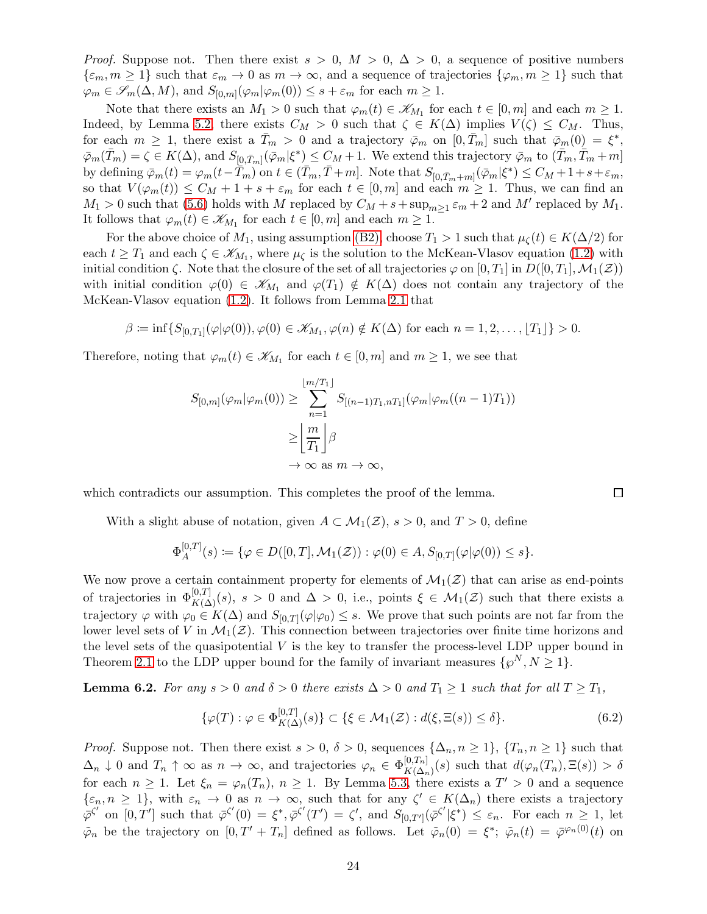*Proof.* Suppose not. Then there exist  $s > 0$ ,  $M > 0$ ,  $\Delta > 0$ , a sequence of positive numbers  $\{\varepsilon_m, m \geq 1\}$  such that  $\varepsilon_m \to 0$  as  $m \to \infty$ , and a sequence of trajectories  $\{\varphi_m, m \geq 1\}$  such that  $\varphi_m \in \mathscr{S}_m(\Delta, M)$ , and  $S_{[0,m]}(\varphi_m|\varphi_m(0)) \leq s + \varepsilon_m$  for each  $m \geq 1$ .

Note that there exists an  $M_1 > 0$  such that  $\varphi_m(t) \in \mathscr{K}_{M_1}$  for each  $t \in [0, m]$  and each  $m \geq 1$ . Indeed, by Lemma [5.2,](#page-17-1) there exists  $C_M > 0$  such that  $\zeta \in K(\Delta)$  implies  $V(\zeta) \leq C_M$ . Thus, for each  $m \geq 1$ , there exist a  $\bar{T}_m > 0$  and a trajectory  $\bar{\varphi}_m$  on  $[0, \bar{T}_m]$  such that  $\bar{\varphi}_m(0) = \xi^*$ ,  $\bar{\varphi}_m(\bar{T}_m) = \zeta \in K(\Delta)$ , and  $S_{[0,\bar{T}_m]}(\bar{\varphi}_m | \xi^*) \leq C_M + 1$ . We extend this trajectory  $\bar{\varphi}_m$  to  $(\bar{T}_m, \bar{T}_m + m]$ by defining  $\bar{\varphi}_m(t) = \varphi_m(t - \overline{\tilde{T}}_m)$  on  $t \in (\bar{T}_m, \bar{T} + m]$ . Note that  $S_{[0, \bar{T}_m + m]}(\bar{\varphi}_m | \xi^*) \leq C_M + 1 + s + \varepsilon_m$ , so that  $V(\varphi_m(t)) \leq C_M + 1 + s + \varepsilon_m$  for each  $t \in [0, m]$  and each  $m \geq 1$ . Thus, we can find an  $M_1 > 0$  such that [\(5.6\)](#page-22-2) holds with M replaced by  $C_M + s + \sup_{m \geq 1} \varepsilon_m + 2$  and M' replaced by  $M_1$ . It follows that  $\varphi_m(t) \in \mathcal{K}_{M_1}$  for each  $t \in [0, m]$  and each  $m \geq 1$ .

For the above choice of  $M_1$ , using assumption [\(B2\),](#page-5-2) choose  $T_1 > 1$  such that  $\mu_{\zeta}(t) \in K(\Delta/2)$  for each  $t \geq T_1$  and each  $\zeta \in \mathscr{K}_{M_1}$ , where  $\mu_{\zeta}$  is the solution to the McKean-Vlasov equation [\(1.2\)](#page-1-1) with initial condition  $\zeta$ . Note that the closure of the set of all trajectories  $\varphi$  on  $[0, T_1]$  in  $D([0, T_1], \mathcal{M}_1(\mathcal{Z}))$ with initial condition  $\varphi(0) \in \mathscr{K}_{M_1}$  and  $\varphi(T_1) \notin K(\Delta)$  does not contain any trajectory of the McKean-Vlasov equation [\(1.2\)](#page-1-1). It follows from Lemma [2.1](#page-11-2) that

$$
\beta \coloneqq \inf \{ S_{[0,T_1]}(\varphi | \varphi(0)), \varphi(0) \in \mathcal{K}_{M_1}, \varphi(n) \notin K(\Delta) \text{ for each } n = 1,2,\ldots, \lfloor T_1 \rfloor \} > 0.
$$

Therefore, noting that  $\varphi_m(t) \in \mathscr{K}_{M_1}$  for each  $t \in [0, m]$  and  $m \geq 1$ , we see that

$$
S_{[0,m]}(\varphi_m|\varphi_m(0)) \ge \sum_{n=1}^{\lfloor m/T_1 \rfloor} S_{[(n-1)T_1, nT_1]}(\varphi_m|\varphi_m((n-1)T_1))
$$
  

$$
\ge \left\lfloor \frac{m}{T_1} \right\rfloor \beta
$$
  

$$
\to \infty \text{ as } m \to \infty,
$$

which contradicts our assumption. This completes the proof of the lemma.

With a slight abuse of notation, given  $A \subset \mathcal{M}_1(\mathcal{Z}), s > 0$ , and  $T > 0$ , define

$$
\Phi_A^{[0,T]}(s) := \{ \varphi \in D([0,T], \mathcal{M}_1(\mathcal{Z})) : \varphi(0) \in A, S_{[0,T]}(\varphi | \varphi(0)) \leq s \}.
$$

We now prove a certain containment property for elements of  $\mathcal{M}_1(\mathcal{Z})$  that can arise as end-points of trajectories in  $\Phi_{K(\Delta)}^{[0,T]}(s)$ ,  $s > 0$  and  $\Delta > 0$ , i.e., points  $\xi \in \mathcal{M}_1(\mathcal{Z})$  such that there exists a trajectory  $\varphi$  with  $\varphi_0 \in K(\Delta)$  and  $S_{[0,T]}(\varphi|\varphi_0) \leq s$ . We prove that such points are not far from the lower level sets of V in  $\mathcal{M}_1(\mathcal{Z})$ . This connection between trajectories over finite time horizons and the level sets of the quasipotential  $V$  is the key to transfer the process-level LDP upper bound in Theorem [2.1](#page-12-0) to the LDP upper bound for the family of invariant measures  $\{\wp^N, N \geq 1\}$ .

<span id="page-23-0"></span>**Lemma 6.2.** For any  $s > 0$  and  $\delta > 0$  there exists  $\Delta > 0$  and  $T_1 \geq 1$  such that for all  $T \geq T_1$ ,

$$
\{\varphi(T): \varphi \in \Phi_{K(\Delta)}^{[0,T]}(s)\} \subset \{\xi \in \mathcal{M}_1(\mathcal{Z}): d(\xi, \Xi(s)) \le \delta\}. \tag{6.2}
$$

*Proof.* Suppose not. Then there exist  $s > 0$ ,  $\delta > 0$ , sequences  $\{\Delta_n, n \geq 1\}$ ,  $\{T_n, n \geq 1\}$  such that  $\Delta_n \downarrow 0$  and  $T_n \uparrow \infty$  as  $n \to \infty$ , and trajectories  $\varphi_n \in \Phi^{[0,T_n]}_{K(\Delta_n)}$  $K(\Delta_n)(s)$  such that  $d(\varphi_n(T_n), \Xi(s)) > \delta$ for each  $n \geq 1$ . Let  $\xi_n = \varphi_n(T_n)$ ,  $n \geq 1$ . By Lemma [5.3,](#page-20-0) there exists a  $T' > 0$  and a sequence  $\{\varepsilon_n, n \geq 1\}$ , with  $\varepsilon_n \to 0$  as  $n \to \infty$ , such that for any  $\zeta' \in K(\Delta_n)$  there exists a trajectory  $\bar{\varphi}^{\zeta'}$  on  $[0,T']$  such that  $\bar{\varphi}^{\zeta'}(0) = \xi^*, \bar{\varphi}^{\zeta'}(T') = \zeta'$ , and  $S_{[0,T']}(\bar{\varphi}^{\zeta'}|\xi^*) \leq \varepsilon_n$ . For each  $n \geq 1$ , let  $\tilde{\varphi}_n$  be the trajectory on  $[0, T' + T_n]$  defined as follows. Let  $\tilde{\varphi}_n(0) = \xi^*; \ \tilde{\varphi}_n(t) = \bar{\varphi}^{\varphi_n(0)}(t)$  on

<span id="page-23-1"></span> $\Box$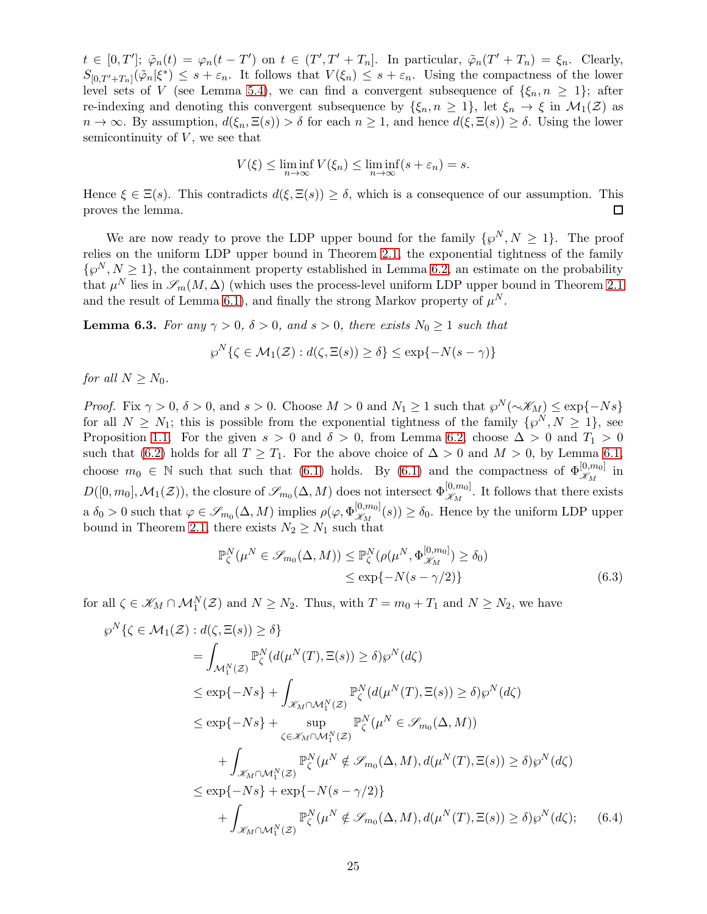$t \in [0,T']$ ;  $\tilde{\varphi}_n(t) = \varphi_n(t-T')$  on  $t \in (T',T'+T_n]$ . In particular,  $\tilde{\varphi}_n(T'+T_n) = \xi_n$ . Clearly,  $S_{[0,T'+T_n]}(\tilde{\varphi}_n|\xi^*) \leq s+\varepsilon_n$ . It follows that  $V(\xi_n) \leq s+\varepsilon_n$ . Using the compactness of the lower level sets of V (see Lemma [5.4\)](#page-22-0), we can find a convergent subsequence of  $\{\xi_n, n \geq 1\}$ ; after re-indexing and denoting this convergent subsequence by  $\{\xi_n, n \geq 1\}$ , let  $\xi_n \to \xi$  in  $\mathcal{M}_1(\mathcal{Z})$  as  $n \to \infty$ . By assumption,  $d(\xi_n, \Xi(s)) > \delta$  for each  $n \geq 1$ , and hence  $d(\xi, \Xi(s)) \geq \delta$ . Using the lower semicontinuity of  $V$ , we see that

$$
V(\xi) \le \liminf_{n \to \infty} V(\xi_n) \le \liminf_{n \to \infty} (s + \varepsilon_n) = s.
$$

Hence  $\xi \in \Xi(s)$ . This contradicts  $d(\xi, \Xi(s)) \geq \delta$ , which is a consequence of our assumption. This proves the lemma.  $\Box$ 

We are now ready to prove the LDP upper bound for the family  $\{\wp^N, N \geq 1\}$ . The proof relies on the uniform LDP upper bound in Theorem [2.1,](#page-12-0) the exponential tightness of the family  $\{\varphi^N, N \geq 1\}$ , the containment property established in Lemma [6.2,](#page-23-0) an estimate on the probability that  $\mu^N$  lies in  $\mathscr{S}_m(M, \Delta)$  (which uses the process-level uniform LDP upper bound in Theorem [2.1](#page-12-0) and the result of Lemma [6.1\)](#page-22-3), and finally the strong Markov property of  $\mu^N$ .

<span id="page-24-2"></span>**Lemma 6.3.** For any  $\gamma > 0$ ,  $\delta > 0$ , and  $s > 0$ , there exists  $N_0 \geq 1$  such that

$$
\wp^N\{\zeta \in \mathcal{M}_1(\mathcal{Z}) : d(\zeta, \Xi(s)) \ge \delta\} \le \exp\{-N(s-\gamma)\}\
$$

for all  $N \geq N_0$ .

*Proof.* Fix  $\gamma > 0$ ,  $\delta > 0$ , and  $s > 0$ . Choose  $M > 0$  and  $N_1 \geq 1$  such that  $\wp^N(\sim \mathscr{K}_M) \leq \exp\{-Ns\}$ for all  $N \geq N_1$ ; this is possible from the exponential tightness of the family  $\{\wp^N, N \geq 1\}$ , see Proposition [1.1.](#page-5-3) For the given  $s > 0$  and  $\delta > 0$ , from Lemma [6.2,](#page-23-0) choose  $\Delta > 0$  and  $T_1 > 0$ such that [\(6.2\)](#page-23-1) holds for all  $T \geq T_1$ . For the above choice of  $\Delta > 0$  and  $M > 0$ , by Lemma [6.1,](#page-22-3) choose  $m_0 \in \mathbb{N}$  such that such that [\(6.1\)](#page-22-4) holds. By (6.1) and the compactness of  $\Phi_{\mathscr{K}_M}^{[0,m_0]}$  in  $D([0,m_0],\mathcal{M}_1(\mathcal{Z}))$ , the closure of  $\mathscr{S}_{m_0}(\Delta,M)$  does not intersect  $\Phi_{\mathscr{K}_M}^{[0,m_0]}$ . It follows that there exists  $a \delta_0 > 0$  such that  $\varphi \in \mathscr{S}_{m_0}(\Delta, M)$  implies  $\rho(\varphi, \Phi_{\mathscr{K}_M}^{[0,m_0]}(s)) \ge \delta_0$ . Hence by the uniform LDP upper bound in Theorem [2.1,](#page-12-0) there exists  $N_2 \geq N_1$  such that

<span id="page-24-1"></span><span id="page-24-0"></span>
$$
\mathbb{P}_{\zeta}^{N}(\mu^{N} \in \mathscr{S}_{m_{0}}(\Delta, M)) \leq \mathbb{P}_{\zeta}^{N}(\rho(\mu^{N}, \Phi_{\mathscr{K}_{M}}^{[0,m_{0}]}) \geq \delta_{0})
$$
  

$$
\leq \exp\{-N(s - \gamma/2)\}\tag{6.3}
$$

for all  $\zeta \in \mathscr{K}_M \cap \mathcal{M}_1^N(\mathcal{Z})$  and  $N \geq N_2$ . Thus, with  $T = m_0 + T_1$  and  $N \geq N_2$ , we have

$$
\wp^N\{\zeta \in \mathcal{M}_1(\mathcal{Z}) : d(\zeta, \Xi(s)) \ge \delta\}
$$
\n
$$
= \int_{\mathcal{M}_1^N(\mathcal{Z})} \mathbb{P}_{\zeta}^N(d(\mu^N(T), \Xi(s)) \ge \delta) \wp^N(d\zeta)
$$
\n
$$
\le \exp\{-Ns\} + \int_{\mathcal{K}_M \cap \mathcal{M}_1^N(\mathcal{Z})} \mathbb{P}_{\zeta}^N(d(\mu^N(T), \Xi(s)) \ge \delta) \wp^N(d\zeta)
$$
\n
$$
\le \exp\{-Ns\} + \sup_{\zeta \in \mathcal{K}_M \cap \mathcal{M}_1^N(\mathcal{Z})} \mathbb{P}_{\zeta}^N(\mu^N \in \mathcal{S}_{m_0}(\Delta, M))
$$
\n
$$
+ \int_{\mathcal{K}_M \cap \mathcal{M}_1^N(\mathcal{Z})} \mathbb{P}_{\zeta}^N(\mu^N \notin \mathcal{S}_{m_0}(\Delta, M), d(\mu^N(T), \Xi(s)) \ge \delta) \wp^N(d\zeta)
$$
\n
$$
\le \exp\{-Ns\} + \exp\{-N(s - \gamma/2)\}
$$
\n
$$
+ \int_{\mathcal{K}_M \cap \mathcal{M}_1^N(\mathcal{Z})} \mathbb{P}_{\zeta}^N(\mu^N \notin \mathcal{S}_{m_0}(\Delta, M), d(\mu^N(T), \Xi(s)) \ge \delta) \wp^N(d\zeta); \quad (6.4)
$$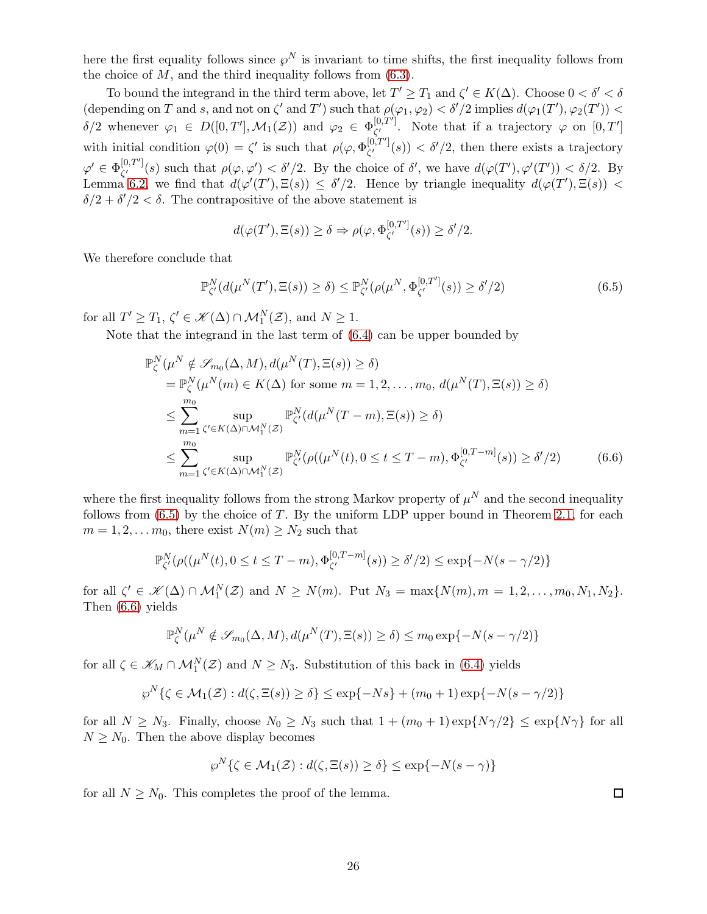here the first equality follows since  $\wp^N$  is invariant to time shifts, the first inequality follows from the choice of  $M$ , and the third inequality follows from  $(6.3)$ .

To bound the integrand in the third term above, let  $T' \geq T_1$  and  $\zeta' \in K(\Delta)$ . Choose  $0 < \delta' < \delta$ (depending on T and s, and not on  $\zeta'$  and T') such that  $\rho(\varphi_1, \varphi_2) < \delta'/2$  implies  $d(\varphi_1(T'), \varphi_2(T')) <$  $\delta/2$  whenever  $\varphi_1 \in D([0,T'], \mathcal{M}_1(\mathcal{Z}))$  and  $\varphi_2 \in \Phi_{\zeta'}^{[0,T']}$  $\zeta'$ . Note that if a trajectory  $\varphi$  on  $[0, T']$ with initial condition  $\varphi(0) = \zeta'$  is such that  $\rho(\varphi, \Phi_{\zeta'}^{[0,T']})$  $\zeta^{(0,T)}(s)$   $< \delta'/2$ , then there exists a trajectory  $\varphi' \in \Phi^{[0,T^{\prime}]}_{\ell^{\prime}}$  $\zeta^{(0,T)}(s)$  such that  $\rho(\varphi,\varphi') < \delta'/2$ . By the choice of  $\delta'$ , we have  $d(\varphi(T'),\varphi'(T')) < \delta/2$ . By Lemma [6.2,](#page-23-0) we find that  $d(\varphi'(T'), \Xi(s)) \leq \delta'/2$ . Hence by triangle inequality  $d(\varphi(T'), \Xi(s))$  $\delta/2 + \delta'/2 < \delta$ . The contrapositive of the above statement is

<span id="page-25-0"></span>
$$
d(\varphi(T'), \Xi(s)) \ge \delta \Rightarrow \rho(\varphi, \Phi_{\zeta'}^{[0,T']}(s)) \ge \delta'/2.
$$

We therefore conclude that

$$
\mathbb{P}_{\zeta'}^N(d(\mu^N(T'), \Xi(s)) \ge \delta) \le \mathbb{P}_{\zeta'}^N(\rho(\mu^N, \Phi_{\zeta'}^{[0,T']}(s)) \ge \delta'/2)
$$
\n(6.5)

for all  $T' \geq T_1$ ,  $\zeta' \in \mathcal{K}(\Delta) \cap \mathcal{M}_1^N(\mathcal{Z})$ , and  $N \geq 1$ .

Note that the integrand in the last term of [\(6.4\)](#page-24-1) can be upper bounded by

$$
\mathbb{P}_{\zeta}^{N}(\mu^{N} \notin \mathcal{S}_{m_{0}}(\Delta, M), d(\mu^{N}(T), \Xi(s)) \geq \delta)
$$
\n
$$
= \mathbb{P}_{\zeta}^{N}(\mu^{N}(m) \in K(\Delta) \text{ for some } m = 1, 2, ..., m_{0}, d(\mu^{N}(T), \Xi(s)) \geq \delta)
$$
\n
$$
\leq \sum_{m=1}^{m_{0}} \sup_{\zeta' \in K(\Delta) \cap \mathcal{M}_{1}^{N}(Z)} \mathbb{P}_{\zeta'}^{N}(d(\mu^{N}(T-m), \Xi(s)) \geq \delta)
$$
\n
$$
\leq \sum_{m=1}^{m_{0}} \sup_{\zeta' \in K(\Delta) \cap \mathcal{M}_{1}^{N}(Z)} \mathbb{P}_{\zeta'}^{N}(\rho((\mu^{N}(t), 0 \leq t \leq T-m), \Phi_{\zeta'}^{[0, T-m]}(s)) \geq \delta'/2) \qquad (6.6)
$$

where the first inequality follows from the strong Markov property of  $\mu^N$  and the second inequality follows from  $(6.5)$  by the choice of T. By the uniform LDP upper bound in Theorem [2.1,](#page-12-0) for each  $m = 1, 2, \ldots m_0$ , there exist  $N(m) \geq N_2$  such that

$$
\mathbb{P}_{\zeta'}^N(\rho((\mu^N(t), 0 \le t \le T - m), \Phi_{\zeta'}^{[0, T - m]}(s)) \ge \delta'/2) \le \exp\{-N(s - \gamma/2)\}
$$

for all  $\zeta' \in \mathcal{K}(\Delta) \cap \mathcal{M}_1^N(\mathcal{Z})$  and  $N \ge N(m)$ . Put  $N_3 = \max\{N(m), m = 1, 2, \ldots, m_0, N_1, N_2\}$ . Then [\(6.6\)](#page-25-1) yields

$$
\mathbb{P}_{\zeta}^{N}(\mu^{N} \notin \mathscr{S}_{m_{0}}(\Delta, M), d(\mu^{N}(T), \Xi(s)) \geq \delta) \leq m_{0} \exp\{-N(s - \gamma/2)\}\
$$

for all  $\zeta \in \mathscr{K}_M \cap \mathcal{M}_1^N(\mathcal{Z})$  and  $N \geq N_3$ . Substitution of this back in [\(6.4\)](#page-24-1) yields

$$
\wp^N\{\zeta \in \mathcal{M}_1(\mathcal{Z}) : d(\zeta, \Xi(s)) \ge \delta\} \le \exp\{-Ns\} + (m_0 + 1)\exp\{-N(s - \gamma/2)\}
$$

for all  $N \ge N_3$ . Finally, choose  $N_0 \ge N_3$  such that  $1 + (m_0 + 1) \exp\{N\gamma/2\} \le \exp\{N\gamma\}$  for all  $N \geq N_0$ . Then the above display becomes

$$
\wp^N\{\zeta \in \mathcal{M}_1(\mathcal{Z}) : d(\zeta, \Xi(s)) \ge \delta\} \le \exp\{-N(s-\gamma)\}\
$$

for all  $N \geq N_0$ . This completes the proof of the lemma.

<span id="page-25-1"></span> $\Box$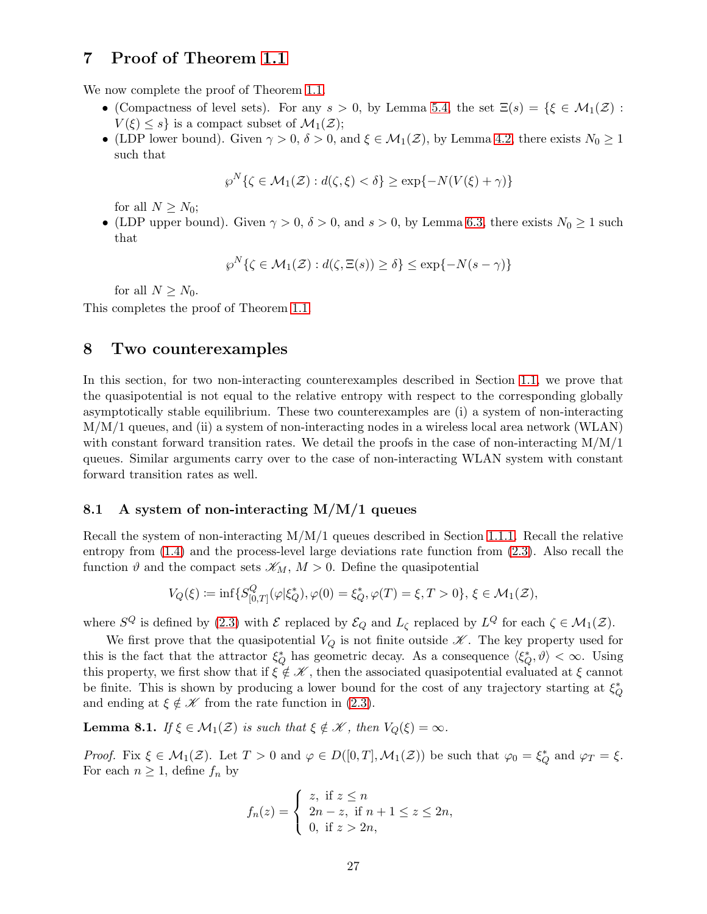## <span id="page-26-1"></span>7 Proof of Theorem [1.1](#page-6-2)

We now complete the proof of Theorem [1.1.](#page-6-2)

- (Compactness of level sets). For any  $s > 0$ , by Lemma [5.4,](#page-22-0) the set  $\Xi(s) = \{ \xi \in \mathcal{M}_1(\mathcal{Z}) :$  $V(\xi) \leq s$  is a compact subset of  $\mathcal{M}_1(\mathcal{Z})$ ;
- (LDP lower bound). Given  $\gamma > 0$ ,  $\delta > 0$ , and  $\xi \in \mathcal{M}_1(\mathcal{Z})$ , by Lemma [4.2,](#page-14-4) there exists  $N_0 \geq 1$ such that

$$
\wp^N\{\zeta \in \mathcal{M}_1(\mathcal{Z}) : d(\zeta, \xi) < \delta\} \ge \exp\{-N(V(\xi) + \gamma)\}
$$

for all  $N \geq N_0$ ;

• (LDP upper bound). Given  $\gamma > 0$ ,  $\delta > 0$ , and  $s > 0$ , by Lemma [6.3,](#page-24-2) there exists  $N_0 \ge 1$  such that

$$
\wp^N\{\zeta \in \mathcal{M}_1(\mathcal{Z}) : d(\zeta, \Xi(s)) \ge \delta\} \le \exp\{-N(s - \gamma)\}\
$$

for all  $N \geq N_0$ .

<span id="page-26-0"></span>This completes the proof of Theorem [1.1.](#page-6-2)

## 8 Two counterexamples

In this section, for two non-interacting counterexamples described in Section [1.1,](#page-2-2) we prove that the quasipotential is not equal to the relative entropy with respect to the corresponding globally asymptotically stable equilibrium. These two counterexamples are (i) a system of non-interacting M/M/1 queues, and (ii) a system of non-interacting nodes in a wireless local area network (WLAN) with constant forward transition rates. We detail the proofs in the case of non-interacting  $M/M/1$ queues. Similar arguments carry over to the case of non-interacting WLAN system with constant forward transition rates as well.

### 8.1 A system of non-interacting  $M/M/1$  queues

Recall the system of non-interacting M/M/1 queues described in Section [1.1.1.](#page-2-3) Recall the relative entropy from [\(1.4\)](#page-2-4) and the process-level large deviations rate function from [\(2.3\)](#page-12-3). Also recall the function  $\vartheta$  and the compact sets  $\mathscr{K}_M$ ,  $M > 0$ . Define the quasipotential

$$
V_Q(\xi) := \inf \{ S_{[0,T]}^Q(\varphi | \xi_Q^*), \varphi(0) = \xi_Q^*, \varphi(T) = \xi, T > 0 \}, \, \xi \in \mathcal{M}_1(\mathcal{Z}),
$$

where  $S^Q$  is defined by [\(2.3\)](#page-12-3) with  $\mathcal E$  replaced by  $\mathcal E_Q$  and  $L_\zeta$  replaced by  $L^Q$  for each  $\zeta \in \mathcal M_1(\mathcal Z)$ .

We first prove that the quasipotential  $V_Q$  is not finite outside  $\mathscr K$ . The key property used for this is the fact that the attractor  $\xi_Q^*$  has geometric decay. As a consequence  $\langle \xi_Q^*, \vartheta \rangle < \infty$ . Using this property, we first show that if  $\xi \notin \mathcal{K}$ , then the associated quasipotential evaluated at  $\xi$  cannot be finite. This is shown by producing a lower bound for the cost of any trajectory starting at  $\xi_Q^*$ and ending at  $\xi \notin \mathcal{K}$  from the rate function in [\(2.3\)](#page-12-3).

<span id="page-26-2"></span>**Lemma 8.1.** If  $\xi \in M_1(\mathcal{Z})$  is such that  $\xi \notin \mathcal{K}$ , then  $V_O(\xi) = \infty$ .

Proof. Fix  $\xi \in \mathcal{M}_1(\mathcal{Z})$ . Let  $T > 0$  and  $\varphi \in D([0, T], \mathcal{M}_1(\mathcal{Z}))$  be such that  $\varphi_0 = \xi_Q^*$  and  $\varphi_T = \xi$ . For each  $n \geq 1$ , define  $f_n$  by

$$
f_n(z) = \begin{cases} z, & \text{if } z \le n \\ 2n - z, & \text{if } n + 1 \le z \le 2n, \\ 0, & \text{if } z > 2n, \end{cases}
$$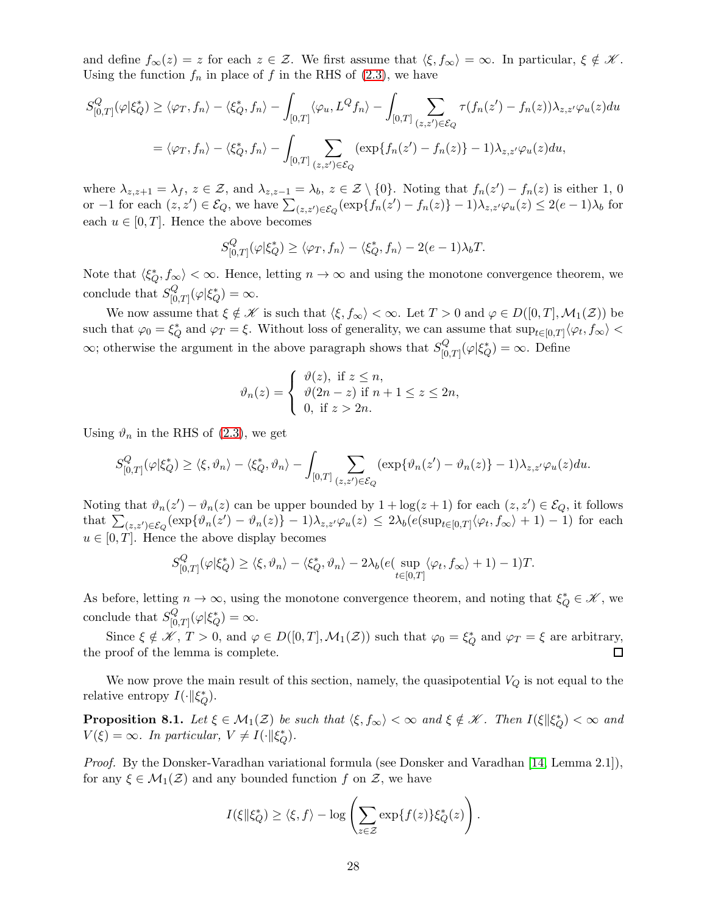and define  $f_{\infty}(z) = z$  for each  $z \in \mathcal{Z}$ . We first assume that  $\langle \xi, f_{\infty} \rangle = \infty$ . In particular,  $\xi \notin \mathcal{K}$ . Using the function  $f_n$  in place of f in the RHS of [\(2.3\)](#page-12-3), we have

$$
S_{[0,T]}^{Q}(\varphi|\xi_{Q}^{*}) \geq \langle \varphi_{T}, f_{n} \rangle - \langle \xi_{Q}^{*}, f_{n} \rangle - \int_{[0,T]} \langle \varphi_{u}, L^{Q} f_{n} \rangle - \int_{[0,T]} \sum_{(z,z') \in \mathcal{E}_{Q}} \tau(f_{n}(z') - f_{n}(z)) \lambda_{z,z'} \varphi_{u}(z) du
$$
  

$$
= \langle \varphi_{T}, f_{n} \rangle - \langle \xi_{Q}^{*}, f_{n} \rangle - \int_{[0,T]} \sum_{(z,z') \in \mathcal{E}_{Q}} (\exp\{f_{n}(z') - f_{n}(z)\} - 1) \lambda_{z,z'} \varphi_{u}(z) du,
$$

where  $\lambda_{z,z+1} = \lambda_f$ ,  $z \in \mathcal{Z}$ , and  $\lambda_{z,z-1} = \lambda_b$ ,  $z \in \mathcal{Z} \setminus \{0\}$ . Noting that  $f_n(z') - f_n(z)$  is either 1, 0 or  $-1$  for each  $(z, z') \in \mathcal{E}_Q$ , we have  $\sum_{(z, z') \in \mathcal{E}_Q} (\exp\{f_n(z') - f_n(z)\} - 1) \lambda_{z, z'} \varphi_u(z) \leq 2(e-1)\lambda_b$  for each  $u \in [0, T]$ . Hence the above becomes

$$
S_{[0,T]}^{Q}(\varphi|\xi_{Q}^{*}) \geq \langle \varphi_{T}, f_{n} \rangle - \langle \xi_{Q}^{*}, f_{n} \rangle - 2(e-1)\lambda_{b}T.
$$

Note that  $\langle \xi_Q^*, f_\infty \rangle < \infty$ . Hence, letting  $n \to \infty$  and using the monotone convergence theorem, we conclude that  $S_{\text{L}}^{Q}$  $\iota_{[0,T]}^Q(\varphi|\xi_Q^*)=\infty.$ 

We now assume that  $\xi \notin \mathcal{K}$  is such that  $\langle \xi, f_{\infty} \rangle < \infty$ . Let  $T > 0$  and  $\varphi \in D([0, T], \mathcal{M}_1(\mathcal{Z}))$  be such that  $\varphi_0 = \xi_Q^*$  and  $\varphi_T = \xi$ . Without loss of generality, we can assume that  $\sup_{t \in [0,T]} \langle \varphi_t, f_\infty \rangle$  $\infty$ ; otherwise the argument in the above paragraph shows that  $S^Q_{0}$  $\mathcal{L}^Q_{[0,T]}(\varphi|\xi_Q^*) = \infty$ . Define

$$
\vartheta_n(z) = \begin{cases} \vartheta(z), & \text{if } z \le n, \\ \vartheta(2n-z) & \text{if } n+1 \le z \le 2n, \\ 0, & \text{if } z > 2n. \end{cases}
$$

Using  $\vartheta_n$  in the RHS of [\(2.3\)](#page-12-3), we get

$$
S_{[0,T]}^Q(\varphi|\xi_Q^*) \ge \langle \xi, \vartheta_n \rangle - \langle \xi_Q^*, \vartheta_n \rangle - \int_{[0,T]} \sum_{(z,z') \in \mathcal{E}_Q} (\exp\{\vartheta_n(z') - \vartheta_n(z)\} - 1) \lambda_{z,z'} \varphi_u(z) du.
$$

Noting that  $\vartheta_n(z') - \vartheta_n(z)$  can be upper bounded by  $1 + \log(z+1)$  for each  $(z, z') \in \mathcal{E}_Q$ , it follows that  $\sum_{(z,z')\in\mathcal{E}_Q} \left( \exp\{\vartheta_n(z') - \vartheta_n(z)\} - 1 \right) \lambda_{z,z'} \varphi_u(z) \leq 2\lambda_b (e(\sup_{t\in[0,T]} \langle \varphi_t, f_{\infty} \rangle + 1) - 1)$  for each  $u \in [0, T]$ . Hence the above display becomes

$$
S_{[0,T]}^Q(\varphi|\xi_Q^*) \ge \langle \xi, \vartheta_n \rangle - \langle \xi_Q^*, \vartheta_n \rangle - 2\lambda_b(e(\sup_{t \in [0,T]} \langle \varphi_t, f_{\infty} \rangle + 1) - 1)T.
$$

As before, letting  $n \to \infty$ , using the monotone convergence theorem, and noting that  $\xi_Q^* \in \mathcal{K}$ , we conclude that  $S_{\text{L}}^{Q}$  $\iota_{[0,T]}^Q(\varphi|\xi_Q^*)=\infty.$ 

Since  $\xi \notin \mathscr{K}, T > 0$ , and  $\varphi \in D([0, T], \mathcal{M}_1(\mathcal{Z}))$  such that  $\varphi_0 = \xi_Q^*$  and  $\varphi_T = \xi$  are arbitrary, the proof of the lemma is complete.

We now prove the main result of this section, namely, the quasipotential  $V_Q$  is not equal to the relative entropy  $I(\cdot || \xi_Q^*).$ 

<span id="page-27-0"></span>**Proposition 8.1.** Let  $\xi \in M_1(\mathcal{Z})$  be such that  $\langle \xi, f_\infty \rangle < \infty$  and  $\xi \notin \mathcal{K}$ . Then  $I(\xi \mid \mid \xi_Q^*) < \infty$  and  $V(\xi) = \infty$ . In particular,  $V \neq I(\cdot || \xi_Q^*).$ 

Proof. By the Donsker-Varadhan variational formula (see Donsker and Varadhan [\[14,](#page-31-17) Lemma 2.1]), for any  $\xi \in \mathcal{M}_1(\mathcal{Z})$  and any bounded function f on  $\mathcal{Z}$ , we have

$$
I(\xi \| \xi_Q^*) \ge \langle \xi, f \rangle - \log \left( \sum_{z \in \mathcal{Z}} \exp\{f(z)\} \xi_Q^*(z) \right).
$$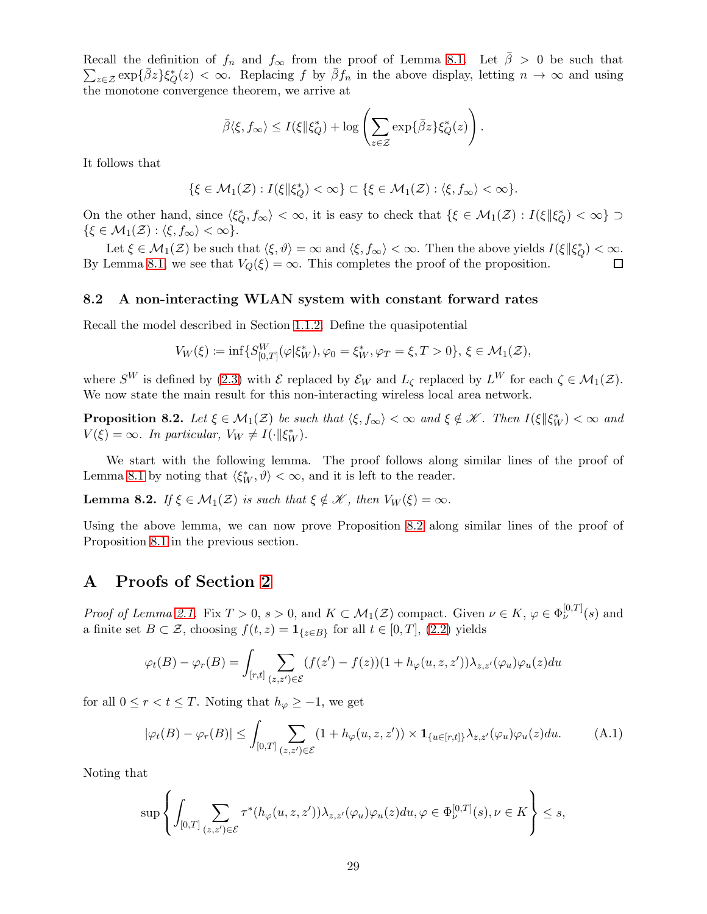Recall the definition of  $f_n$  and  $f_{\infty}$  from the proof of Lemma [8.1.](#page-26-2) Let  $\bar{\beta} > 0$  be such that  $\sum_{z\in\mathcal{Z}} \exp\{\bar{\beta}z\} \xi^*_{Q}(z) < \infty$ . Replacing f by  $\bar{\beta}f_n$  in the above display, letting  $n \to \infty$  and using the monotone convergence theorem, we arrive at

$$
\bar{\beta}\langle \xi, f_{\infty}\rangle \leq I(\xi \| \xi_Q^*) + \log \left( \sum_{z \in \mathcal{Z}} \exp{\{\bar{\beta}z\}} \xi_Q^*(z) \right).
$$

It follows that

$$
\{\xi\in\mathcal{M}_1(\mathcal{Z}):I(\xi\|\xi_Q^*)<\infty\}\subset\{\xi\in\mathcal{M}_1(\mathcal{Z}): \langle\xi,f_\infty\rangle<\infty\}.
$$

On the other hand, since  $\langle \xi_Q^*, f_\infty \rangle < \infty$ , it is easy to check that  $\{ \xi \in \mathcal{M}_1(\mathcal{Z}) : I(\xi \| \xi_Q^*) < \infty \}$  $\{\xi \in \mathcal{M}_1(\mathcal{Z}) : \langle \xi, f_\infty \rangle < \infty\}.$ 

Let  $\xi \in \mathcal{M}_1(\mathcal{Z})$  be such that  $\langle \xi, \vartheta \rangle = \infty$  and  $\langle \xi, f_\infty \rangle < \infty$ . Then the above yields  $I(\xi \|\xi_Q^*) < \infty$ . By Lemma [8.1,](#page-26-2) we see that  $V_Q(\xi) = \infty$ . This completes the proof of the proposition. П

### 8.2 A non-interacting WLAN system with constant forward rates

Recall the model described in Section [1.1.2.](#page-4-3) Define the quasipotential

 $\ddotsc$ 

$$
V_W(\xi) := \inf \{ S_{[0,T]}^W(\varphi | \xi_W^*), \varphi_0 = \xi_W^*, \varphi_T = \xi, T > 0 \}, \xi \in \mathcal{M}_1(\mathcal{Z}),
$$

where  $S^W$  is defined by [\(2.3\)](#page-12-3) with  $\mathcal E$  replaced by  $\mathcal E_W$  and  $L_{\mathcal L}$  replaced by  $L^W$  for each  $\zeta \in \mathcal M_1(\mathcal Z)$ . We now state the main result for this non-interacting wireless local area network.

<span id="page-28-1"></span>**Proposition 8.2.** Let  $\xi \in M_1(\mathcal{Z})$  be such that  $\langle \xi, f_\infty \rangle < \infty$  and  $\xi \notin \mathcal{K}$ . Then  $I(\xi \mid \mid \xi_W^*) < \infty$  and  $V(\xi) = \infty$ . In particular,  $V_W \neq I(\cdot || \xi_W^*)$ .

We start with the following lemma. The proof follows along similar lines of the proof of Lemma [8.1](#page-26-2) by noting that  $\langle \xi_W^*, \vartheta \rangle < \infty$ , and it is left to the reader.

**Lemma 8.2.** If  $\xi \in M_1(\mathcal{Z})$  is such that  $\xi \notin \mathcal{K}$ , then  $V_W(\xi) = \infty$ .

Using the above lemma, we can now prove Proposition [8.2](#page-28-1) along similar lines of the proof of Proposition [8.1](#page-27-0) in the previous section.

### <span id="page-28-0"></span>A Proofs of Section [2](#page-9-0)

*Proof of Lemma [2.1.](#page-11-2)* Fix  $T > 0$ ,  $s > 0$ , and  $K \subset \mathcal{M}_1(\mathcal{Z})$  compact. Given  $\nu \in K$ ,  $\varphi \in \Phi_{\nu}^{[0,T]}(s)$  and a finite set  $B \subset \mathcal{Z}$ , choosing  $f(t, z) = \mathbf{1}_{\{z \in B\}}$  for all  $t \in [0, T]$ , [\(2.2\)](#page-12-2) yields

$$
\varphi_t(B) - \varphi_r(B) = \int_{[r,t]} \sum_{(z,z') \in \mathcal{E}} (f(z') - f(z))(1 + h_{\varphi}(u, z, z')) \lambda_{z,z'}(\varphi_u) \varphi_u(z) du
$$

for all  $0 \leq r < t \leq T$ . Noting that  $h_{\varphi} \geq -1$ , we get

<span id="page-28-2"></span>
$$
|\varphi_t(B) - \varphi_r(B)| \le \int_{[0,T]} \sum_{(z,z') \in \mathcal{E}} (1 + h_{\varphi}(u,z,z')) \times \mathbf{1}_{\{u \in [r,t]\}} \lambda_{z,z'}(\varphi_u) \varphi_u(z) du. \tag{A.1}
$$

Noting that

$$
\sup\left\{\int_{[0,T]}\sum_{(z,z')\in\mathcal{E}}\tau^*(h_{\varphi}(u,z,z'))\lambda_{z,z'}(\varphi_u)\varphi_u(z)du,\varphi\in\Phi_{\nu}^{[0,T]}(s),\nu\in K\right\}\leq s,
$$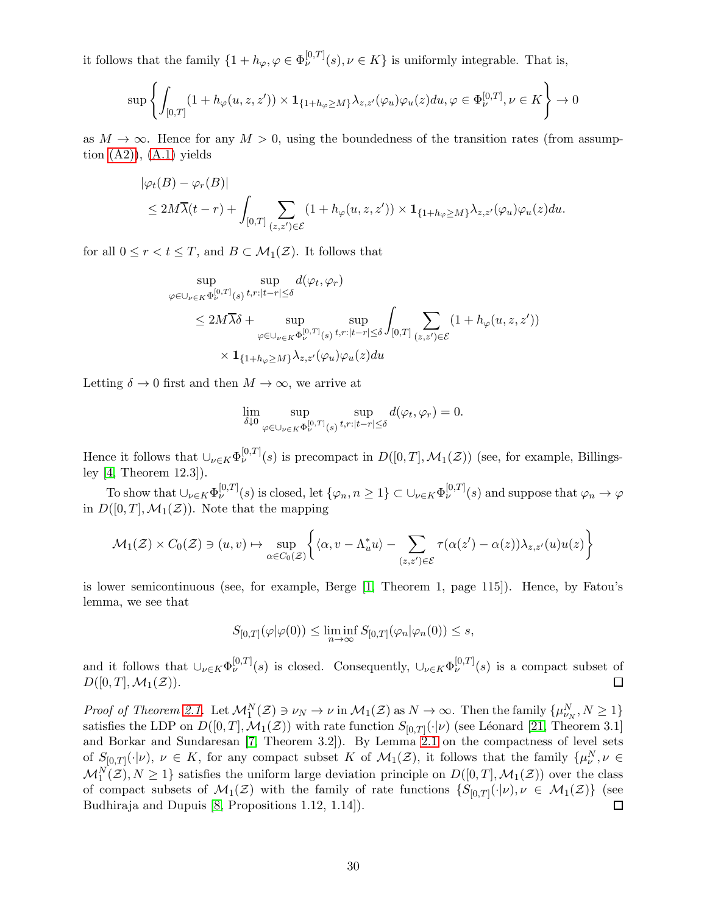it follows that the family  $\{1 + h_{\varphi}, \varphi \in \Phi_{\nu}^{[0,T]}(s), \nu \in K\}$  is uniformly integrable. That is,

$$
\sup\left\{\int_{[0,T]}(1+h_{\varphi}(u,z,z'))\times\mathbf{1}_{\{1+h_{\varphi}\geq M\}}\lambda_{z,z'}(\varphi_u)\varphi_u(z)du,\varphi\in\Phi_{\nu}^{[0,T]},\nu\in K\right\}\to 0
$$

as  $M \to \infty$ . Hence for any  $M > 0$ , using the boundedness of the transition rates (from assumption  $(A2)$ ),  $(A.1)$  yields

$$
|\varphi_t(B) - \varphi_r(B)|
$$
  
\n
$$
\leq 2M\overline{\lambda}(t-r) + \int_{[0,T]} \sum_{(z,z')\in\mathcal{E}} (1 + h_{\varphi}(u,z,z')) \times \mathbf{1}_{\{1+h_{\varphi}\geq M\}} \lambda_{z,z'}(\varphi_u)\varphi_u(z) du.
$$

for all  $0 \leq r < t \leq T$ , and  $B \subset \mathcal{M}_1(\mathcal{Z})$ . It follows that

$$
\sup_{\varphi \in \bigcup_{\nu \in K} \Phi_{\nu}^{[0,T]}(s)} \sup_{t,r:|t-r| \leq \delta} d(\varphi_t, \varphi_r)
$$
\n
$$
\leq 2M\overline{\lambda}\delta + \sup_{\varphi \in \bigcup_{\nu \in K} \Phi_{\nu}^{[0,T]}(s)} \sup_{t,r:|t-r| \leq \delta} \int_{[0,T]} \sum_{(z,z') \in \mathcal{E}} (1 + h_{\varphi}(u,z,z'))
$$
\n
$$
\times \mathbf{1}_{\{1 + h_{\varphi} \geq M\}} \lambda_{z,z'}(\varphi_u) \varphi_u(z) du
$$

Letting  $\delta \to 0$  first and then  $M \to \infty$ , we arrive at

$$
\lim_{\delta\downarrow 0}\sup_{\varphi\in \cup_{\nu\in K}\Phi_{\nu}^{[0,T]}(s)}\sup_{t,r:|t-r|\leq \delta}d(\varphi_t,\varphi_r)=0.
$$

Hence it follows that  $\cup_{\nu\in K} \Phi_{\nu}^{[0,T]}(s)$  is precompact in  $D([0,T],\mathcal{M}_1(\mathcal{Z}))$  (see, for example, Billingsley [\[4,](#page-30-10) Theorem 12.3]).

To show that  $\cup_{\nu\in K}\Phi_{\nu}^{[0,T]}(s)$  is closed, let  $\{\varphi_n, n\geq 1\}\subset \cup_{\nu\in K}\Phi_{\nu}^{[0,T]}(s)$  and suppose that  $\varphi_n\to\varphi$ in  $D([0,T], \mathcal{M}_1(\mathcal{Z}))$ . Note that the mapping

$$
\mathcal{M}_1(\mathcal{Z}) \times C_0(\mathcal{Z}) \ni (u, v) \mapsto \sup_{\alpha \in C_0(\mathcal{Z})} \left\{ \langle \alpha, v - \Lambda_u^* u \rangle - \sum_{(z, z') \in \mathcal{E}} \tau(\alpha(z') - \alpha(z)) \lambda_{z, z'}(u) u(z) \right\}
$$

is lower semicontinuous (see, for example, Berge [\[1,](#page-30-11) Theorem 1, page 115]). Hence, by Fatou's lemma, we see that

$$
S_{[0,T]}(\varphi|\varphi(0)) \le \liminf_{n \to \infty} S_{[0,T]}(\varphi_n|\varphi_n(0)) \le s,
$$

and it follows that  $\cup_{\nu\in K}\Phi_{\nu}^{[0,T]}(s)$  is closed. Consequently,  $\cup_{\nu\in K}\Phi_{\nu}^{[0,T]}(s)$  is a compact subset of  $D([0,T],\mathcal{M}_1(\mathcal{Z})).$  $\Box$ 

Proof of Theorem [2.1.](#page-12-0) Let  $\mathcal{M}_1^N(\mathcal{Z}) \ni \nu_N \to \nu$  in  $\mathcal{M}_1(\mathcal{Z})$  as  $N \to \infty$ . Then the family  $\{\mu_{\nu_N}^N, N \ge 1\}$ satisfies the LDP on  $D([0,T], \mathcal{M}_1(\mathcal{Z}))$  with rate function  $S_{[0,T]}(\cdot | \nu)$  (see Léonard [\[21,](#page-31-2) Theorem 3.1] and Borkar and Sundaresan [\[7,](#page-30-0) Theorem 3.2]). By Lemma [2.1](#page-11-2) on the compactness of level sets of  $S_{[0,T]}(\cdot|\nu), \nu \in K$ , for any compact subset K of  $\mathcal{M}_1(\mathcal{Z})$ , it follows that the family  $\{\mu^N_\nu, \nu \in$  $\mathcal{M}_1^N(\mathcal{Z}), N \geq 1$  satisfies the uniform large deviation principle on  $D([0,T], \mathcal{M}_1(\mathcal{Z}))$  over the class of compact subsets of  $\mathcal{M}_1(\mathcal{Z})$  with the family of rate functions  $\{S_{[0,T]}(\cdot|\nu), \nu \in \mathcal{M}_1(\mathcal{Z})\}$  (see Budhiraja and Dupuis [\[8,](#page-30-12) Propositions 1.12, 1.14]). □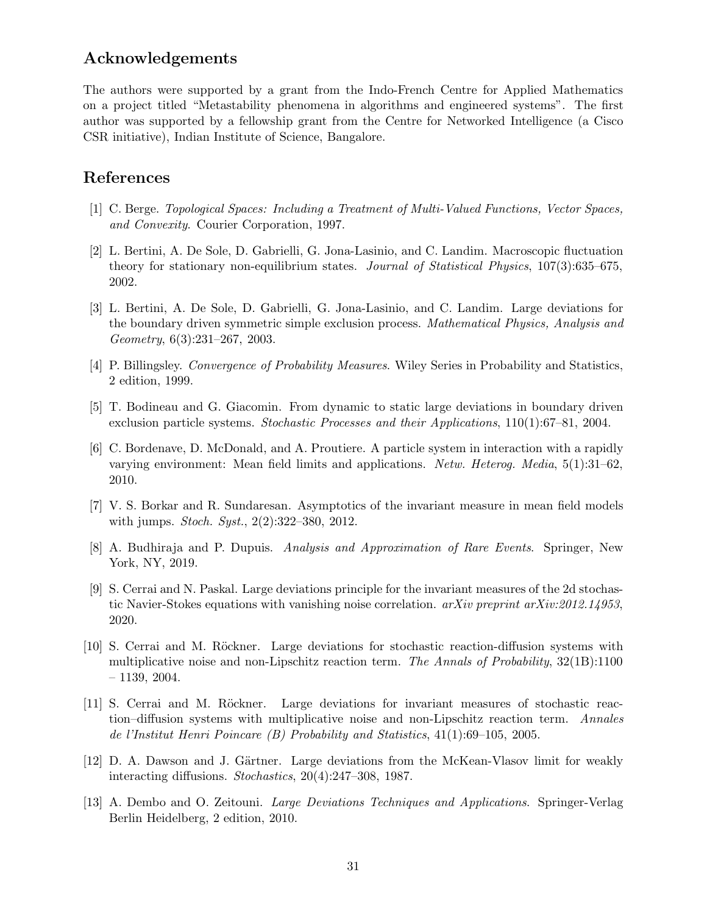## Acknowledgements

The authors were supported by a grant from the Indo-French Centre for Applied Mathematics on a project titled "Metastability phenomena in algorithms and engineered systems". The first author was supported by a fellowship grant from the Centre for Networked Intelligence (a Cisco CSR initiative), Indian Institute of Science, Bangalore.

## <span id="page-30-11"></span>References

- <span id="page-30-5"></span>[1] C. Berge. Topological Spaces: Including a Treatment of Multi-Valued Functions, Vector Spaces, and Convexity. Courier Corporation, 1997.
- [2] L. Bertini, A. De Sole, D. Gabrielli, G. Jona-Lasinio, and C. Landim. Macroscopic fluctuation theory for stationary non-equilibrium states. Journal of Statistical Physics, 107(3):635–675, 2002.
- <span id="page-30-6"></span>[3] L. Bertini, A. De Sole, D. Gabrielli, G. Jona-Lasinio, and C. Landim. Large deviations for the boundary driven symmetric simple exclusion process. Mathematical Physics, Analysis and Geometry, 6(3):231–267, 2003.
- <span id="page-30-10"></span><span id="page-30-9"></span>[4] P. Billingsley. Convergence of Probability Measures. Wiley Series in Probability and Statistics, 2 edition, 1999.
- <span id="page-30-2"></span>[5] T. Bodineau and G. Giacomin. From dynamic to static large deviations in boundary driven exclusion particle systems. Stochastic Processes and their Applications, 110(1):67–81, 2004.
- [6] C. Bordenave, D. McDonald, and A. Proutiere. A particle system in interaction with a rapidly varying environment: Mean field limits and applications. Netw. Heterog. Media, 5(1):31–62, 2010.
- <span id="page-30-12"></span><span id="page-30-0"></span>[7] V. S. Borkar and R. Sundaresan. Asymptotics of the invariant measure in mean field models with jumps. Stoch. Syst., 2(2):322–380, 2012.
- [8] A. Budhiraja and P. Dupuis. Analysis and Approximation of Rare Events. Springer, New York, NY, 2019.
- <span id="page-30-4"></span>[9] S. Cerrai and N. Paskal. Large deviations principle for the invariant measures of the 2d stochastic Navier-Stokes equations with vanishing noise correlation. *arXiv preprint arXiv:2012.14953*, 2020.
- <span id="page-30-7"></span>[10] S. Cerrai and M. Röckner. Large deviations for stochastic reaction-diffusion systems with multiplicative noise and non-Lipschitz reaction term. The Annals of Probability,  $32(1B)$ :1100 – 1139, 2004.
- <span id="page-30-1"></span>[11] S. Cerrai and M. Röckner. Large deviations for invariant measures of stochastic reaction–diffusion systems with multiplicative noise and non-Lipschitz reaction term. Annales de l'Institut Henri Poincare (B) Probability and Statistics, 41(1):69–105, 2005.
- <span id="page-30-8"></span>[12] D. A. Dawson and J. Gärtner. Large deviations from the McKean-Vlasov limit for weakly interacting diffusions. Stochastics, 20(4):247–308, 1987.
- <span id="page-30-3"></span>[13] A. Dembo and O. Zeitouni. Large Deviations Techniques and Applications. Springer-Verlag Berlin Heidelberg, 2 edition, 2010.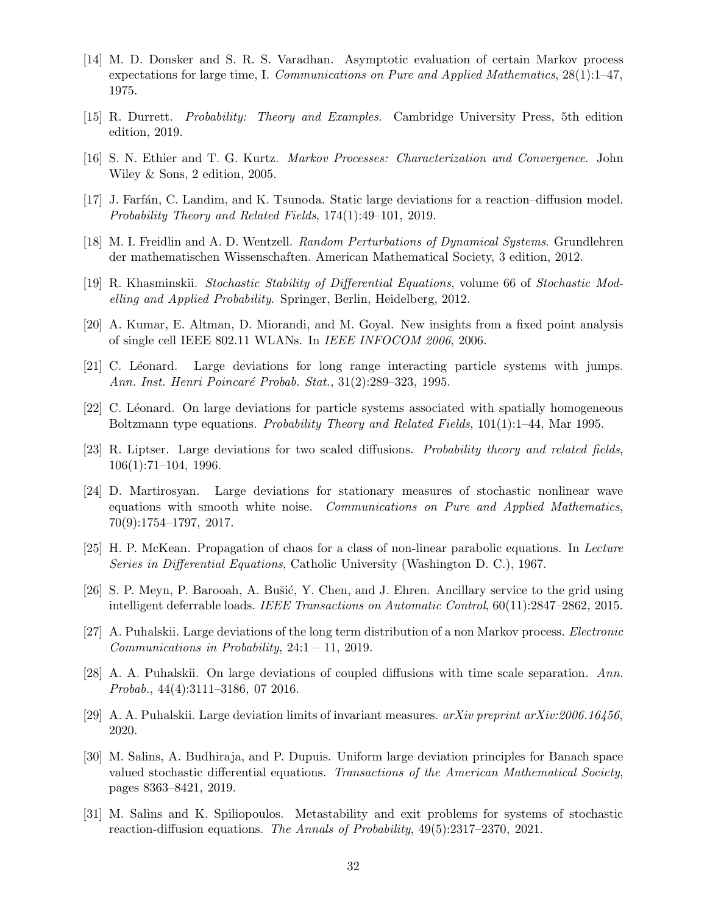- <span id="page-31-17"></span>[14] M. D. Donsker and S. R. S. Varadhan. Asymptotic evaluation of certain Markov process expectations for large time, I. Communications on Pure and Applied Mathematics, 28(1):1–47, 1975.
- <span id="page-31-15"></span><span id="page-31-14"></span>[15] R. Durrett. Probability: Theory and Examples. Cambridge University Press, 5th edition edition, 2019.
- <span id="page-31-1"></span>[16] S. N. Ethier and T. G. Kurtz. Markov Processes: Characterization and Convergence. John Wiley & Sons, 2 edition, 2005.
- <span id="page-31-0"></span>[17] J. Farfán, C. Landim, and K. Tsunoda. Static large deviations for a reaction–diffusion model. Probability Theory and Related Fields, 174(1):49–101, 2019.
- <span id="page-31-11"></span>[18] M. I. Freidlin and A. D. Wentzell. Random Perturbations of Dynamical Systems. Grundlehren der mathematischen Wissenschaften. American Mathematical Society, 3 edition, 2012.
- <span id="page-31-4"></span>[19] R. Khasminskii. Stochastic Stability of Differential Equations, volume 66 of Stochastic Modelling and Applied Probability. Springer, Berlin, Heidelberg, 2012.
- <span id="page-31-2"></span>[20] A. Kumar, E. Altman, D. Miorandi, and M. Goyal. New insights from a fixed point analysis of single cell IEEE 802.11 WLANs. In IEEE INFOCOM 2006, 2006.
- <span id="page-31-16"></span>[21] C. Léonard. Large deviations for long range interacting particle systems with jumps. Ann. Inst. Henri Poincaré Probab. Stat., 31(2):289–323, 1995.
- <span id="page-31-6"></span>[22] C. Léonard. On large deviations for particle systems associated with spatially homogeneous Boltzmann type equations. Probability Theory and Related Fields, 101(1):1–44, Mar 1995.
- [23] R. Liptser. Large deviations for two scaled diffusions. Probability theory and related fields, 106(1):71–104, 1996.
- <span id="page-31-10"></span>[24] D. Martirosyan. Large deviations for stationary measures of stochastic nonlinear wave equations with smooth white noise. Communications on Pure and Applied Mathematics, 70(9):1754–1797, 2017.
- <span id="page-31-3"></span>[25] H. P. McKean. Propagation of chaos for a class of non-linear parabolic equations. In Lecture Series in Differential Equations, Catholic University (Washington D. C.), 1967.
- <span id="page-31-5"></span>[26] S. P. Meyn, P. Barooah, A. Bušić, Y. Chen, and J. Ehren. Ancillary service to the grid using intelligent deferrable loads. IEEE Transactions on Automatic Control, 60(11):2847–2862, 2015.
- <span id="page-31-12"></span><span id="page-31-7"></span>[27] A. Puhalskii. Large deviations of the long term distribution of a non Markov process. Electronic Communications in Probability, 24:1 – 11, 2019.
- <span id="page-31-13"></span>[28] A. A. Puhalskii. On large deviations of coupled diffusions with time scale separation. Ann. Probab., 44(4):3111–3186, 07 2016.
- <span id="page-31-8"></span>[29] A. A. Puhalskii. Large deviation limits of invariant measures. arXiv preprint arXiv:2006.16456, 2020.
- [30] M. Salins, A. Budhiraja, and P. Dupuis. Uniform large deviation principles for Banach space valued stochastic differential equations. Transactions of the American Mathematical Society, pages 8363–8421, 2019.
- <span id="page-31-9"></span>[31] M. Salins and K. Spiliopoulos. Metastability and exit problems for systems of stochastic reaction-diffusion equations. The Annals of Probability, 49(5):2317–2370, 2021.